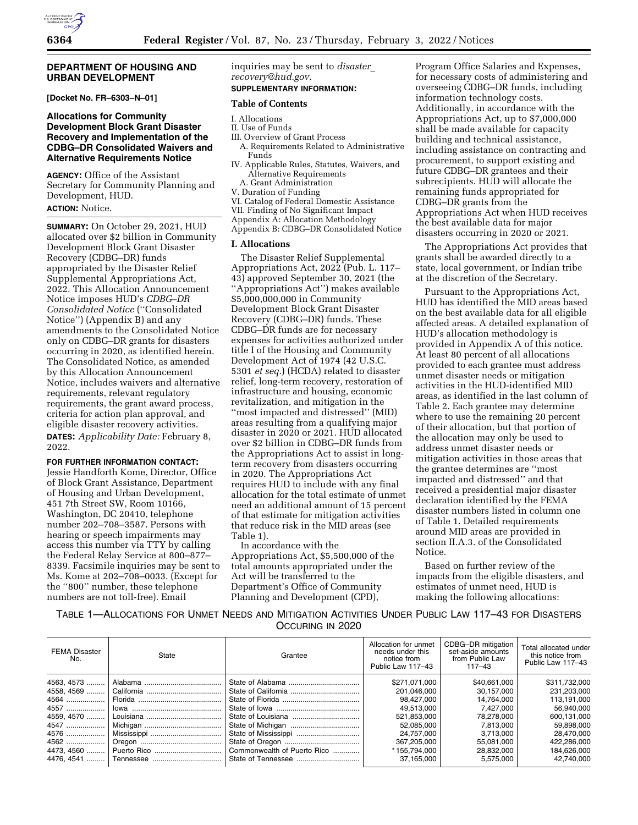## **DEPARTMENT OF HOUSING AND URBAN DEVELOPMENT**

**[Docket No. FR–6303–N–01]** 

## **Allocations for Community Development Block Grant Disaster Recovery and Implementation of the CDBG–DR Consolidated Waivers and Alternative Requirements Notice**

**AGENCY:** Office of the Assistant Secretary for Community Planning and Development, HUD. **ACTION:** Notice.

**SUMMARY:** On October 29, 2021, HUD allocated over \$2 billion in Community Development Block Grant Disaster Recovery (CDBG–DR) funds appropriated by the Disaster Relief Supplemental Appropriations Act, 2022. This Allocation Announcement Notice imposes HUD's *CDBG–DR Consolidated Notice* (''Consolidated Notice'') (Appendix B) and any amendments to the Consolidated Notice only on CDBG–DR grants for disasters occurring in 2020, as identified herein. The Consolidated Notice, as amended by this Allocation Announcement Notice, includes waivers and alternative requirements, relevant regulatory requirements, the grant award process, criteria for action plan approval, and eligible disaster recovery activities.

**DATES:** *Applicability Date:* February 8, 2022.

## **FOR FURTHER INFORMATION CONTACT:**

Jessie Handforth Kome, Director, Office of Block Grant Assistance, Department of Housing and Urban Development, 451 7th Street SW, Room 10166, Washington, DC 20410, telephone number 202–708–3587. Persons with hearing or speech impairments may access this number via TTY by calling the Federal Relay Service at 800–877– 8339. Facsimile inquiries may be sent to Ms. Kome at 202–708–0033. (Except for the ''800'' number, these telephone numbers are not toll-free). Email

inquiries may be sent to *[disaster](mailto:disaster_recovery@hud.gov)*\_ *[recovery@hud.gov.](mailto:disaster_recovery@hud.gov)* 

# **SUPPLEMENTARY INFORMATION:**

## **Table of Contents**

- I. Allocations
- II. Use of Funds
- III. Overview of Grant Process A. Requirements Related to Administrative Funds
- IV. Applicable Rules, Statutes, Waivers, and Alternative Requirements
- A. Grant Administration
- V. Duration of Funding
- VI. Catalog of Federal Domestic Assistance
- VII. Finding of No Significant Impact
- Appendix A: Allocation Methodology Appendix B: CDBG–DR Consolidated Notice

## **I. Allocations**

The Disaster Relief Supplemental Appropriations Act, 2022 (Pub. L. 117– 43) approved September 30, 2021 (the ''Appropriations Act'') makes available \$5,000,000,000 in Community Development Block Grant Disaster Recovery (CDBG–DR) funds. These CDBG–DR funds are for necessary expenses for activities authorized under title I of the Housing and Community Development Act of 1974 (42 U.S.C. 5301 *et seq.*) (HCDA) related to disaster relief, long-term recovery, restoration of infrastructure and housing, economic revitalization, and mitigation in the ''most impacted and distressed'' (MID) areas resulting from a qualifying major disaster in 2020 or 2021. HUD allocated over \$2 billion in CDBG–DR funds from the Appropriations Act to assist in longterm recovery from disasters occurring in 2020. The Appropriations Act requires HUD to include with any final allocation for the total estimate of unmet need an additional amount of 15 percent of that estimate for mitigation activities that reduce risk in the MID areas (see Table 1).

In accordance with the Appropriations Act, \$5,500,000 of the total amounts appropriated under the Act will be transferred to the Department's Office of Community Planning and Development (CPD),

Program Office Salaries and Expenses, for necessary costs of administering and overseeing CDBG–DR funds, including information technology costs. Additionally, in accordance with the Appropriations Act, up to \$7,000,000 shall be made available for capacity building and technical assistance, including assistance on contracting and procurement, to support existing and future CDBG–DR grantees and their subrecipients. HUD will allocate the remaining funds appropriated for CDBG–DR grants from the Appropriations Act when HUD receives the best available data for major disasters occurring in 2020 or 2021.

The Appropriations Act provides that grants shall be awarded directly to a state, local government, or Indian tribe at the discretion of the Secretary.

Pursuant to the Appropriations Act, HUD has identified the MID areas based on the best available data for all eligible affected areas. A detailed explanation of HUD's allocation methodology is provided in Appendix A of this notice. At least 80 percent of all allocations provided to each grantee must address unmet disaster needs or mitigation activities in the HUD-identified MID areas, as identified in the last column of Table 2. Each grantee may determine where to use the remaining 20 percent of their allocation, but that portion of the allocation may only be used to address unmet disaster needs or mitigation activities in those areas that the grantee determines are ''most impacted and distressed'' and that received a presidential major disaster declaration identified by the FEMA disaster numbers listed in column one of Table 1. Detailed requirements around MID areas are provided in section II.A.3. of the Consolidated Notice.

Based on further review of the impacts from the eligible disasters, and estimates of unmet need, HUD is making the following allocations:

## TABLE 1—ALLOCATIONS FOR UNMET NEEDS AND MITIGATION ACTIVITIES UNDER PUBLIC LAW 117–43 FOR DISASTERS OCCURING IN 2020

| <b>FEMA Disaster</b><br>No. | State       | Grantee                     | Allocation for unmet<br>needs under this<br>notice from<br>Public Law 117-43 | CDBG-DR mitigation<br>set-aside amounts<br>from Public Law<br>117–43 | Total allocated under<br>this notice from<br>Public Law 117-43 |
|-----------------------------|-------------|-----------------------------|------------------------------------------------------------------------------|----------------------------------------------------------------------|----------------------------------------------------------------|
| 4563, 4573                  |             |                             | \$271.071.000                                                                | \$40.661.000                                                         | \$311,732,000                                                  |
| 4558, 4569                  |             |                             | 201.046.000                                                                  | 30.157.000                                                           | 231.203.000                                                    |
| 4564                        |             |                             | 98.427.000                                                                   | 14.764.000                                                           | 113,191,000                                                    |
| 4557                        |             |                             | 49,513,000                                                                   | 7,427,000                                                            | 56.940.000                                                     |
| 4559. 4570                  |             |                             | 521.853.000                                                                  | 78.278.000                                                           | 600.131.000                                                    |
| 4547                        |             |                             | 52.085.000                                                                   | 7.813.000                                                            | 59.898.000                                                     |
| 4576                        |             |                             | 24.757.000                                                                   | 3.713.000                                                            | 28.470.000                                                     |
| 4562                        |             |                             | 367.205.000                                                                  | 55,081,000                                                           | 422,286,000                                                    |
| 4473, 4560                  | Puerto Rico | Commonwealth of Puerto Rico | *155,794,000                                                                 | 28.832.000                                                           | 184.626.000                                                    |
| 4476, 4541                  |             |                             | 37.165.000                                                                   | 5.575.000                                                            | 42.740.000                                                     |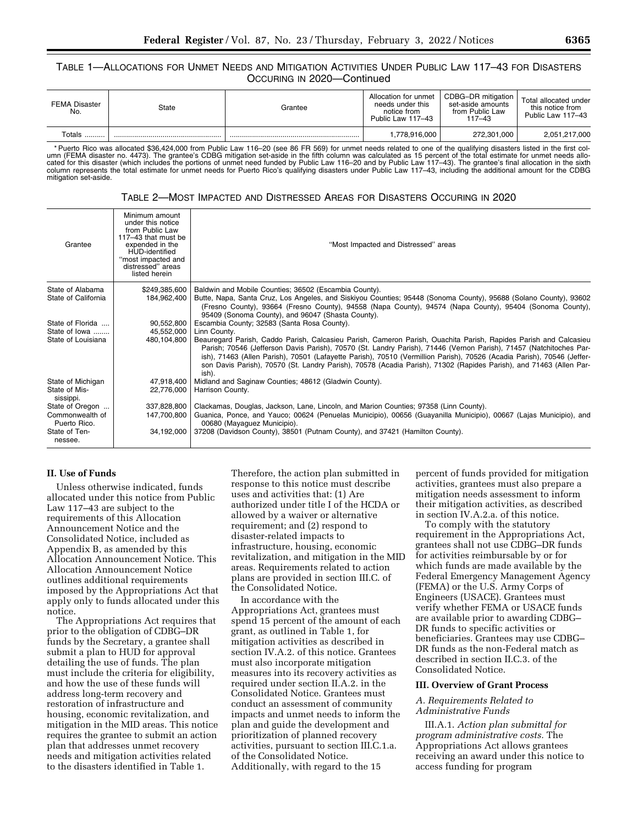## TABLE 1—ALLOCATIONS FOR UNMET NEEDS AND MITIGATION ACTIVITIES UNDER PUBLIC LAW 117–43 FOR DISASTERS OCCURING IN 2020—Continued

| <b>FEMA Disaster</b><br>No. | State | Grantee | Allocation for unmet<br>needs under this<br>notice from<br>Public Law 117-43 | CDBG-DR mitigation<br>set-aside amounts<br>from Public Law<br>$117 - 43$ | Total allocated under<br>this notice from<br>Public Law 117-43 |
|-----------------------------|-------|---------|------------------------------------------------------------------------------|--------------------------------------------------------------------------|----------------------------------------------------------------|
| $\tau$ otals.<br>           |       |         | 1,778,916,000                                                                | 272,301,000                                                              | 2,051,217,000                                                  |

\* Puerto Rico was allocated \$36,424,000 from Public Law 116–20 (see 86 FR 569) for unmet needs related to one of the qualifying disasters listed in the first column (FEMA disaster no. 4473). The grantee's CDBG mitigation set-aside in the fifth column was calculated as 15 percent of the total estimate for unmet needs allo-<br>cated for this disaster (which includes the portions of unm mitigation set-aside.

| TABLE 2—MOST IMPACTED AND DISTRESSED AREAS FOR DISASTERS OCCURING IN 2020 |  |  |
|---------------------------------------------------------------------------|--|--|
|---------------------------------------------------------------------------|--|--|

| Grantee                         | Minimum amount<br>under this notice<br>from Public Law<br>117-43 that must be<br>expended in the<br>HUD-identified<br>"most impacted and<br>distressed" areas<br>listed herein | "Most Impacted and Distressed" areas                                                                                                                                                                                                                                                                                                                                                                                                                                                            |
|---------------------------------|--------------------------------------------------------------------------------------------------------------------------------------------------------------------------------|-------------------------------------------------------------------------------------------------------------------------------------------------------------------------------------------------------------------------------------------------------------------------------------------------------------------------------------------------------------------------------------------------------------------------------------------------------------------------------------------------|
| State of Alabama                | \$249,385,600                                                                                                                                                                  | Baldwin and Mobile Counties; 36502 (Escambia County).                                                                                                                                                                                                                                                                                                                                                                                                                                           |
| State of California             | 184.962.400                                                                                                                                                                    | Butte, Napa, Santa Cruz, Los Angeles, and Siskiyou Counties; 95448 (Sonoma County), 95688 (Solano County), 93602<br>(Fresno County), 93664 (Fresno County), 94558 (Napa County), 94574 (Napa County), 95404 (Sonoma County),<br>95409 (Sonoma County), and 96047 (Shasta County).                                                                                                                                                                                                               |
| State of Florida                | 90,552,800                                                                                                                                                                     | Escambia County; 32583 (Santa Rosa County).                                                                                                                                                                                                                                                                                                                                                                                                                                                     |
| State of lowa                   | 45,552,000                                                                                                                                                                     | Linn County.                                                                                                                                                                                                                                                                                                                                                                                                                                                                                    |
| State of Louisiana              | 480.104.800                                                                                                                                                                    | Beauregard Parish, Caddo Parish, Calcasieu Parish, Cameron Parish, Ouachita Parish, Rapides Parish and Calcasieu<br>Parish; 70546 (Jefferson Davis Parish), 70570 (St. Landry Parish), 71446 (Vernon Parish), 71457 (Natchitoches Par-<br>ish), 71463 (Allen Parish), 70501 (Lafayette Parish), 70510 (Vermillion Parish), 70526 (Acadia Parish), 70546 (Jeffer-<br>son Davis Parish), 70570 (St. Landry Parish), 70578 (Acadia Parish), 71302 (Rapides Parish), and 71463 (Allen Par-<br>ish). |
| State of Michigan               | 47,918,400                                                                                                                                                                     | Midland and Saginaw Counties; 48612 (Gladwin County).                                                                                                                                                                                                                                                                                                                                                                                                                                           |
| State of Mis-<br>sissippi.      | 22,776,000                                                                                                                                                                     | Harrison County.                                                                                                                                                                                                                                                                                                                                                                                                                                                                                |
| State of Oregon                 | 337.828.800                                                                                                                                                                    | Clackamas, Douglas, Jackson, Lane, Lincoln, and Marion Counties; 97358 (Linn County).                                                                                                                                                                                                                                                                                                                                                                                                           |
| Commonwealth of<br>Puerto Rico. | 147.700.800                                                                                                                                                                    | Guanica, Ponce, and Yauco; 00624 (Penuelas Municipio), 00656 (Guayanilla Municipio), 00667 (Lajas Municipio), and<br>00680 (Mayaquez Municipio).                                                                                                                                                                                                                                                                                                                                                |
| State of Ten-<br>nessee.        | 34.192.000                                                                                                                                                                     | 37208 (Davidson County), 38501 (Putnam County), and 37421 (Hamilton County).                                                                                                                                                                                                                                                                                                                                                                                                                    |

## **II. Use of Funds**

Unless otherwise indicated, funds allocated under this notice from Public Law 117–43 are subject to the requirements of this Allocation Announcement Notice and the Consolidated Notice, included as Appendix B, as amended by this Allocation Announcement Notice. This Allocation Announcement Notice outlines additional requirements imposed by the Appropriations Act that apply only to funds allocated under this notice.

The Appropriations Act requires that prior to the obligation of CDBG–DR funds by the Secretary, a grantee shall submit a plan to HUD for approval detailing the use of funds. The plan must include the criteria for eligibility, and how the use of these funds will address long-term recovery and restoration of infrastructure and housing, economic revitalization, and mitigation in the MID areas. This notice requires the grantee to submit an action plan that addresses unmet recovery needs and mitigation activities related to the disasters identified in Table 1.

Therefore, the action plan submitted in response to this notice must describe uses and activities that: (1) Are authorized under title I of the HCDA or allowed by a waiver or alternative requirement; and (2) respond to disaster-related impacts to infrastructure, housing, economic revitalization, and mitigation in the MID areas. Requirements related to action plans are provided in section III.C. of the Consolidated Notice.

In accordance with the Appropriations Act, grantees must spend 15 percent of the amount of each grant, as outlined in Table 1, for mitigation activities as described in section IV.A.2. of this notice. Grantees must also incorporate mitigation measures into its recovery activities as required under section II.A.2. in the Consolidated Notice. Grantees must conduct an assessment of community impacts and unmet needs to inform the plan and guide the development and prioritization of planned recovery activities, pursuant to section III.C.1.a. of the Consolidated Notice. Additionally, with regard to the 15

percent of funds provided for mitigation activities, grantees must also prepare a mitigation needs assessment to inform their mitigation activities, as described in section IV.A.2.a. of this notice.

To comply with the statutory requirement in the Appropriations Act, grantees shall not use CDBG–DR funds for activities reimbursable by or for which funds are made available by the Federal Emergency Management Agency (FEMA) or the U.S. Army Corps of Engineers (USACE). Grantees must verify whether FEMA or USACE funds are available prior to awarding CDBG– DR funds to specific activities or beneficiaries. Grantees may use CDBG– DR funds as the non-Federal match as described in section II.C.3. of the Consolidated Notice.

## **III. Overview of Grant Process**

## *A. Requirements Related to Administrative Funds*

III.A.1. *Action plan submittal for program administrative costs.* The Appropriations Act allows grantees receiving an award under this notice to access funding for program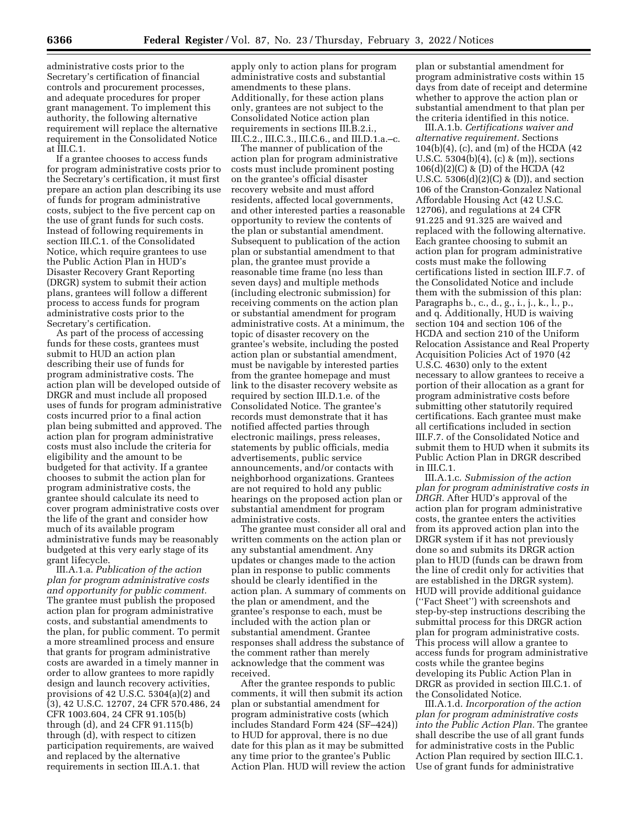administrative costs prior to the Secretary's certification of financial controls and procurement processes, and adequate procedures for proper grant management. To implement this authority, the following alternative requirement will replace the alternative requirement in the Consolidated Notice at III.C.1.

If a grantee chooses to access funds for program administrative costs prior to the Secretary's certification, it must first prepare an action plan describing its use of funds for program administrative costs, subject to the five percent cap on the use of grant funds for such costs. Instead of following requirements in section III.C.1. of the Consolidated Notice, which require grantees to use the Public Action Plan in HUD's Disaster Recovery Grant Reporting (DRGR) system to submit their action plans, grantees will follow a different process to access funds for program administrative costs prior to the Secretary's certification.

As part of the process of accessing funds for these costs, grantees must submit to HUD an action plan describing their use of funds for program administrative costs. The action plan will be developed outside of DRGR and must include all proposed uses of funds for program administrative costs incurred prior to a final action plan being submitted and approved. The action plan for program administrative costs must also include the criteria for eligibility and the amount to be budgeted for that activity. If a grantee chooses to submit the action plan for program administrative costs, the grantee should calculate its need to cover program administrative costs over the life of the grant and consider how much of its available program administrative funds may be reasonably budgeted at this very early stage of its grant lifecycle.

III.A.1.a. *Publication of the action plan for program administrative costs and opportunity for public comment.*  The grantee must publish the proposed action plan for program administrative costs, and substantial amendments to the plan, for public comment. To permit a more streamlined process and ensure that grants for program administrative costs are awarded in a timely manner in order to allow grantees to more rapidly design and launch recovery activities, provisions of 42 U.S.C. 5304(a)(2) and (3), 42 U.S.C. 12707, 24 CFR 570.486, 24 CFR 1003.604, 24 CFR 91.105(b) through (d), and 24 CFR 91.115(b) through (d), with respect to citizen participation requirements, are waived and replaced by the alternative requirements in section III.A.1. that

apply only to action plans for program administrative costs and substantial amendments to these plans. Additionally, for these action plans only, grantees are not subject to the Consolidated Notice action plan requirements in sections III.B.2.i., III.C.2., III.C.3., III.C.6., and III.D.1.a.–c.

The manner of publication of the action plan for program administrative costs must include prominent posting on the grantee's official disaster recovery website and must afford residents, affected local governments, and other interested parties a reasonable opportunity to review the contents of the plan or substantial amendment. Subsequent to publication of the action plan or substantial amendment to that plan, the grantee must provide a reasonable time frame (no less than seven days) and multiple methods (including electronic submission) for receiving comments on the action plan or substantial amendment for program administrative costs. At a minimum, the topic of disaster recovery on the grantee's website, including the posted action plan or substantial amendment, must be navigable by interested parties from the grantee homepage and must link to the disaster recovery website as required by section III.D.1.e. of the Consolidated Notice. The grantee's records must demonstrate that it has notified affected parties through electronic mailings, press releases, statements by public officials, media advertisements, public service announcements, and/or contacts with neighborhood organizations. Grantees are not required to hold any public hearings on the proposed action plan or substantial amendment for program administrative costs.

The grantee must consider all oral and written comments on the action plan or any substantial amendment. Any updates or changes made to the action plan in response to public comments should be clearly identified in the action plan. A summary of comments on the plan or amendment, and the grantee's response to each, must be included with the action plan or substantial amendment. Grantee responses shall address the substance of the comment rather than merely acknowledge that the comment was received.

After the grantee responds to public comments, it will then submit its action plan or substantial amendment for program administrative costs (which includes Standard Form 424 (SF–424)) to HUD for approval, there is no due date for this plan as it may be submitted any time prior to the grantee's Public Action Plan. HUD will review the action

plan or substantial amendment for program administrative costs within 15 days from date of receipt and determine whether to approve the action plan or substantial amendment to that plan per the criteria identified in this notice.

III.A.1.b. *Certifications waiver and alternative requirement.* Sections 104(b)(4), (c), and (m) of the HCDA (42 U.S.C. 5304(b)(4), (c) & (m)), sections 106(d)(2)(C) & (D) of the HCDA (42 U.S.C.  $5306(d)(2)(C)$  & (D)), and section 106 of the Cranston-Gonzalez National Affordable Housing Act (42 U.S.C. 12706), and regulations at 24 CFR 91.225 and 91.325 are waived and replaced with the following alternative. Each grantee choosing to submit an action plan for program administrative costs must make the following certifications listed in section III.F.7. of the Consolidated Notice and include them with the submission of this plan: Paragraphs b., c., d., g., i., j., k., l., p., and q. Additionally, HUD is waiving section 104 and section 106 of the HCDA and section 210 of the Uniform Relocation Assistance and Real Property Acquisition Policies Act of 1970 (42 U.S.C. 4630) only to the extent necessary to allow grantees to receive a portion of their allocation as a grant for program administrative costs before submitting other statutorily required certifications. Each grantee must make all certifications included in section III.F.7. of the Consolidated Notice and submit them to HUD when it submits its Public Action Plan in DRGR described in III.C.1.

III.A.1.c. *Submission of the action plan for program administrative costs in DRGR.* After HUD's approval of the action plan for program administrative costs, the grantee enters the activities from its approved action plan into the DRGR system if it has not previously done so and submits its DRGR action plan to HUD (funds can be drawn from the line of credit only for activities that are established in the DRGR system). HUD will provide additional guidance (''Fact Sheet'') with screenshots and step-by-step instructions describing the submittal process for this DRGR action plan for program administrative costs. This process will allow a grantee to access funds for program administrative costs while the grantee begins developing its Public Action Plan in DRGR as provided in section III.C.1. of the Consolidated Notice.

III.A.1.d. *Incorporation of the action plan for program administrative costs into the Public Action Plan.* The grantee shall describe the use of all grant funds for administrative costs in the Public Action Plan required by section III.C.1. Use of grant funds for administrative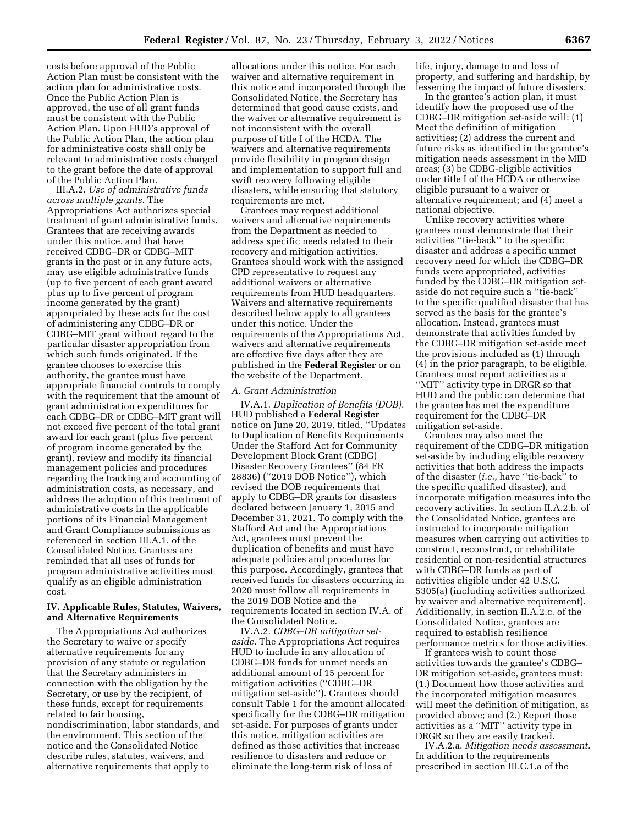costs before approval of the Public Action Plan must be consistent with the action plan for administrative costs. Once the Public Action Plan is approved, the use of all grant funds must be consistent with the Public Action Plan. Upon HUD's approval of the Public Action Plan, the action plan for administrative costs shall only be relevant to administrative costs charged to the grant before the date of approval of the Public Action Plan.

III.A.2. *Use of administrative funds across multiple grants.* The Appropriations Act authorizes special treatment of grant administrative funds. Grantees that are receiving awards under this notice, and that have received CDBG–DR or CDBG–MIT grants in the past or in any future acts, may use eligible administrative funds (up to five percent of each grant award plus up to five percent of program income generated by the grant) appropriated by these acts for the cost of administering any CDBG–DR or CDBG–MIT grant without regard to the particular disaster appropriation from which such funds originated. If the grantee chooses to exercise this authority, the grantee must have appropriate financial controls to comply with the requirement that the amount of grant administration expenditures for each CDBG–DR or CDBG–MIT grant will not exceed five percent of the total grant award for each grant (plus five percent of program income generated by the grant), review and modify its financial management policies and procedures regarding the tracking and accounting of administration costs, as necessary, and address the adoption of this treatment of administrative costs in the applicable portions of its Financial Management and Grant Compliance submissions as referenced in section III.A.1. of the Consolidated Notice. Grantees are reminded that all uses of funds for program administrative activities must qualify as an eligible administration cost.

## **IV. Applicable Rules, Statutes, Waivers, and Alternative Requirements**

The Appropriations Act authorizes the Secretary to waive or specify alternative requirements for any provision of any statute or regulation that the Secretary administers in connection with the obligation by the Secretary, or use by the recipient, of these funds, except for requirements related to fair housing, nondiscrimination, labor standards, and the environment. This section of the notice and the Consolidated Notice describe rules, statutes, waivers, and alternative requirements that apply to

allocations under this notice. For each waiver and alternative requirement in this notice and incorporated through the Consolidated Notice, the Secretary has determined that good cause exists, and the waiver or alternative requirement is not inconsistent with the overall purpose of title I of the HCDA. The waivers and alternative requirements provide flexibility in program design and implementation to support full and swift recovery following eligible disasters, while ensuring that statutory requirements are met.

Grantees may request additional waivers and alternative requirements from the Department as needed to address specific needs related to their recovery and mitigation activities. Grantees should work with the assigned CPD representative to request any additional waivers or alternative requirements from HUD headquarters. Waivers and alternative requirements described below apply to all grantees under this notice. Under the requirements of the Appropriations Act, waivers and alternative requirements are effective five days after they are published in the **Federal Register** or on the website of the Department.

#### *A. Grant Administration*

IV.A.1. *Duplication of Benefits (DOB).*  HUD published a **Federal Register**  notice on June 20, 2019, titled, ''Updates to Duplication of Benefits Requirements Under the Stafford Act for Community Development Block Grant (CDBG) Disaster Recovery Grantees'' (84 FR 28836) (''2019 DOB Notice''), which revised the DOB requirements that apply to CDBG–DR grants for disasters declared between January 1, 2015 and December 31, 2021. To comply with the Stafford Act and the Appropriations Act, grantees must prevent the duplication of benefits and must have adequate policies and procedures for this purpose. Accordingly, grantees that received funds for disasters occurring in 2020 must follow all requirements in the 2019 DOB Notice and the requirements located in section IV.A. of the Consolidated Notice.

IV.A.2. *CDBG–DR mitigation setaside.* The Appropriations Act requires HUD to include in any allocation of CDBG–DR funds for unmet needs an additional amount of 15 percent for mitigation activities (''CDBG–DR mitigation set-aside''). Grantees should consult Table 1 for the amount allocated specifically for the CDBG–DR mitigation set-aside. For purposes of grants under this notice, mitigation activities are defined as those activities that increase resilience to disasters and reduce or eliminate the long-term risk of loss of

life, injury, damage to and loss of property, and suffering and hardship, by lessening the impact of future disasters.

In the grantee's action plan, it must identify how the proposed use of the CDBG–DR mitigation set-aside will: (1) Meet the definition of mitigation activities; (2) address the current and future risks as identified in the grantee's mitigation needs assessment in the MID areas; (3) be CDBG-eligible activities under title I of the HCDA or otherwise eligible pursuant to a waiver or alternative requirement; and (4) meet a national objective.

Unlike recovery activities where grantees must demonstrate that their activities ''tie-back'' to the specific disaster and address a specific unmet recovery need for which the CDBG–DR funds were appropriated, activities funded by the CDBG–DR mitigation setaside do not require such a ''tie-back'' to the specific qualified disaster that has served as the basis for the grantee's allocation. Instead, grantees must demonstrate that activities funded by the CDBG–DR mitigation set-aside meet the provisions included as (1) through (4) in the prior paragraph, to be eligible. Grantees must report activities as a ''MIT'' activity type in DRGR so that HUD and the public can determine that the grantee has met the expenditure requirement for the CDBG–DR mitigation set-aside.

Grantees may also meet the requirement of the CDBG–DR mitigation set-aside by including eligible recovery activities that both address the impacts of the disaster (*i.e.,* have ''tie-back'' to the specific qualified disaster), and incorporate mitigation measures into the recovery activities. In section II.A.2.b. of the Consolidated Notice, grantees are instructed to incorporate mitigation measures when carrying out activities to construct, reconstruct, or rehabilitate residential or non-residential structures with CDBG–DR funds as part of activities eligible under 42 U.S.C. 5305(a) (including activities authorized by waiver and alternative requirement). Additionally, in section II.A.2.c. of the Consolidated Notice, grantees are required to establish resilience performance metrics for those activities.

If grantees wish to count those activities towards the grantee's CDBG– DR mitigation set-aside, grantees must: (1.) Document how those activities and the incorporated mitigation measures will meet the definition of mitigation, as provided above; and (2.) Report those activities as a ''MIT'' activity type in DRGR so they are easily tracked.

IV.A.2.a. *Mitigation needs assessment.*  In addition to the requirements prescribed in section III.C.1.a of the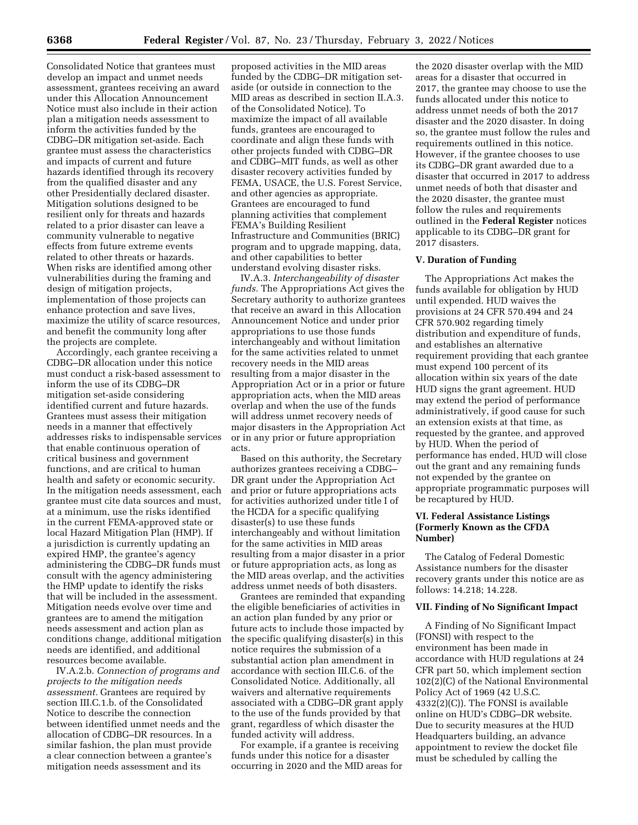Consolidated Notice that grantees must develop an impact and unmet needs assessment, grantees receiving an award under this Allocation Announcement Notice must also include in their action plan a mitigation needs assessment to inform the activities funded by the CDBG–DR mitigation set-aside. Each grantee must assess the characteristics and impacts of current and future hazards identified through its recovery from the qualified disaster and any other Presidentially declared disaster. Mitigation solutions designed to be resilient only for threats and hazards related to a prior disaster can leave a community vulnerable to negative effects from future extreme events related to other threats or hazards. When risks are identified among other vulnerabilities during the framing and design of mitigation projects, implementation of those projects can enhance protection and save lives, maximize the utility of scarce resources, and benefit the community long after the projects are complete.

Accordingly, each grantee receiving a CDBG–DR allocation under this notice must conduct a risk-based assessment to inform the use of its CDBG–DR mitigation set-aside considering identified current and future hazards. Grantees must assess their mitigation needs in a manner that effectively addresses risks to indispensable services that enable continuous operation of critical business and government functions, and are critical to human health and safety or economic security. In the mitigation needs assessment, each grantee must cite data sources and must, at a minimum, use the risks identified in the current FEMA-approved state or local Hazard Mitigation Plan (HMP). If a jurisdiction is currently updating an expired HMP, the grantee's agency administering the CDBG–DR funds must consult with the agency administering the HMP update to identify the risks that will be included in the assessment. Mitigation needs evolve over time and grantees are to amend the mitigation needs assessment and action plan as conditions change, additional mitigation needs are identified, and additional resources become available.

IV.A.2.b. *Connection of programs and projects to the mitigation needs assessment.* Grantees are required by section III.C.1.b. of the Consolidated Notice to describe the connection between identified unmet needs and the allocation of CDBG–DR resources. In a similar fashion, the plan must provide a clear connection between a grantee's mitigation needs assessment and its

proposed activities in the MID areas funded by the CDBG–DR mitigation setaside (or outside in connection to the MID areas as described in section II.A.3. of the Consolidated Notice). To maximize the impact of all available funds, grantees are encouraged to coordinate and align these funds with other projects funded with CDBG–DR and CDBG–MIT funds, as well as other disaster recovery activities funded by FEMA, USACE, the U.S. Forest Service, and other agencies as appropriate. Grantees are encouraged to fund planning activities that complement FEMA's Building Resilient Infrastructure and Communities (BRIC) program and to upgrade mapping, data, and other capabilities to better understand evolving disaster risks.

IV.A.3. *Interchangeability of disaster funds.* The Appropriations Act gives the Secretary authority to authorize grantees that receive an award in this Allocation Announcement Notice and under prior appropriations to use those funds interchangeably and without limitation for the same activities related to unmet recovery needs in the MID areas resulting from a major disaster in the Appropriation Act or in a prior or future appropriation acts, when the MID areas overlap and when the use of the funds will address unmet recovery needs of major disasters in the Appropriation Act or in any prior or future appropriation acts.

Based on this authority, the Secretary authorizes grantees receiving a CDBG– DR grant under the Appropriation Act and prior or future appropriations acts for activities authorized under title I of the HCDA for a specific qualifying disaster(s) to use these funds interchangeably and without limitation for the same activities in MID areas resulting from a major disaster in a prior or future appropriation acts, as long as the MID areas overlap, and the activities address unmet needs of both disasters.

Grantees are reminded that expanding the eligible beneficiaries of activities in an action plan funded by any prior or future acts to include those impacted by the specific qualifying disaster(s) in this notice requires the submission of a substantial action plan amendment in accordance with section III.C.6. of the Consolidated Notice. Additionally, all waivers and alternative requirements associated with a CDBG–DR grant apply to the use of the funds provided by that grant, regardless of which disaster the funded activity will address.

For example, if a grantee is receiving funds under this notice for a disaster occurring in 2020 and the MID areas for

the 2020 disaster overlap with the MID areas for a disaster that occurred in 2017, the grantee may choose to use the funds allocated under this notice to address unmet needs of both the 2017 disaster and the 2020 disaster. In doing so, the grantee must follow the rules and requirements outlined in this notice. However, if the grantee chooses to use its CDBG–DR grant awarded due to a disaster that occurred in 2017 to address unmet needs of both that disaster and the 2020 disaster, the grantee must follow the rules and requirements outlined in the **Federal Register** notices applicable to its CDBG–DR grant for 2017 disasters.

## **V. Duration of Funding**

The Appropriations Act makes the funds available for obligation by HUD until expended. HUD waives the provisions at 24 CFR 570.494 and 24 CFR 570.902 regarding timely distribution and expenditure of funds, and establishes an alternative requirement providing that each grantee must expend 100 percent of its allocation within six years of the date HUD signs the grant agreement. HUD may extend the period of performance administratively, if good cause for such an extension exists at that time, as requested by the grantee, and approved by HUD. When the period of performance has ended, HUD will close out the grant and any remaining funds not expended by the grantee on appropriate programmatic purposes will be recaptured by HUD.

## **VI. Federal Assistance Listings (Formerly Known as the CFDA Number)**

The Catalog of Federal Domestic Assistance numbers for the disaster recovery grants under this notice are as follows: 14.218; 14.228.

## **VII. Finding of No Significant Impact**

A Finding of No Significant Impact (FONSI) with respect to the environment has been made in accordance with HUD regulations at 24 CFR part 50, which implement section 102(2)(C) of the National Environmental Policy Act of 1969 (42 U.S.C. 4332(2)(C)). The FONSI is available online on HUD's CDBG–DR website. Due to security measures at the HUD Headquarters building, an advance appointment to review the docket file must be scheduled by calling the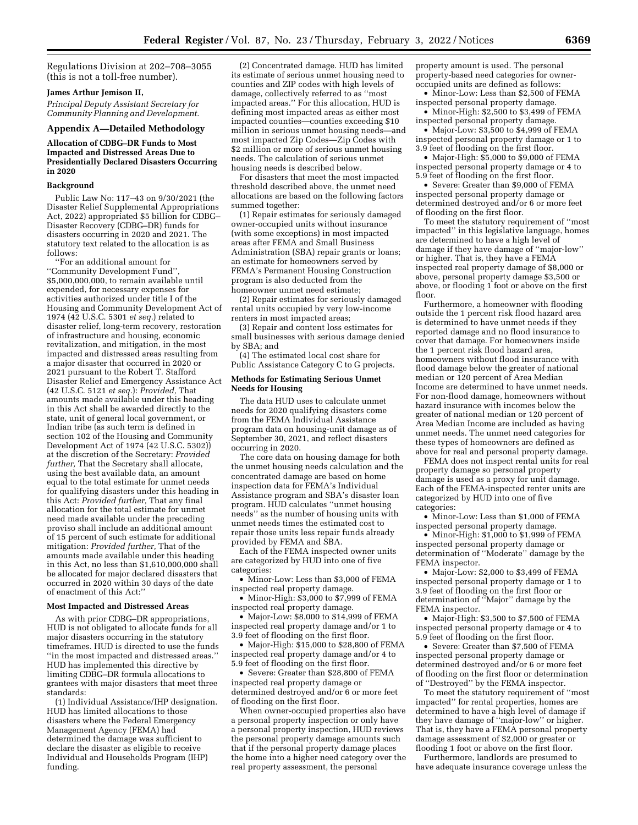Regulations Division at 202–708–3055 (this is not a toll-free number).

## **James Arthur Jemison II,**

*Principal Deputy Assistant Secretary for Community Planning and Development.* 

#### **Appendix A—Detailed Methodology**

**Allocation of CDBG–DR Funds to Most Impacted and Distressed Areas Due to Presidentially Declared Disasters Occurring in 2020** 

#### **Background**

Public Law No: 117–43 on 9/30/2021 (the Disaster Relief Supplemental Appropriations Act, 2022) appropriated \$5 billion for CDBG– Disaster Recovery (CDBG–DR) funds for disasters occurring in 2020 and 2021. The statutory text related to the allocation is as follows:

''For an additional amount for ''Community Development Fund'', \$5,000,000,000, to remain available until expended, for necessary expenses for activities authorized under title I of the Housing and Community Development Act of 1974 (42 U.S.C. 5301 *et seq.*) related to disaster relief, long-term recovery, restoration of infrastructure and housing, economic revitalization, and mitigation, in the most impacted and distressed areas resulting from a major disaster that occurred in 2020 or 2021 pursuant to the Robert T. Stafford Disaster Relief and Emergency Assistance Act (42 U.S.C. 5121 *et seq.*): *Provided,* That amounts made available under this heading in this Act shall be awarded directly to the state, unit of general local government, or Indian tribe (as such term is defined in section 102 of the Housing and Community Development Act of 1974 (42 U.S.C. 5302)) at the discretion of the Secretary: *Provided further,* That the Secretary shall allocate, using the best available data, an amount equal to the total estimate for unmet needs for qualifying disasters under this heading in this Act: *Provided further,* That any final allocation for the total estimate for unmet need made available under the preceding proviso shall include an additional amount of 15 percent of such estimate for additional mitigation: *Provided further,* That of the amounts made available under this heading in this Act, no less than \$1,610,000,000 shall be allocated for major declared disasters that occurred in 2020 within 30 days of the date of enactment of this Act:''

#### **Most Impacted and Distressed Areas**

As with prior CDBG–DR appropriations, HUD is not obligated to allocate funds for all major disasters occurring in the statutory timeframes. HUD is directed to use the funds ''in the most impacted and distressed areas.'' HUD has implemented this directive by limiting CDBG–DR formula allocations to grantees with major disasters that meet three standards:

(1) Individual Assistance/IHP designation. HUD has limited allocations to those disasters where the Federal Emergency Management Agency (FEMA) had determined the damage was sufficient to declare the disaster as eligible to receive Individual and Households Program (IHP) funding.

(2) Concentrated damage. HUD has limited its estimate of serious unmet housing need to counties and ZIP codes with high levels of damage, collectively referred to as ''most impacted areas.'' For this allocation, HUD is defining most impacted areas as either most impacted counties—counties exceeding \$10 million in serious unmet housing needs—and most impacted Zip Codes—Zip Codes with \$2 million or more of serious unmet housing needs. The calculation of serious unmet housing needs is described below.

For disasters that meet the most impacted threshold described above, the unmet need allocations are based on the following factors summed together:

(1) Repair estimates for seriously damaged owner-occupied units without insurance (with some exceptions) in most impacted areas after FEMA and Small Business Administration (SBA) repair grants or loans; an estimate for homeowners served by FEMA's Permanent Housing Construction program is also deducted from the homeowner unmet need estimate;

(2) Repair estimates for seriously damaged rental units occupied by very low-income renters in most impacted areas;

(3) Repair and content loss estimates for small businesses with serious damage denied by SBA; and

(4) The estimated local cost share for Public Assistance Category C to G projects.

#### **Methods for Estimating Serious Unmet Needs for Housing**

The data HUD uses to calculate unmet needs for 2020 qualifying disasters come from the FEMA Individual Assistance program data on housing-unit damage as of September 30, 2021, and reflect disasters occurring in 2020.

The core data on housing damage for both the unmet housing needs calculation and the concentrated damage are based on home inspection data for FEMA's Individual Assistance program and SBA's disaster loan program. HUD calculates ''unmet housing needs'' as the number of housing units with unmet needs times the estimated cost to repair those units less repair funds already provided by FEMA and SBA.

Each of the FEMA inspected owner units are categorized by HUD into one of five categories:

• Minor-Low: Less than \$3,000 of FEMA inspected real property damage.

• Minor-High: \$3,000 to \$7,999 of FEMA inspected real property damage.

• Major-Low:  $\frac{$6,000}{10}$  to \$14,999 of FEMA inspected real property damage and/or 1 to 3.9 feet of flooding on the first floor.

• Major-High: \$15,000 to \$28,800 of FEMA inspected real property damage and/or 4 to 5.9 feet of flooding on the first floor.

• Severe: Greater than \$28,800 of FEMA inspected real property damage or determined destroyed and/or 6 or more feet of flooding on the first floor.

When owner-occupied properties also have a personal property inspection or only have a personal property inspection, HUD reviews the personal property damage amounts such that if the personal property damage places the home into a higher need category over the real property assessment, the personal

property amount is used. The personal property-based need categories for owneroccupied units are defined as follows:

• Minor-Low: Less than \$2,500 of FEMA inspected personal property damage.

• Minor-High: \$2,500 to \$3,499 of FEMA inspected personal property damage.

• Major-Low: \$3,500 to \$4,999 of FEMA inspected personal property damage or 1 to 3.9 feet of flooding on the first floor.

• Major-High: \$5,000 to \$9,000 of FEMA inspected personal property damage or 4 to 5.9 feet of flooding on the first floor.

• Severe: Greater than \$9,000 of FEMA inspected personal property damage or determined destroyed and/or 6 or more feet of flooding on the first floor.

To meet the statutory requirement of ''most impacted'' in this legislative language, homes are determined to have a high level of damage if they have damage of ''major-low'' or higher. That is, they have a FEMA inspected real property damage of \$8,000 or above, personal property damage \$3,500 or above, or flooding 1 foot or above on the first floor.

Furthermore, a homeowner with flooding outside the 1 percent risk flood hazard area is determined to have unmet needs if they reported damage and no flood insurance to cover that damage. For homeowners inside the 1 percent risk flood hazard area, homeowners without flood insurance with flood damage below the greater of national median or 120 percent of Area Median Income are determined to have unmet needs. For non-flood damage, homeowners without hazard insurance with incomes below the greater of national median or 120 percent of Area Median Income are included as having unmet needs. The unmet need categories for these types of homeowners are defined as above for real and personal property damage.

FEMA does not inspect rental units for real property damage so personal property damage is used as a proxy for unit damage. Each of the FEMA-inspected renter units are categorized by HUD into one of five categories:

• Minor-Low: Less than \$1,000 of FEMA inspected personal property damage.

• Minor-High: \$1,000 to \$1,999 of FEMA inspected personal property damage or determination of ''Moderate'' damage by the FEMA inspector.

• Major-Low: \$2,000 to \$3,499 of FEMA inspected personal property damage or 1 to 3.9 feet of flooding on the first floor or determination of ''Major'' damage by the FEMA inspector.

• Major-High: \$3,500 to \$7,500 of FEMA inspected personal property damage or 4 to 5.9 feet of flooding on the first floor.

• Severe: Greater than \$7,500 of FEMA inspected personal property damage or determined destroyed and/or 6 or more feet of flooding on the first floor or determination of ''Destroyed'' by the FEMA inspector.

To meet the statutory requirement of ''most impacted'' for rental properties, homes are determined to have a high level of damage if they have damage of ''major-low'' or higher. That is, they have a FEMA personal property damage assessment of \$2,000 or greater or flooding 1 foot or above on the first floor.

Furthermore, landlords are presumed to have adequate insurance coverage unless the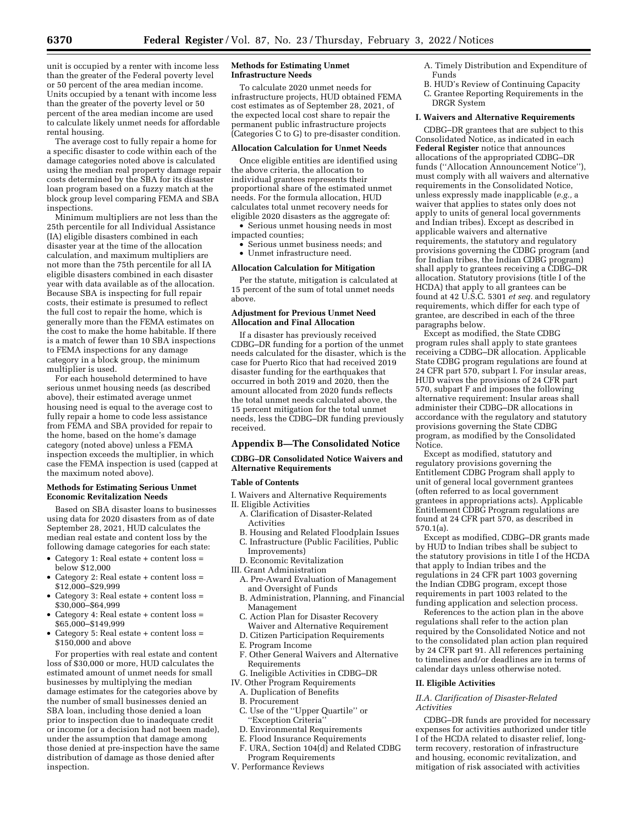unit is occupied by a renter with income less than the greater of the Federal poverty level or 50 percent of the area median income. Units occupied by a tenant with income less than the greater of the poverty level or 50 percent of the area median income are used to calculate likely unmet needs for affordable rental housing.

The average cost to fully repair a home for a specific disaster to code within each of the damage categories noted above is calculated using the median real property damage repair costs determined by the SBA for its disaster loan program based on a fuzzy match at the block group level comparing FEMA and SBA inspections.

Minimum multipliers are not less than the 25th percentile for all Individual Assistance (IA) eligible disasters combined in each disaster year at the time of the allocation calculation, and maximum multipliers are not more than the 75th percentile for all IA eligible disasters combined in each disaster year with data available as of the allocation. Because SBA is inspecting for full repair costs, their estimate is presumed to reflect the full cost to repair the home, which is generally more than the FEMA estimates on the cost to make the home habitable. If there is a match of fewer than 10 SBA inspections to FEMA inspections for any damage category in a block group, the minimum multiplier is used.

For each household determined to have serious unmet housing needs (as described above), their estimated average unmet housing need is equal to the average cost to fully repair a home to code less assistance from FEMA and SBA provided for repair to the home, based on the home's damage category (noted above) unless a FEMA inspection exceeds the multiplier, in which case the FEMA inspection is used (capped at the maximum noted above).

#### **Methods for Estimating Serious Unmet Economic Revitalization Needs**

Based on SBA disaster loans to businesses using data for 2020 disasters from as of date September 28, 2021, HUD calculates the median real estate and content loss by the following damage categories for each state:

- Category 1: Real estate  $+$  content loss  $=$ below \$12,000
- Category 2: Real estate + content loss = \$12,000–\$29,999
- Category 3: Real estate + content loss = \$30,000–\$64,999
- Category 4: Real estate + content loss = \$65,000–\$149,999
- Category 5: Real estate  $+$  content loss  $=$ \$150,000 and above

For properties with real estate and content loss of \$30,000 or more, HUD calculates the estimated amount of unmet needs for small businesses by multiplying the median damage estimates for the categories above by the number of small businesses denied an SBA loan, including those denied a loan prior to inspection due to inadequate credit or income (or a decision had not been made), under the assumption that damage among those denied at pre-inspection have the same distribution of damage as those denied after inspection.

#### **Methods for Estimating Unmet Infrastructure Needs**

To calculate 2020 unmet needs for infrastructure projects, HUD obtained FEMA cost estimates as of September 28, 2021, of the expected local cost share to repair the permanent public infrastructure projects (Categories C to G) to pre-disaster condition.

## **Allocation Calculation for Unmet Needs**

Once eligible entities are identified using the above criteria, the allocation to individual grantees represents their proportional share of the estimated unmet needs. For the formula allocation, HUD calculates total unmet recovery needs for eligible 2020 disasters as the aggregate of:

• Serious unmet housing needs in most impacted counties;

- Serious unmet business needs; and
- Unmet infrastructure need.

## **Allocation Calculation for Mitigation**

Per the statute, mitigation is calculated at 15 percent of the sum of total unmet needs above.

#### **Adjustment for Previous Unmet Need Allocation and Final Allocation**

If a disaster has previously received CDBG–DR funding for a portion of the unmet needs calculated for the disaster, which is the case for Puerto Rico that had received 2019 disaster funding for the earthquakes that occurred in both 2019 and 2020, then the amount allocated from 2020 funds reflects the total unmet needs calculated above, the 15 percent mitigation for the total unmet needs, less the CDBG–DR funding previously received.

#### **Appendix B—The Consolidated Notice**

## **CDBG–DR Consolidated Notice Waivers and Alternative Requirements**

#### **Table of Contents**

- I. Waivers and Alternative Requirements
- II. Eligible Activities A. Clarification of Disaster-Related
	- Activities
	- B. Housing and Related Floodplain Issues
	- C. Infrastructure (Public Facilities, Public
	- Improvements)
	- D. Economic Revitalization
- III. Grant Administration
	- A. Pre-Award Evaluation of Management and Oversight of Funds
	- B. Administration, Planning, and Financial Management
	- C. Action Plan for Disaster Recovery Waiver and Alternative Requirement
	- D. Citizen Participation Requirements
	- E. Program Income
	- F. Other General Waivers and Alternative Requirements
- G. Ineligible Activities in CDBG–DR
- IV. Other Program Requirements
	- A. Duplication of Benefits
	- B. Procurement
	- C. Use of the ''Upper Quartile'' or 'Exception Criteria'
	- D. Environmental Requirements
	- E. Flood Insurance Requirements
	- F. URA, Section 104(d) and Related CDBG Program Requirements
- V. Performance Reviews
- A. Timely Distribution and Expenditure of Funds
- B. HUD's Review of Continuing Capacity
- C. Grantee Reporting Requirements in the DRGR System

#### **I. Waivers and Alternative Requirements**

CDBG–DR grantees that are subject to this Consolidated Notice, as indicated in each **Federal Register** notice that announces allocations of the appropriated CDBG–DR funds (''Allocation Announcement Notice''), must comply with all waivers and alternative requirements in the Consolidated Notice, unless expressly made inapplicable (*e.g.,* a waiver that applies to states only does not apply to units of general local governments and Indian tribes). Except as described in applicable waivers and alternative requirements, the statutory and regulatory provisions governing the CDBG program (and for Indian tribes, the Indian CDBG program) shall apply to grantees receiving a CDBG–DR allocation. Statutory provisions (title I of the HCDA) that apply to all grantees can be found at 42 U.S.C. 5301 *et seq.* and regulatory requirements, which differ for each type of grantee, are described in each of the three paragraphs below.

Except as modified, the State CDBG program rules shall apply to state grantees receiving a CDBG–DR allocation. Applicable State CDBG program regulations are found at 24 CFR part 570, subpart I. For insular areas, HUD waives the provisions of 24 CFR part 570, subpart F and imposes the following alternative requirement: Insular areas shall administer their CDBG–DR allocations in accordance with the regulatory and statutory provisions governing the State CDBG program, as modified by the Consolidated Notice.

Except as modified, statutory and regulatory provisions governing the Entitlement CDBG Program shall apply to unit of general local government grantees (often referred to as local government grantees in appropriations acts). Applicable Entitlement CDBG Program regulations are found at 24 CFR part 570, as described in 570.1(a).

Except as modified, CDBG–DR grants made by HUD to Indian tribes shall be subject to the statutory provisions in title I of the HCDA that apply to Indian tribes and the regulations in 24 CFR part 1003 governing the Indian CDBG program, except those requirements in part 1003 related to the funding application and selection process.

References to the action plan in the above regulations shall refer to the action plan required by the Consolidated Notice and not to the consolidated plan action plan required by 24 CFR part 91. All references pertaining to timelines and/or deadlines are in terms of calendar days unless otherwise noted.

#### **II. Eligible Activities**

#### *II.A. Clarification of Disaster-Related Activities*

CDBG–DR funds are provided for necessary expenses for activities authorized under title I of the HCDA related to disaster relief, longterm recovery, restoration of infrastructure and housing, economic revitalization, and mitigation of risk associated with activities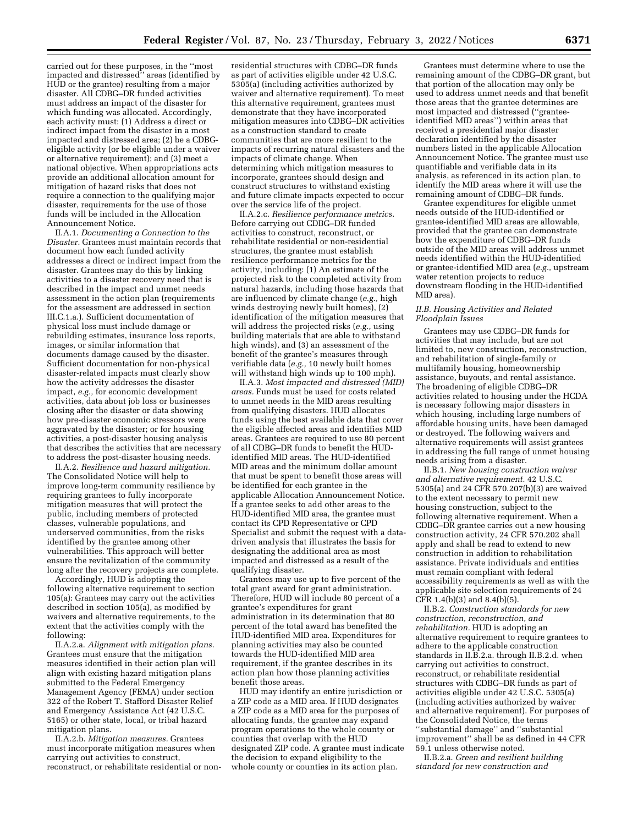carried out for these purposes, in the ''most impacted and distressed'' areas (identified by HUD or the grantee) resulting from a major disaster. All CDBG–DR funded activities must address an impact of the disaster for which funding was allocated. Accordingly, each activity must: (1) Address a direct or indirect impact from the disaster in a most impacted and distressed area; (2) be a CDBGeligible activity (or be eligible under a waiver or alternative requirement); and (3) meet a national objective. When appropriations acts provide an additional allocation amount for mitigation of hazard risks that does not require a connection to the qualifying major disaster, requirements for the use of those funds will be included in the Allocation Announcement Notice.

II.A.1. *Documenting a Connection to the Disaster.* Grantees must maintain records that document how each funded activity addresses a direct or indirect impact from the disaster. Grantees may do this by linking activities to a disaster recovery need that is described in the impact and unmet needs assessment in the action plan (requirements for the assessment are addressed in section III.C.1.a.). Sufficient documentation of physical loss must include damage or rebuilding estimates, insurance loss reports, images, or similar information that documents damage caused by the disaster. Sufficient documentation for non-physical disaster-related impacts must clearly show how the activity addresses the disaster impact, *e.g.,* for economic development activities, data about job loss or businesses closing after the disaster or data showing how pre-disaster economic stressors were aggravated by the disaster; or for housing activities, a post-disaster housing analysis that describes the activities that are necessary to address the post-disaster housing needs.

II.A.2. *Resilience and hazard mitigation.*  The Consolidated Notice will help to improve long-term community resilience by requiring grantees to fully incorporate mitigation measures that will protect the public, including members of protected classes, vulnerable populations, and underserved communities, from the risks identified by the grantee among other vulnerabilities. This approach will better ensure the revitalization of the community long after the recovery projects are complete.

Accordingly, HUD is adopting the following alternative requirement to section 105(a): Grantees may carry out the activities described in section 105(a), as modified by waivers and alternative requirements, to the extent that the activities comply with the following:

II.A.2.a. *Alignment with mitigation plans.*  Grantees must ensure that the mitigation measures identified in their action plan will align with existing hazard mitigation plans submitted to the Federal Emergency Management Agency (FEMA) under section 322 of the Robert T. Stafford Disaster Relief and Emergency Assistance Act (42 U.S.C. 5165) or other state, local, or tribal hazard mitigation plans.

II.A.2.b. *Mitigation measures.* Grantees must incorporate mitigation measures when carrying out activities to construct, reconstruct, or rehabilitate residential or non-

residential structures with CDBG–DR funds as part of activities eligible under 42 U.S.C. 5305(a) (including activities authorized by waiver and alternative requirement). To meet this alternative requirement, grantees must demonstrate that they have incorporated mitigation measures into CDBG–DR activities as a construction standard to create communities that are more resilient to the impacts of recurring natural disasters and the impacts of climate change. When determining which mitigation measures to incorporate, grantees should design and construct structures to withstand existing and future climate impacts expected to occur over the service life of the project.

II.A.2.c. *Resilience performance metrics.*  Before carrying out CDBG–DR funded activities to construct, reconstruct, or rehabilitate residential or non-residential structures, the grantee must establish resilience performance metrics for the activity, including: (1) An estimate of the projected risk to the completed activity from natural hazards, including those hazards that are influenced by climate change (*e.g.,* high winds destroying newly built homes), (2) identification of the mitigation measures that will address the projected risks (*e.g.,* using building materials that are able to withstand high winds), and (3) an assessment of the benefit of the grantee's measures through verifiable data (*e.g.,* 10 newly built homes will withstand high winds up to 100 mph).

II.A.3. *Most impacted and distressed (MID) areas.* Funds must be used for costs related to unmet needs in the MID areas resulting from qualifying disasters. HUD allocates funds using the best available data that cover the eligible affected areas and identifies MID areas. Grantees are required to use 80 percent of all CDBG–DR funds to benefit the HUDidentified MID areas. The HUD-identified MID areas and the minimum dollar amount that must be spent to benefit those areas will be identified for each grantee in the applicable Allocation Announcement Notice. If a grantee seeks to add other areas to the HUD-identified MID area, the grantee must contact its CPD Representative or CPD Specialist and submit the request with a datadriven analysis that illustrates the basis for designating the additional area as most impacted and distressed as a result of the qualifying disaster.

Grantees may use up to five percent of the total grant award for grant administration. Therefore, HUD will include 80 percent of a grantee's expenditures for grant administration in its determination that 80 percent of the total award has benefited the HUD-identified MID area. Expenditures for planning activities may also be counted towards the HUD-identified MID area requirement, if the grantee describes in its action plan how those planning activities benefit those areas.

HUD may identify an entire jurisdiction or a ZIP code as a MID area. If HUD designates a ZIP code as a MID area for the purposes of allocating funds, the grantee may expand program operations to the whole county or counties that overlap with the HUD designated ZIP code. A grantee must indicate the decision to expand eligibility to the whole county or counties in its action plan.

Grantees must determine where to use the remaining amount of the CDBG–DR grant, but that portion of the allocation may only be used to address unmet needs and that benefit those areas that the grantee determines are most impacted and distressed (''granteeidentified MID areas'') within areas that received a presidential major disaster declaration identified by the disaster numbers listed in the applicable Allocation Announcement Notice. The grantee must use quantifiable and verifiable data in its analysis, as referenced in its action plan, to identify the MID areas where it will use the remaining amount of CDBG–DR funds.

Grantee expenditures for eligible unmet needs outside of the HUD-identified or grantee-identified MID areas are allowable, provided that the grantee can demonstrate how the expenditure of CDBG–DR funds outside of the MID areas will address unmet needs identified within the HUD-identified or grantee-identified MID area (*e.g.,* upstream water retention projects to reduce downstream flooding in the HUD-identified MID area).

#### *II.B. Housing Activities and Related Floodplain Issues*

Grantees may use CDBG–DR funds for activities that may include, but are not limited to, new construction, reconstruction, and rehabilitation of single-family or multifamily housing, homeownership assistance, buyouts, and rental assistance. The broadening of eligible CDBG–DR activities related to housing under the HCDA is necessary following major disasters in which housing, including large numbers of affordable housing units, have been damaged or destroyed. The following waivers and alternative requirements will assist grantees in addressing the full range of unmet housing needs arising from a disaster.

II.B.1. *New housing construction waiver and alternative requirement.* 42 U.S.C. 5305(a) and 24 CFR 570.207(b)(3) are waived to the extent necessary to permit new housing construction, subject to the following alternative requirement. When a CDBG–DR grantee carries out a new housing construction activity, 24 CFR 570.202 shall apply and shall be read to extend to new construction in addition to rehabilitation assistance. Private individuals and entities must remain compliant with federal accessibility requirements as well as with the applicable site selection requirements of 24  $CFR$  1.4(b)(3) and 8.4(b)(5).

II.B.2. *Construction standards for new construction, reconstruction, and rehabilitation.* HUD is adopting an alternative requirement to require grantees to adhere to the applicable construction standards in II.B.2.a. through II.B.2.d. when carrying out activities to construct, reconstruct, or rehabilitate residential structures with CDBG–DR funds as part of activities eligible under 42 U.S.C. 5305(a) (including activities authorized by waiver and alternative requirement). For purposes of the Consolidated Notice, the terms ''substantial damage'' and ''substantial improvement'' shall be as defined in 44 CFR 59.1 unless otherwise noted.

II.B.2.a. *Green and resilient building standard for new construction and*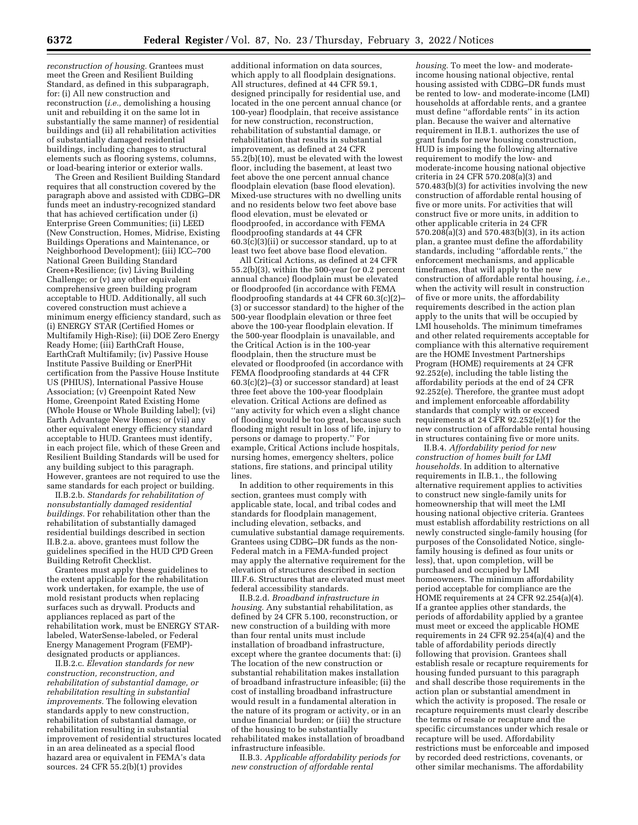*reconstruction of housing.* Grantees must meet the Green and Resilient Building Standard, as defined in this subparagraph, for: (i) All new construction and reconstruction (*i.e.,* demolishing a housing unit and rebuilding it on the same lot in substantially the same manner) of residential buildings and (ii) all rehabilitation activities of substantially damaged residential buildings, including changes to structural elements such as flooring systems, columns, or load-bearing interior or exterior walls.

The Green and Resilient Building Standard requires that all construction covered by the paragraph above and assisted with CDBG–DR funds meet an industry-recognized standard that has achieved certification under (i) Enterprise Green Communities; (ii) LEED (New Construction, Homes, Midrise, Existing Buildings Operations and Maintenance, or Neighborhood Development); (iii) ICC–700 National Green Building Standard Green+Resilience; (iv) Living Building Challenge; or (v) any other equivalent comprehensive green building program acceptable to HUD. Additionally, all such covered construction must achieve a minimum energy efficiency standard, such as (i) ENERGY STAR (Certified Homes or Multifamily High-Rise); (ii) DOE Zero Energy Ready Home; (iii) EarthCraft House, EarthCraft Multifamily; (iv) Passive House Institute Passive Building or EnerPHit certification from the Passive House Institute US (PHIUS), International Passive House Association; (v) Greenpoint Rated New Home, Greenpoint Rated Existing Home (Whole House or Whole Building label); (vi) Earth Advantage New Homes; or (vii) any other equivalent energy efficiency standard acceptable to HUD. Grantees must identify, in each project file, which of these Green and Resilient Building Standards will be used for any building subject to this paragraph. However, grantees are not required to use the same standards for each project or building.

II.B.2.b. *Standards for rehabilitation of nonsubstantially damaged residential buildings.* For rehabilitation other than the rehabilitation of substantially damaged residential buildings described in section II.B.2.a. above, grantees must follow the guidelines specified in the HUD CPD Green Building Retrofit Checklist.

Grantees must apply these guidelines to the extent applicable for the rehabilitation work undertaken, for example, the use of mold resistant products when replacing surfaces such as drywall. Products and appliances replaced as part of the rehabilitation work, must be ENERGY STARlabeled, WaterSense-labeled, or Federal Energy Management Program (FEMP) designated products or appliances.

II.B.2.c. *Elevation standards for new construction, reconstruction, and rehabilitation of substantial damage, or rehabilitation resulting in substantial improvements.* The following elevation standards apply to new construction, rehabilitation of substantial damage, or rehabilitation resulting in substantial improvement of residential structures located in an area delineated as a special flood hazard area or equivalent in FEMA's data sources. 24 CFR 55.2(b)(1) provides

additional information on data sources, which apply to all floodplain designations. All structures, defined at 44 CFR 59.1, designed principally for residential use, and located in the one percent annual chance (or 100-year) floodplain, that receive assistance for new construction, reconstruction, rehabilitation of substantial damage, or rehabilitation that results in substantial improvement, as defined at 24 CFR 55.2(b)(10), must be elevated with the lowest floor, including the basement, at least two feet above the one percent annual chance floodplain elevation (base flood elevation). Mixed-use structures with no dwelling units and no residents below two feet above base flood elevation, must be elevated or floodproofed, in accordance with FEMA floodproofing standards at 44 CFR  $60.3(\bar{c})(3)(ii)$  or successor standard, up to at least two feet above base flood elevation.

All Critical Actions, as defined at 24 CFR 55.2(b)(3), within the 500-year (or 0.2 percent annual chance) floodplain must be elevated or floodproofed (in accordance with FEMA floodproofing standards at 44 CFR 60.3(c)(2)– (3) or successor standard) to the higher of the 500-year floodplain elevation or three feet above the 100-year floodplain elevation. If the 500-year floodplain is unavailable, and the Critical Action is in the 100-year floodplain, then the structure must be elevated or floodproofed (in accordance with FEMA floodproofing standards at 44 CFR  $60.3(c)(2)$ – $(3)$  or successor standard) at least three feet above the 100-year floodplain elevation. Critical Actions are defined as ''any activity for which even a slight chance of flooding would be too great, because such flooding might result in loss of life, injury to persons or damage to property.'' For example, Critical Actions include hospitals, nursing homes, emergency shelters, police stations, fire stations, and principal utility lines.

In addition to other requirements in this section, grantees must comply with applicable state, local, and tribal codes and standards for floodplain management, including elevation, setbacks, and cumulative substantial damage requirements. Grantees using CDBG–DR funds as the non-Federal match in a FEMA-funded project may apply the alternative requirement for the elevation of structures described in section III.F.6. Structures that are elevated must meet federal accessibility standards.

II.B.2.d. *Broadband infrastructure in housing.* Any substantial rehabilitation, as defined by 24 CFR 5.100, reconstruction, or new construction of a building with more than four rental units must include installation of broadband infrastructure, except where the grantee documents that: (i) The location of the new construction or substantial rehabilitation makes installation of broadband infrastructure infeasible; (ii) the cost of installing broadband infrastructure would result in a fundamental alteration in the nature of its program or activity, or in an undue financial burden; or (iii) the structure of the housing to be substantially rehabilitated makes installation of broadband infrastructure infeasible.

II.B.3. *Applicable affordability periods for new construction of affordable rental* 

*housing.* To meet the low- and moderateincome housing national objective, rental housing assisted with CDBG–DR funds must be rented to low- and moderate-income (LMI) households at affordable rents, and a grantee must define ''affordable rents'' in its action plan. Because the waiver and alternative requirement in II.B.1. authorizes the use of grant funds for new housing construction, HUD is imposing the following alternative requirement to modify the low- and moderate-income housing national objective criteria in 24 CFR 570.208(a)(3) and 570.483(b)(3) for activities involving the new construction of affordable rental housing of five or more units. For activities that will construct five or more units, in addition to other applicable criteria in 24 CFR 570.208(a)(3) and 570.483(b)(3), in its action plan, a grantee must define the affordability standards, including ''affordable rents,'' the enforcement mechanisms, and applicable timeframes, that will apply to the new construction of affordable rental housing, *i.e.,*  when the activity will result in construction of five or more units, the affordability requirements described in the action plan apply to the units that will be occupied by LMI households. The minimum timeframes and other related requirements acceptable for compliance with this alternative requirement are the HOME Investment Partnerships Program (HOME) requirements at 24 CFR 92.252(e), including the table listing the affordability periods at the end of 24 CFR 92.252(e). Therefore, the grantee must adopt and implement enforceable affordability standards that comply with or exceed requirements at 24 CFR 92.252(e)(1) for the new construction of affordable rental housing in structures containing five or more units.

II.B.4. *Affordability period for new construction of homes built for LMI households.* In addition to alternative requirements in II.B.1., the following alternative requirement applies to activities to construct new single-family units for homeownership that will meet the LMI housing national objective criteria. Grantees must establish affordability restrictions on all newly constructed single-family housing (for purposes of the Consolidated Notice, singlefamily housing is defined as four units or less), that, upon completion, will be purchased and occupied by LMI homeowners. The minimum affordability period acceptable for compliance are the HOME requirements at 24 CFR 92.254(a)(4). If a grantee applies other standards, the periods of affordability applied by a grantee must meet or exceed the applicable HOME requirements in 24 CFR  $92.254(a)(4)$  and the table of affordability periods directly following that provision. Grantees shall establish resale or recapture requirements for housing funded pursuant to this paragraph and shall describe those requirements in the action plan or substantial amendment in which the activity is proposed. The resale or recapture requirements must clearly describe the terms of resale or recapture and the specific circumstances under which resale or recapture will be used. Affordability restrictions must be enforceable and imposed by recorded deed restrictions, covenants, or other similar mechanisms. The affordability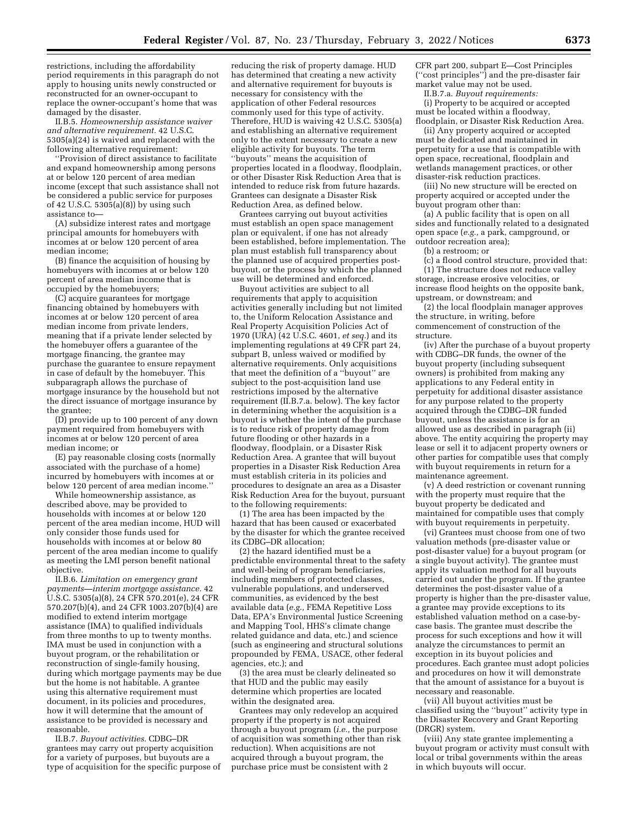restrictions, including the affordability period requirements in this paragraph do not apply to housing units newly constructed or reconstructed for an owner-occupant to replace the owner-occupant's home that was damaged by the disaster.

II.B.5. *Homeownership assistance waiver and alternative requirement.* 42 U.S.C. 5305(a)(24) is waived and replaced with the following alternative requirement:

''Provision of direct assistance to facilitate and expand homeownership among persons at or below 120 percent of area median income (except that such assistance shall not be considered a public service for purposes of 42 U.S.C. 5305(a)(8)) by using such assistance to—

(A) subsidize interest rates and mortgage principal amounts for homebuyers with incomes at or below 120 percent of area median income;

(B) finance the acquisition of housing by homebuyers with incomes at or below 120 percent of area median income that is occupied by the homebuyers;

(C) acquire guarantees for mortgage financing obtained by homebuyers with incomes at or below 120 percent of area median income from private lenders, meaning that if a private lender selected by the homebuyer offers a guarantee of the mortgage financing, the grantee may purchase the guarantee to ensure repayment in case of default by the homebuyer. This subparagraph allows the purchase of mortgage insurance by the household but not the direct issuance of mortgage insurance by the grantee;

(D) provide up to 100 percent of any down payment required from homebuyers with incomes at or below 120 percent of area median income; or

(E) pay reasonable closing costs (normally associated with the purchase of a home) incurred by homebuyers with incomes at or below 120 percent of area median income.''

While homeownership assistance, as described above, may be provided to households with incomes at or below 120 percent of the area median income, HUD will only consider those funds used for households with incomes at or below 80 percent of the area median income to qualify as meeting the LMI person benefit national objective.

II.B.6. *Limitation on emergency grant payments—interim mortgage assistance.* 42 U.S.C. 5305(a)(8), 24 CFR 570.201(e), 24 CFR 570.207(b)(4), and 24 CFR 1003.207(b)(4) are modified to extend interim mortgage assistance (IMA) to qualified individuals from three months to up to twenty months. IMA must be used in conjunction with a buyout program, or the rehabilitation or reconstruction of single-family housing, during which mortgage payments may be due but the home is not habitable. A grantee using this alternative requirement must document, in its policies and procedures, how it will determine that the amount of assistance to be provided is necessary and reasonable.

II.B.7. *Buyout activities.* CDBG–DR grantees may carry out property acquisition for a variety of purposes, but buyouts are a type of acquisition for the specific purpose of

reducing the risk of property damage. HUD has determined that creating a new activity and alternative requirement for buyouts is necessary for consistency with the application of other Federal resources commonly used for this type of activity. Therefore, HUD is waiving 42 U.S.C. 5305(a) and establishing an alternative requirement only to the extent necessary to create a new eligible activity for buyouts. The term ''buyouts'' means the acquisition of properties located in a floodway, floodplain, or other Disaster Risk Reduction Area that is intended to reduce risk from future hazards. Grantees can designate a Disaster Risk Reduction Area, as defined below.

Grantees carrying out buyout activities must establish an open space management plan or equivalent, if one has not already been established, before implementation. The plan must establish full transparency about the planned use of acquired properties postbuyout, or the process by which the planned use will be determined and enforced.

Buyout activities are subject to all requirements that apply to acquisition activities generally including but not limited to, the Uniform Relocation Assistance and Real Property Acquisition Policies Act of 1970 (URA) (42 U.S.C. 4601, *et seq.*) and its implementing regulations at 49 CFR part 24, subpart B, unless waived or modified by alternative requirements. Only acquisitions that meet the definition of a ''buyout'' are subject to the post-acquisition land use restrictions imposed by the alternative requirement (II.B.7.a. below). The key factor in determining whether the acquisition is a buyout is whether the intent of the purchase is to reduce risk of property damage from future flooding or other hazards in a floodway, floodplain, or a Disaster Risk Reduction Area. A grantee that will buyout properties in a Disaster Risk Reduction Area must establish criteria in its policies and procedures to designate an area as a Disaster Risk Reduction Area for the buyout, pursuant to the following requirements:

(1) The area has been impacted by the hazard that has been caused or exacerbated by the disaster for which the grantee received its CDBG–DR allocation;

(2) the hazard identified must be a predictable environmental threat to the safety and well-being of program beneficiaries, including members of protected classes, vulnerable populations, and underserved communities, as evidenced by the best available data (*e.g.,* FEMA Repetitive Loss Data, EPA's Environmental Justice Screening and Mapping Tool, HHS's climate change related guidance and data, etc.) and science (such as engineering and structural solutions propounded by FEMA, USACE, other federal agencies, etc.); and

(3) the area must be clearly delineated so that HUD and the public may easily determine which properties are located within the designated area.

Grantees may only redevelop an acquired property if the property is not acquired through a buyout program (*i.e.,* the purpose of acquisition was something other than risk reduction). When acquisitions are not acquired through a buyout program, the purchase price must be consistent with 2

CFR part 200, subpart E—Cost Principles (''cost principles'') and the pre-disaster fair market value may not be used. II.B.7.a. *Buyout requirements:* 

(i) Property to be acquired or accepted must be located within a floodway,

floodplain, or Disaster Risk Reduction Area. (ii) Any property acquired or accepted must be dedicated and maintained in perpetuity for a use that is compatible with open space, recreational, floodplain and wetlands management practices, or other disaster-risk reduction practices.

(iii) No new structure will be erected on property acquired or accepted under the buyout program other than:

(a) A public facility that is open on all sides and functionally related to a designated open space (*e.g.,* a park, campground, or outdoor recreation area);

(b) a restroom; or

(c) a flood control structure, provided that: (1) The structure does not reduce valley storage, increase erosive velocities, or increase flood heights on the opposite bank, upstream, or downstream; and

(2) the local floodplain manager approves the structure, in writing, before commencement of construction of the structure.

(iv) After the purchase of a buyout property with CDBG–DR funds, the owner of the buyout property (including subsequent owners) is prohibited from making any applications to any Federal entity in perpetuity for additional disaster assistance for any purpose related to the property acquired through the CDBG–DR funded buyout, unless the assistance is for an allowed use as described in paragraph (ii) above. The entity acquiring the property may lease or sell it to adjacent property owners or other parties for compatible uses that comply with buyout requirements in return for a maintenance agreement.

(v) A deed restriction or covenant running with the property must require that the buyout property be dedicated and maintained for compatible uses that comply with buyout requirements in perpetuity.

(vi) Grantees must choose from one of two valuation methods (pre-disaster value or post-disaster value) for a buyout program (or a single buyout activity). The grantee must apply its valuation method for all buyouts carried out under the program. If the grantee determines the post-disaster value of a property is higher than the pre-disaster value, a grantee may provide exceptions to its established valuation method on a case-bycase basis. The grantee must describe the process for such exceptions and how it will analyze the circumstances to permit an exception in its buyout policies and procedures. Each grantee must adopt policies and procedures on how it will demonstrate that the amount of assistance for a buyout is necessary and reasonable.

(vii) All buyout activities must be classified using the ''buyout'' activity type in the Disaster Recovery and Grant Reporting (DRGR) system.

(viii) Any state grantee implementing a buyout program or activity must consult with local or tribal governments within the areas in which buyouts will occur.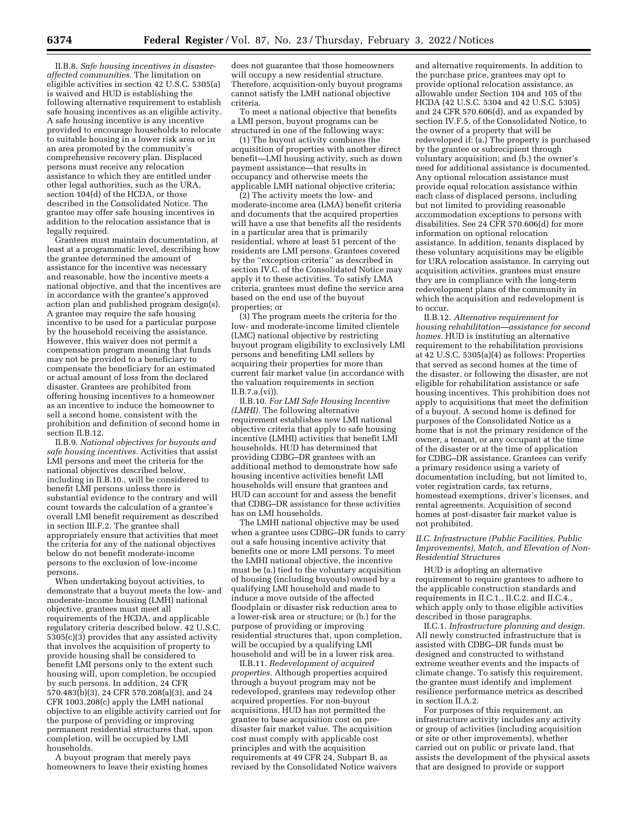II.B.8. *Safe housing incentives in disasteraffected communities.* The limitation on eligible activities in section 42 U.S.C. 5305(a) is waived and HUD is establishing the following alternative requirement to establish safe housing incentives as an eligible activity. A safe housing incentive is any incentive provided to encourage households to relocate to suitable housing in a lower risk area or in an area promoted by the community's comprehensive recovery plan. Displaced persons must receive any relocation assistance to which they are entitled under other legal authorities, such as the URA, section 104(d) of the HCDA, or those described in the Consolidated Notice. The grantee may offer safe housing incentives in addition to the relocation assistance that is legally required.

Grantees must maintain documentation, at least at a programmatic level, describing how the grantee determined the amount of assistance for the incentive was necessary and reasonable, how the incentive meets a national objective, and that the incentives are in accordance with the grantee's approved action plan and published program design(s). A grantee may require the safe housing incentive to be used for a particular purpose by the household receiving the assistance. However, this waiver does not permit a compensation program meaning that funds may not be provided to a beneficiary to compensate the beneficiary for an estimated or actual amount of loss from the declared disaster. Grantees are prohibited from offering housing incentives to a homeowner as an incentive to induce the homeowner to sell a second home, consistent with the prohibition and definition of second home in section II.B.12.

II.B.9. *National objectives for buyouts and safe housing incentives.* Activities that assist LMI persons and meet the criteria for the national objectives described below, including in II.B.10., will be considered to benefit LMI persons unless there is substantial evidence to the contrary and will count towards the calculation of a grantee's overall LMI benefit requirement as described in section III.F.2. The grantee shall appropriately ensure that activities that meet the criteria for any of the national objectives below do not benefit moderate-income persons to the exclusion of low-income persons.

When undertaking buyout activities, to demonstrate that a buyout meets the low- and moderate-income housing (LMH) national objective, grantees must meet all requirements of the HCDA, and applicable regulatory criteria described below. 42 U.S.C. 5305(c)(3) provides that any assisted activity that involves the acquisition of property to provide housing shall be considered to benefit LMI persons only to the extent such housing will, upon completion, be occupied by such persons. In addition, 24 CFR 570.483(b)(3), 24 CFR 570.208(a)(3), and 24 CFR 1003.208(c) apply the LMH national objective to an eligible activity carried out for the purpose of providing or improving permanent residential structures that, upon completion, will be occupied by LMI households.

A buyout program that merely pays homeowners to leave their existing homes

does not guarantee that those homeowners will occupy a new residential structure. Therefore, acquisition-only buyout programs cannot satisfy the LMH national objective criteria.

To meet a national objective that benefits a LMI person, buyout programs can be structured in one of the following ways:

(1) The buyout activity combines the acquisition of properties with another direct benefit—LMI housing activity, such as down payment assistance—that results in occupancy and otherwise meets the applicable LMH national objective criteria;

(2) The activity meets the low- and moderate-income area (LMA) benefit criteria and documents that the acquired properties will have a use that benefits all the residents in a particular area that is primarily residential, where at least 51 percent of the residents are LMI persons. Grantees covered by the ''exception criteria'' as described in section IV.C. of the Consolidated Notice may apply it to these activities. To satisfy LMA criteria, grantees must define the service area based on the end use of the buyout properties; or

(3) The program meets the criteria for the low- and moderate-income limited clientele (LMC) national objective by restricting buyout program eligibility to exclusively LMI persons and benefiting LMI sellers by acquiring their properties for more than current fair market value (in accordance with the valuation requirements in section II.B.7.a.(vi)).

II.B.10. *For LMI Safe Housing Incentive (LMHI).* The following alternative requirement establishes new LMI national objective criteria that apply to safe housing incentive (LMHI) activities that benefit LMI households. HUD has determined that providing CDBG–DR grantees with an additional method to demonstrate how safe housing incentive activities benefit LMI households will ensure that grantees and HUD can account for and assess the benefit that CDBG–DR assistance for these activities has on LMI households.

The LMHI national objective may be used when a grantee uses CDBG–DR funds to carry out a safe housing incentive activity that benefits one or more LMI persons. To meet the LMHI national objective, the incentive must be (a.) tied to the voluntary acquisition of housing (including buyouts) owned by a qualifying LMI household and made to induce a move outside of the affected floodplain or disaster risk reduction area to a lower-risk area or structure; or (b.) for the purpose of providing or improving residential structures that, upon completion, will be occupied by a qualifying LMI household and will be in a lower risk area.

II.B.11. *Redevelopment of acquired properties.* Although properties acquired through a buyout program may not be redeveloped, grantees may redevelop other acquired properties. For non-buyout acquisitions, HUD has not permitted the grantee to base acquisition cost on predisaster fair market value. The acquisition cost must comply with applicable cost principles and with the acquisition requirements at 49 CFR 24, Subpart B, as revised by the Consolidated Notice waivers

and alternative requirements. In addition to the purchase price, grantees may opt to provide optional relocation assistance, as allowable under Section 104 and 105 of the HCDA (42 U.S.C. 5304 and 42 U.S.C. 5305) and 24 CFR 570.606(d), and as expanded by section IV.F.5. of the Consolidated Notice, to the owner of a property that will be redeveloped if: (a.) The property is purchased by the grantee or subrecipient through voluntary acquisition; and (b.) the owner's need for additional assistance is documented. Any optional relocation assistance must provide equal relocation assistance within each class of displaced persons, including but not limited to providing reasonable accommodation exceptions to persons with disabilities. See 24 CFR 570.606(d) for more information on optional relocation assistance. In addition, tenants displaced by these voluntary acquisitions may be eligible for URA relocation assistance. In carrying out acquisition activities, grantees must ensure they are in compliance with the long-term redevelopment plans of the community in which the acquisition and redevelopment is to occur.

II.B.12. *Alternative requirement for housing rehabilitation—assistance for second homes.* HUD is instituting an alternative requirement to the rehabilitation provisions at  $42$  U.S.C. 5305(a)(4) as follows: Properties that served as second homes at the time of the disaster, or following the disaster, are not eligible for rehabilitation assistance or safe housing incentives. This prohibition does not apply to acquisitions that meet the definition of a buyout. A second home is defined for purposes of the Consolidated Notice as a home that is not the primary residence of the owner, a tenant, or any occupant at the time of the disaster or at the time of application for CDBG–DR assistance. Grantees can verify a primary residence using a variety of documentation including, but not limited to, voter registration cards, tax returns, homestead exemptions, driver's licenses, and rental agreements. Acquisition of second homes at post-disaster fair market value is not prohibited.

#### *II.C. Infrastructure (Public Facilities, Public Improvements), Match, and Elevation of Non-Residential Structures*

HUD is adopting an alternative requirement to require grantees to adhere to the applicable construction standards and requirements in II.C.1., II.C.2. and II.C.4., which apply only to those eligible activities described in those paragraphs.

II.C.1. *Infrastructure planning and design.*  All newly constructed infrastructure that is assisted with CDBG–DR funds must be designed and constructed to withstand extreme weather events and the impacts of climate change. To satisfy this requirement, the grantee must identify and implement resilience performance metrics as described in section II.A.2.

For purposes of this requirement, an infrastructure activity includes any activity or group of activities (including acquisition or site or other improvements), whether carried out on public or private land, that assists the development of the physical assets that are designed to provide or support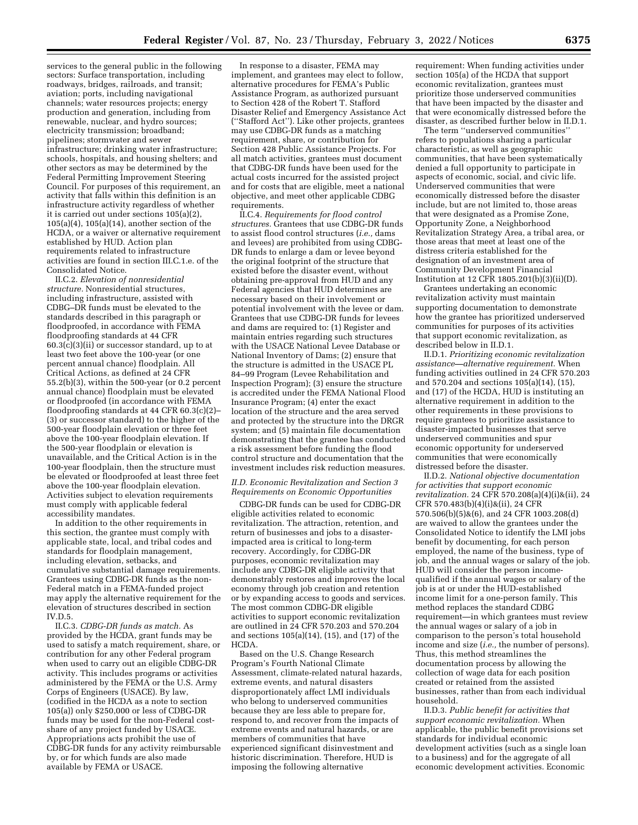services to the general public in the following sectors: Surface transportation, including roadways, bridges, railroads, and transit; aviation; ports, including navigational channels; water resources projects; energy production and generation, including from renewable, nuclear, and hydro sources; electricity transmission; broadband; pipelines; stormwater and sewer infrastructure; drinking water infrastructure; schools, hospitals, and housing shelters; and other sectors as may be determined by the Federal Permitting Improvement Steering Council. For purposes of this requirement, an activity that falls within this definition is an infrastructure activity regardless of whether it is carried out under sections 105(a)(2), 105(a)(4), 105(a)(14), another section of the HCDA, or a waiver or alternative requirement established by HUD. Action plan requirements related to infrastructure activities are found in section III.C.1.e. of the Consolidated Notice.

II.C.2. *Elevation of nonresidential structure.* Nonresidential structures, including infrastructure, assisted with CDBG–DR funds must be elevated to the standards described in this paragraph or floodproofed, in accordance with FEMA floodproofing standards at 44 CFR 60.3(c)(3)(ii) or successor standard, up to at least two feet above the 100-year (or one percent annual chance) floodplain. All Critical Actions, as defined at 24 CFR 55.2(b)(3), within the 500-year (or 0.2 percent annual chance) floodplain must be elevated or floodproofed (in accordance with FEMA floodproofing standards at 44 CFR 60.3(c)(2)– (3) or successor standard) to the higher of the 500-year floodplain elevation or three feet above the 100-year floodplain elevation. If the 500-year floodplain or elevation is unavailable, and the Critical Action is in the 100-year floodplain, then the structure must be elevated or floodproofed at least three feet above the 100-year floodplain elevation. Activities subject to elevation requirements must comply with applicable federal accessibility mandates.

In addition to the other requirements in this section, the grantee must comply with applicable state, local, and tribal codes and standards for floodplain management, including elevation, setbacks, and cumulative substantial damage requirements. Grantees using CDBG-DR funds as the non-Federal match in a FEMA-funded project may apply the alternative requirement for the elevation of structures described in section IV.D.5.

II.C.3. *CDBG-DR funds as match.* As provided by the HCDA, grant funds may be used to satisfy a match requirement, share, or contribution for any other Federal program when used to carry out an eligible CDBG-DR activity. This includes programs or activities administered by the FEMA or the U.S. Army Corps of Engineers (USACE). By law, (codified in the HCDA as a note to section 105(a)) only \$250,000 or less of CDBG-DR funds may be used for the non-Federal costshare of any project funded by USACE. Appropriations acts prohibit the use of CDBG-DR funds for any activity reimbursable by, or for which funds are also made available by FEMA or USACE.

In response to a disaster, FEMA may implement, and grantees may elect to follow, alternative procedures for FEMA's Public Assistance Program, as authorized pursuant to Section 428 of the Robert T. Stafford Disaster Relief and Emergency Assistance Act (''Stafford Act''). Like other projects, grantees may use CDBG-DR funds as a matching requirement, share, or contribution for Section 428 Public Assistance Projects. For all match activities, grantees must document that CDBG-DR funds have been used for the actual costs incurred for the assisted project and for costs that are eligible, meet a national objective, and meet other applicable CDBG requirements.

II.C.4. *Requirements for flood control structures.* Grantees that use CDBG-DR funds to assist flood control structures (*i.e.,* dams and levees) are prohibited from using CDBG-DR funds to enlarge a dam or levee beyond the original footprint of the structure that existed before the disaster event, without obtaining pre-approval from HUD and any Federal agencies that HUD determines are necessary based on their involvement or potential involvement with the levee or dam. Grantees that use CDBG-DR funds for levees and dams are required to: (1) Register and maintain entries regarding such structures with the USACE National Levee Database or National Inventory of Dams; (2) ensure that the structure is admitted in the USACE PL 84–99 Program (Levee Rehabilitation and Inspection Program); (3) ensure the structure is accredited under the FEMA National Flood Insurance Program; (4) enter the exact location of the structure and the area served and protected by the structure into the DRGR system; and (5) maintain file documentation demonstrating that the grantee has conducted a risk assessment before funding the flood control structure and documentation that the investment includes risk reduction measures.

## *II.D. Economic Revitalization and Section 3 Requirements on Economic Opportunities*

CDBG-DR funds can be used for CDBG-DR eligible activities related to economic revitalization. The attraction, retention, and return of businesses and jobs to a disasterimpacted area is critical to long-term recovery. Accordingly, for CDBG-DR purposes, economic revitalization may include any CDBG-DR eligible activity that demonstrably restores and improves the local economy through job creation and retention or by expanding access to goods and services. The most common CDBG-DR eligible activities to support economic revitalization are outlined in 24 CFR 570.203 and 570.204 and sections 105(a)(14), (15), and (17) of the HCDA.

Based on the U.S. Change Research Program's Fourth National Climate Assessment, climate-related natural hazards, extreme events, and natural disasters disproportionately affect LMI individuals who belong to underserved communities because they are less able to prepare for, respond to, and recover from the impacts of extreme events and natural hazards, or are members of communities that have experienced significant disinvestment and historic discrimination. Therefore, HUD is imposing the following alternative

requirement: When funding activities under section 105(a) of the HCDA that support economic revitalization, grantees must prioritize those underserved communities that have been impacted by the disaster and that were economically distressed before the disaster, as described further below in II.D.1.

The term ''underserved communities'' refers to populations sharing a particular characteristic, as well as geographic communities, that have been systematically denied a full opportunity to participate in aspects of economic, social, and civic life. Underserved communities that were economically distressed before the disaster include, but are not limited to, those areas that were designated as a Promise Zone, Opportunity Zone, a Neighborhood Revitalization Strategy Area, a tribal area, or those areas that meet at least one of the distress criteria established for the designation of an investment area of Community Development Financial Institution at 12 CFR 1805.201(b)(3)(ii)(D).

Grantees undertaking an economic revitalization activity must maintain supporting documentation to demonstrate how the grantee has prioritized underserved communities for purposes of its activities that support economic revitalization, as described below in II.D.1.

II.D.1. *Prioritizing economic revitalization assistance—alternative requirement.* When funding activities outlined in 24 CFR 570.203 and 570.204 and sections 105(a)(14), (15), and (17) of the HCDA, HUD is instituting an alternative requirement in addition to the other requirements in these provisions to require grantees to prioritize assistance to disaster-impacted businesses that serve underserved communities and spur economic opportunity for underserved communities that were economically distressed before the disaster.

II.D.2. *National objective documentation for activities that support economic revitalization.* 24 CFR 570.208(a)(4)(i)&(ii), 24 CFR 570.483(b)(4)(i)&(ii), 24 CFR 570.506(b)(5)&(6), and 24 CFR 1003.208(d) are waived to allow the grantees under the Consolidated Notice to identify the LMI jobs benefit by documenting, for each person employed, the name of the business, type of job, and the annual wages or salary of the job. HUD will consider the person incomequalified if the annual wages or salary of the job is at or under the HUD-established income limit for a one-person family. This method replaces the standard CDBG requirement—in which grantees must review the annual wages or salary of a job in comparison to the person's total household income and size (*i.e.,* the number of persons). Thus, this method streamlines the documentation process by allowing the collection of wage data for each position created or retained from the assisted businesses, rather than from each individual household.

II.D.3. *Public benefit for activities that support economic revitalization.* When applicable, the public benefit provisions set standards for individual economic development activities (such as a single loan to a business) and for the aggregate of all economic development activities. Economic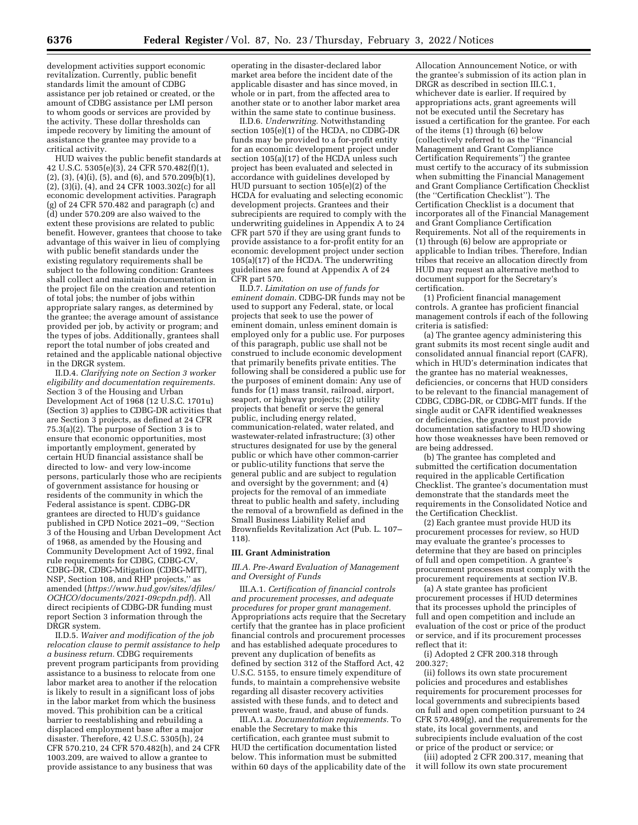development activities support economic revitalization. Currently, public benefit standards limit the amount of CDBG assistance per job retained or created, or the amount of CDBG assistance per LMI person to whom goods or services are provided by the activity. These dollar thresholds can impede recovery by limiting the amount of assistance the grantee may provide to a critical activity.

HUD waives the public benefit standards at 42 U.S.C. 5305(e)(3), 24 CFR 570.482(f)(1),  $(2)$ ,  $(3)$ ,  $(4)(i)$ ,  $(5)$ , and  $(6)$ , and  $570.209(b)(1)$ , (2), (3)(i), (4), and 24 CFR 1003.302(c) for all economic development activities. Paragraph (g) of 24 CFR 570.482 and paragraph (c) and (d) under 570.209 are also waived to the extent these provisions are related to public benefit. However, grantees that choose to take advantage of this waiver in lieu of complying with public benefit standards under the existing regulatory requirements shall be subject to the following condition: Grantees shall collect and maintain documentation in the project file on the creation and retention of total jobs; the number of jobs within appropriate salary ranges, as determined by the grantee; the average amount of assistance provided per job, by activity or program; and the types of jobs. Additionally, grantees shall report the total number of jobs created and retained and the applicable national objective in the DRGR system.

II.D.4. *Clarifying note on Section 3 worker eligibility and documentation requirements.*  Section 3 of the Housing and Urban Development Act of 1968 (12 U.S.C. 1701u) (Section 3) applies to CDBG-DR activities that are Section 3 projects, as defined at 24 CFR 75.3(a)(2). The purpose of Section 3 is to ensure that economic opportunities, most importantly employment, generated by certain HUD financial assistance shall be directed to low- and very low-income persons, particularly those who are recipients of government assistance for housing or residents of the community in which the Federal assistance is spent. CDBG-DR grantees are directed to HUD's guidance published in CPD Notice 2021–09, ''Section 3 of the Housing and Urban Development Act of 1968, as amended by the Housing and Community Development Act of 1992, final rule requirements for CDBG, CDBG-CV, CDBG-DR, CDBG-Mitigation (CDBG-MIT), NSP, Section 108, and RHP projects,'' as amended (*[https://www.hud.gov/sites/dfiles/](https://www.hud.gov/sites/dfiles/OCHCO/documents/2021-09cpdn.pdf) [OCHCO/documents/2021-09cpdn.pdf](https://www.hud.gov/sites/dfiles/OCHCO/documents/2021-09cpdn.pdf)*). All direct recipients of CDBG-DR funding must report Section 3 information through the DRGR system.

II.D.5. *Waiver and modification of the job relocation clause to permit assistance to help a business return.* CDBG requirements prevent program participants from providing assistance to a business to relocate from one labor market area to another if the relocation is likely to result in a significant loss of jobs in the labor market from which the business moved. This prohibition can be a critical barrier to reestablishing and rebuilding a displaced employment base after a major disaster. Therefore, 42 U.S.C. 5305(h), 24 CFR 570.210, 24 CFR 570.482(h), and 24 CFR 1003.209, are waived to allow a grantee to provide assistance to any business that was

operating in the disaster-declared labor market area before the incident date of the applicable disaster and has since moved, in whole or in part, from the affected area to another state or to another labor market area within the same state to continue business.

II.D.6. *Underwriting.* Notwithstanding section 105(e)(1) of the HCDA, no CDBG-DR funds may be provided to a for-profit entity for an economic development project under section  $105(a)(17)$  of the HCDA unless such project has been evaluated and selected in accordance with guidelines developed by HUD pursuant to section 105(e)(2) of the HCDA for evaluating and selecting economic development projects. Grantees and their subrecipients are required to comply with the underwriting guidelines in Appendix A to 24 CFR part 570 if they are using grant funds to provide assistance to a for-profit entity for an economic development project under section 105(a)(17) of the HCDA. The underwriting guidelines are found at Appendix A of 24 CFR part 570.

II.D.7. *Limitation on use of funds for eminent domain.* CDBG-DR funds may not be used to support any Federal, state, or local projects that seek to use the power of eminent domain, unless eminent domain is employed only for a public use. For purposes of this paragraph, public use shall not be construed to include economic development that primarily benefits private entities. The following shall be considered a public use for the purposes of eminent domain: Any use of funds for (1) mass transit, railroad, airport, seaport, or highway projects; (2) utility projects that benefit or serve the general public, including energy related, communication-related, water related, and wastewater-related infrastructure; (3) other structures designated for use by the general public or which have other common-carrier or public-utility functions that serve the general public and are subject to regulation and oversight by the government; and (4) projects for the removal of an immediate threat to public health and safety, including the removal of a brownfield as defined in the Small Business Liability Relief and Brownfields Revitalization Act (Pub. L. 107– 118).

#### **III. Grant Administration**

## *III.A. Pre-Award Evaluation of Management and Oversight of Funds*

III.A.1. *Certification of financial controls and procurement processes, and adequate procedures for proper grant management.*  Appropriations acts require that the Secretary certify that the grantee has in place proficient financial controls and procurement processes and has established adequate procedures to prevent any duplication of benefits as defined by section 312 of the Stafford Act, 42 U.S.C. 5155, to ensure timely expenditure of funds, to maintain a comprehensive website regarding all disaster recovery activities assisted with these funds, and to detect and prevent waste, fraud, and abuse of funds.

III.A.1.a. *Documentation requirements.* To enable the Secretary to make this certification, each grantee must submit to HUD the certification documentation listed below. This information must be submitted within 60 days of the applicability date of the

Allocation Announcement Notice, or with the grantee's submission of its action plan in DRGR as described in section III.C.1, whichever date is earlier. If required by appropriations acts, grant agreements will not be executed until the Secretary has issued a certification for the grantee. For each of the items (1) through (6) below (collectively referred to as the ''Financial Management and Grant Compliance Certification Requirements'') the grantee must certify to the accuracy of its submission when submitting the Financial Management and Grant Compliance Certification Checklist (the ''Certification Checklist''). The Certification Checklist is a document that incorporates all of the Financial Management and Grant Compliance Certification Requirements. Not all of the requirements in (1) through (6) below are appropriate or applicable to Indian tribes. Therefore, Indian tribes that receive an allocation directly from HUD may request an alternative method to document support for the Secretary's certification.

(1) Proficient financial management controls. A grantee has proficient financial management controls if each of the following criteria is satisfied:

(a) The grantee agency administering this grant submits its most recent single audit and consolidated annual financial report (CAFR), which in HUD's determination indicates that the grantee has no material weaknesses, deficiencies, or concerns that HUD considers to be relevant to the financial management of CDBG, CDBG-DR, or CDBG-MIT funds. If the single audit or CAFR identified weaknesses or deficiencies, the grantee must provide documentation satisfactory to HUD showing how those weaknesses have been removed or are being addressed.

(b) The grantee has completed and submitted the certification documentation required in the applicable Certification Checklist. The grantee's documentation must demonstrate that the standards meet the requirements in the Consolidated Notice and the Certification Checklist.

(2) Each grantee must provide HUD its procurement processes for review, so HUD may evaluate the grantee's processes to determine that they are based on principles of full and open competition. A grantee's procurement processes must comply with the procurement requirements at section IV.B.

(a) A state grantee has proficient procurement processes if HUD determines that its processes uphold the principles of full and open competition and include an evaluation of the cost or price of the product or service, and if its procurement processes reflect that it:

(i) Adopted 2 CFR 200.318 through 200.327;

(ii) follows its own state procurement policies and procedures and establishes requirements for procurement processes for local governments and subrecipients based on full and open competition pursuant to 24 CFR 570.489(g), and the requirements for the state, its local governments, and subrecipients include evaluation of the cost or price of the product or service; or

(iii) adopted 2 CFR 200.317, meaning that it will follow its own state procurement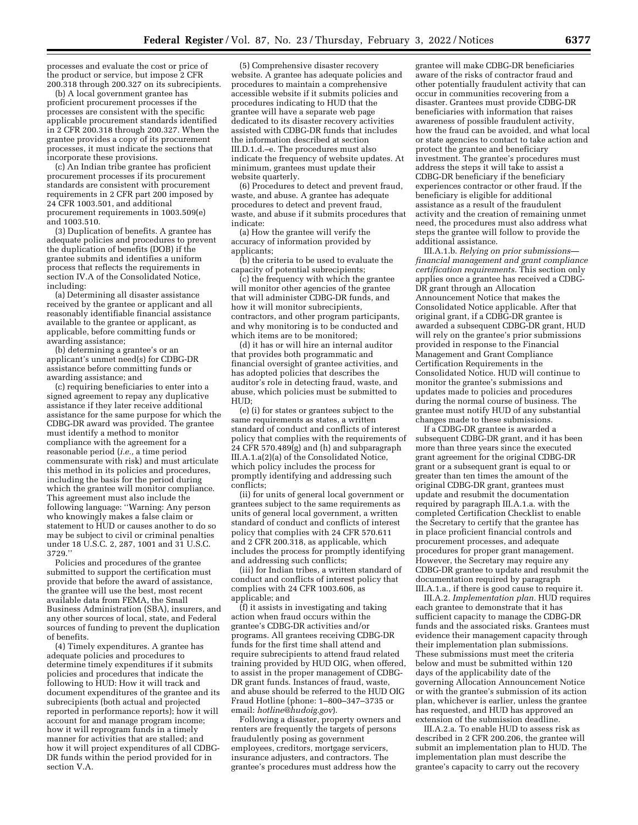processes and evaluate the cost or price of the product or service, but impose 2 CFR 200.318 through 200.327 on its subrecipients.

(b) A local government grantee has proficient procurement processes if the processes are consistent with the specific applicable procurement standards identified in 2 CFR 200.318 through 200.327. When the grantee provides a copy of its procurement processes, it must indicate the sections that incorporate these provisions.

(c) An Indian tribe grantee has proficient procurement processes if its procurement standards are consistent with procurement requirements in 2 CFR part 200 imposed by 24 CFR 1003.501, and additional procurement requirements in 1003.509(e) and 1003.510.

(3) Duplication of benefits. A grantee has adequate policies and procedures to prevent the duplication of benefits (DOB) if the grantee submits and identifies a uniform process that reflects the requirements in section IV.A of the Consolidated Notice, including:

(a) Determining all disaster assistance received by the grantee or applicant and all reasonably identifiable financial assistance available to the grantee or applicant, as applicable, before committing funds or awarding assistance;

(b) determining a grantee's or an applicant's unmet need(s) for CDBG-DR assistance before committing funds or awarding assistance; and

(c) requiring beneficiaries to enter into a signed agreement to repay any duplicative assistance if they later receive additional assistance for the same purpose for which the CDBG-DR award was provided. The grantee must identify a method to monitor compliance with the agreement for a reasonable period (*i.e.,* a time period commensurate with risk) and must articulate this method in its policies and procedures, including the basis for the period during which the grantee will monitor compliance. This agreement must also include the following language: ''Warning: Any person who knowingly makes a false claim or statement to HUD or causes another to do so may be subject to civil or criminal penalties under 18 U.S.C. 2, 287, 1001 and 31 U.S.C. 3729.''

Policies and procedures of the grantee submitted to support the certification must provide that before the award of assistance, the grantee will use the best, most recent available data from FEMA, the Small Business Administration (SBA), insurers, and any other sources of local, state, and Federal sources of funding to prevent the duplication of benefits.

(4) Timely expenditures. A grantee has adequate policies and procedures to determine timely expenditures if it submits policies and procedures that indicate the following to HUD: How it will track and document expenditures of the grantee and its subrecipients (both actual and projected reported in performance reports); how it will account for and manage program income; how it will reprogram funds in a timely manner for activities that are stalled; and how it will project expenditures of all CDBG-DR funds within the period provided for in section V.A.

(5) Comprehensive disaster recovery website. A grantee has adequate policies and procedures to maintain a comprehensive accessible website if it submits policies and procedures indicating to HUD that the grantee will have a separate web page dedicated to its disaster recovery activities assisted with CDBG-DR funds that includes the information described at section III.D.1.d.–e. The procedures must also indicate the frequency of website updates. At minimum, grantees must update their website quarterly.

(6) Procedures to detect and prevent fraud, waste, and abuse. A grantee has adequate procedures to detect and prevent fraud, waste, and abuse if it submits procedures that indicate:

(a) How the grantee will verify the accuracy of information provided by applicants;

(b) the criteria to be used to evaluate the capacity of potential subrecipients;

(c) the frequency with which the grantee will monitor other agencies of the grantee that will administer CDBG-DR funds, and how it will monitor subrecipients, contractors, and other program participants, and why monitoring is to be conducted and which items are to be monitored;

(d) it has or will hire an internal auditor that provides both programmatic and financial oversight of grantee activities, and has adopted policies that describes the auditor's role in detecting fraud, waste, and abuse, which policies must be submitted to HUD;

(e) (i) for states or grantees subject to the same requirements as states, a written standard of conduct and conflicts of interest policy that complies with the requirements of  $24$  CFR 570.489 $(g)$  and (h) and subparagraph III.A.1.a(2)(a) of the Consolidated Notice, which policy includes the process for promptly identifying and addressing such conflicts;

(ii) for units of general local government or grantees subject to the same requirements as units of general local government, a written standard of conduct and conflicts of interest policy that complies with 24 CFR 570.611 and 2 CFR 200.318, as applicable, which includes the process for promptly identifying and addressing such conflicts;

(iii) for Indian tribes, a written standard of conduct and conflicts of interest policy that complies with 24 CFR 1003.606, as applicable; and

(f) it assists in investigating and taking action when fraud occurs within the grantee's CDBG-DR activities and/or programs. All grantees receiving CDBG-DR funds for the first time shall attend and require subrecipients to attend fraud related training provided by HUD OIG, when offered, to assist in the proper management of CDBG-DR grant funds. Instances of fraud, waste, and abuse should be referred to the HUD OIG Fraud Hotline (phone: 1–800–347–3735 or email: *[hotline@hudoig.gov](mailto:hotline@hudoig.gov)*).

Following a disaster, property owners and renters are frequently the targets of persons fraudulently posing as government employees, creditors, mortgage servicers, insurance adjusters, and contractors. The grantee's procedures must address how the

grantee will make CDBG-DR beneficiaries aware of the risks of contractor fraud and other potentially fraudulent activity that can occur in communities recovering from a disaster. Grantees must provide CDBG-DR beneficiaries with information that raises awareness of possible fraudulent activity, how the fraud can be avoided, and what local or state agencies to contact to take action and protect the grantee and beneficiary investment. The grantee's procedures must address the steps it will take to assist a CDBG-DR beneficiary if the beneficiary experiences contractor or other fraud. If the beneficiary is eligible for additional assistance as a result of the fraudulent activity and the creation of remaining unmet need, the procedures must also address what steps the grantee will follow to provide the additional assistance.

III.A.1.b. *Relying on prior submissions financial management and grant compliance certification requirements.* This section only applies once a grantee has received a CDBG-DR grant through an Allocation Announcement Notice that makes the Consolidated Notice applicable. After that original grant, if a CDBG-DR grantee is awarded a subsequent CDBG-DR grant, HUD will rely on the grantee's prior submissions provided in response to the Financial Management and Grant Compliance Certification Requirements in the Consolidated Notice. HUD will continue to monitor the grantee's submissions and updates made to policies and procedures during the normal course of business. The grantee must notify HUD of any substantial changes made to these submissions.

If a CDBG-DR grantee is awarded a subsequent CDBG-DR grant, and it has been more than three years since the executed grant agreement for the original CDBG-DR grant or a subsequent grant is equal to or greater than ten times the amount of the original CDBG-DR grant, grantees must update and resubmit the documentation required by paragraph III.A.1.a. with the completed Certification Checklist to enable the Secretary to certify that the grantee has in place proficient financial controls and procurement processes, and adequate procedures for proper grant management. However, the Secretary may require any CDBG-DR grantee to update and resubmit the documentation required by paragraph III.A.1.a., if there is good cause to require it.

III.A.2. *Implementation plan.* HUD requires each grantee to demonstrate that it has sufficient capacity to manage the CDBG-DR funds and the associated risks. Grantees must evidence their management capacity through their implementation plan submissions. These submissions must meet the criteria below and must be submitted within 120 days of the applicability date of the governing Allocation Announcement Notice or with the grantee's submission of its action plan, whichever is earlier, unless the grantee has requested, and HUD has approved an extension of the submission deadline.

III.A.2.a. To enable HUD to assess risk as described in 2 CFR 200.206, the grantee will submit an implementation plan to HUD. The implementation plan must describe the grantee's capacity to carry out the recovery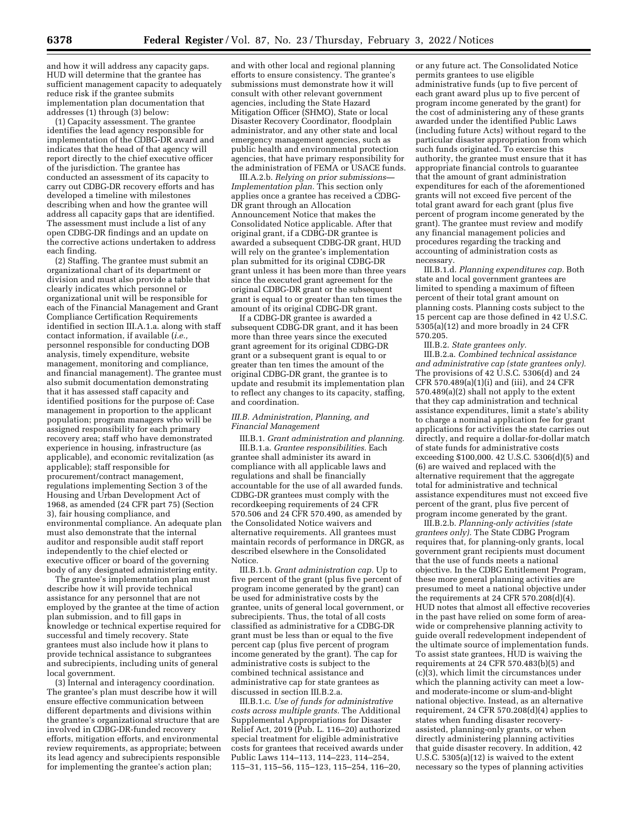and how it will address any capacity gaps. HUD will determine that the grantee has sufficient management capacity to adequately reduce risk if the grantee submits implementation plan documentation that addresses (1) through (3) below:

(1) Capacity assessment. The grantee identifies the lead agency responsible for implementation of the CDBG-DR award and indicates that the head of that agency will report directly to the chief executive officer of the jurisdiction. The grantee has conducted an assessment of its capacity to carry out CDBG-DR recovery efforts and has developed a timeline with milestones describing when and how the grantee will address all capacity gaps that are identified. The assessment must include a list of any open CDBG-DR findings and an update on the corrective actions undertaken to address each finding.

(2) Staffing. The grantee must submit an organizational chart of its department or division and must also provide a table that clearly indicates which personnel or organizational unit will be responsible for each of the Financial Management and Grant Compliance Certification Requirements identified in section III.A.1.a. along with staff contact information, if available (*i.e.,*  personnel responsible for conducting DOB analysis, timely expenditure, website management, monitoring and compliance, and financial management). The grantee must also submit documentation demonstrating that it has assessed staff capacity and identified positions for the purpose of: Case management in proportion to the applicant population; program managers who will be assigned responsibility for each primary recovery area; staff who have demonstrated experience in housing, infrastructure (as applicable), and economic revitalization (as applicable); staff responsible for procurement/contract management, regulations implementing Section 3 of the Housing and Urban Development Act of 1968, as amended (24 CFR part 75) (Section 3), fair housing compliance, and environmental compliance. An adequate plan must also demonstrate that the internal auditor and responsible audit staff report independently to the chief elected or executive officer or board of the governing body of any designated administering entity.

The grantee's implementation plan must describe how it will provide technical assistance for any personnel that are not employed by the grantee at the time of action plan submission, and to fill gaps in knowledge or technical expertise required for successful and timely recovery. State grantees must also include how it plans to provide technical assistance to subgrantees and subrecipients, including units of general local government.

(3) Internal and interagency coordination. The grantee's plan must describe how it will ensure effective communication between different departments and divisions within the grantee's organizational structure that are involved in CDBG-DR-funded recovery efforts, mitigation efforts, and environmental review requirements, as appropriate; between its lead agency and subrecipients responsible for implementing the grantee's action plan;

and with other local and regional planning efforts to ensure consistency. The grantee's submissions must demonstrate how it will consult with other relevant government agencies, including the State Hazard Mitigation Officer (SHMO), State or local Disaster Recovery Coordinator, floodplain administrator, and any other state and local emergency management agencies, such as public health and environmental protection agencies, that have primary responsibility for the administration of FEMA or USACE funds.

III.A.2.b. *Relying on prior submissions— Implementation plan.* This section only applies once a grantee has received a CDBG-DR grant through an Allocation Announcement Notice that makes the Consolidated Notice applicable. After that original grant, if a CDBG-DR grantee is awarded a subsequent CDBG-DR grant, HUD will rely on the grantee's implementation plan submitted for its original CDBG-DR grant unless it has been more than three years since the executed grant agreement for the original CDBG-DR grant or the subsequent grant is equal to or greater than ten times the amount of its original CDBG-DR grant.

If a CDBG-DR grantee is awarded a subsequent CDBG-DR grant, and it has been more than three years since the executed grant agreement for its original CDBG-DR grant or a subsequent grant is equal to or greater than ten times the amount of the original CDBG-DR grant, the grantee is to update and resubmit its implementation plan to reflect any changes to its capacity, staffing, and coordination.

#### *III.B. Administration, Planning, and Financial Management*

III.B.1. *Grant administration and planning.*  III.B.1.a. *Grantee responsibilities.* Each grantee shall administer its award in compliance with all applicable laws and regulations and shall be financially accountable for the use of all awarded funds. CDBG-DR grantees must comply with the recordkeeping requirements of 24 CFR 570.506 and 24 CFR 570.490, as amended by the Consolidated Notice waivers and alternative requirements. All grantees must maintain records of performance in DRGR, as described elsewhere in the Consolidated Notice.

III.B.1.b. *Grant administration cap.* Up to five percent of the grant (plus five percent of program income generated by the grant) can be used for administrative costs by the grantee, units of general local government, or subrecipients. Thus, the total of all costs classified as administrative for a CDBG-DR grant must be less than or equal to the five percent cap (plus five percent of program income generated by the grant). The cap for administrative costs is subject to the combined technical assistance and administrative cap for state grantees as discussed in section III.B.2.a.

III.B.1.c. *Use of funds for administrative costs across multiple grants.* The Additional Supplemental Appropriations for Disaster Relief Act, 2019 (Pub. L. 116–20) authorized special treatment for eligible administrative costs for grantees that received awards under Public Laws 114–113, 114–223, 114–254, 115–31, 115–56, 115–123, 115–254, 116–20,

or any future act. The Consolidated Notice permits grantees to use eligible administrative funds (up to five percent of each grant award plus up to five percent of program income generated by the grant) for the cost of administering any of these grants awarded under the identified Public Laws (including future Acts) without regard to the particular disaster appropriation from which such funds originated. To exercise this authority, the grantee must ensure that it has appropriate financial controls to guarantee that the amount of grant administration expenditures for each of the aforementioned grants will not exceed five percent of the total grant award for each grant (plus five percent of program income generated by the grant). The grantee must review and modify any financial management policies and procedures regarding the tracking and accounting of administration costs as necessary.

III.B.1.d. *Planning expenditures cap.* Both state and local government grantees are limited to spending a maximum of fifteen percent of their total grant amount on planning costs. Planning costs subject to the 15 percent cap are those defined in 42 U.S.C. 5305(a)(12) and more broadly in 24 CFR 570.205.

III.B.2. *State grantees only.* 

III.B.2.a. *Combined technical assistance and administrative cap (state grantees only).*  The provisions of 42 U.S.C. 5306(d) and 24 CFR 570.489(a)(1)(i) and (iii), and 24 CFR 570.489(a)(2) shall not apply to the extent that they cap administration and technical assistance expenditures, limit a state's ability to charge a nominal application fee for grant applications for activities the state carries out directly, and require a dollar-for-dollar match of state funds for administrative costs exceeding \$100,000. 42 U.S.C. 5306(d)(5) and (6) are waived and replaced with the alternative requirement that the aggregate total for administrative and technical assistance expenditures must not exceed five percent of the grant, plus five percent of program income generated by the grant.

III.B.2.b. *Planning-only activities (state grantees only).* The State CDBG Program requires that, for planning-only grants, local government grant recipients must document that the use of funds meets a national objective. In the CDBG Entitlement Program, these more general planning activities are presumed to meet a national objective under the requirements at 24 CFR 570.208(d)(4). HUD notes that almost all effective recoveries in the past have relied on some form of areawide or comprehensive planning activity to guide overall redevelopment independent of the ultimate source of implementation funds. To assist state grantees, HUD is waiving the requirements at 24 CFR 570.483(b)(5) and (c)(3), which limit the circumstances under which the planning activity can meet a lowand moderate-income or slum-and-blight national objective. Instead, as an alternative requirement, 24 CFR 570.208(d)(4) applies to states when funding disaster recoveryassisted, planning-only grants, or when directly administering planning activities that guide disaster recovery. In addition, 42 U.S.C. 5305(a)(12) is waived to the extent necessary so the types of planning activities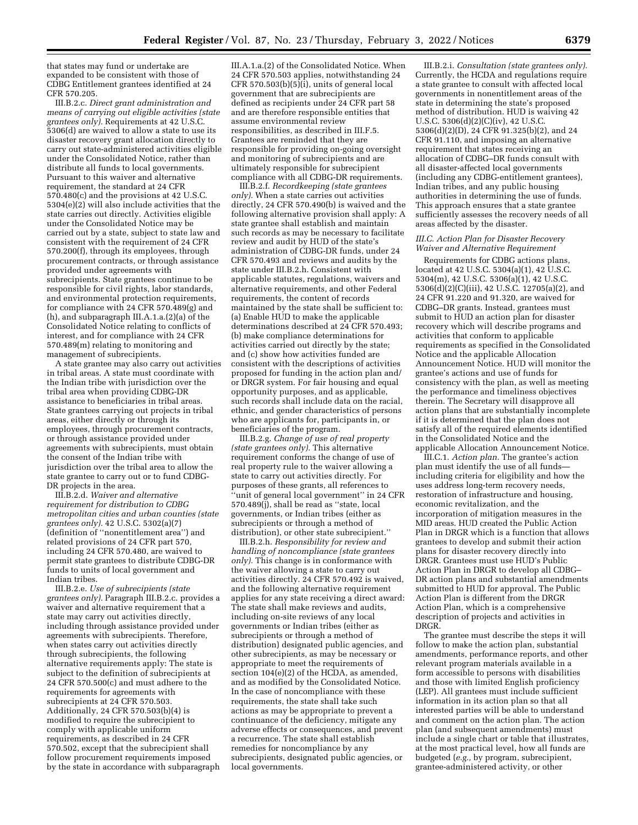that states may fund or undertake are expanded to be consistent with those of CDBG Entitlement grantees identified at 24 CFR 570.205.

III.B.2.c. *Direct grant administration and means of carrying out eligible activities (state grantees only).* Requirements at 42 U.S.C. 5306(d) are waived to allow a state to use its disaster recovery grant allocation directly to carry out state-administered activities eligible under the Consolidated Notice, rather than distribute all funds to local governments. Pursuant to this waiver and alternative requirement, the standard at 24 CFR 570.480(c) and the provisions at 42 U.S.C. 5304(e)(2) will also include activities that the state carries out directly. Activities eligible under the Consolidated Notice may be carried out by a state, subject to state law and consistent with the requirement of 24 CFR 570.200(f), through its employees, through procurement contracts, or through assistance provided under agreements with subrecipients. State grantees continue to be responsible for civil rights, labor standards, and environmental protection requirements, for compliance with 24 CFR 570.489(g) and (h), and subparagraph III.A.1.a.(2)(a) of the Consolidated Notice relating to conflicts of interest, and for compliance with 24 CFR 570.489(m) relating to monitoring and management of subrecipients.

A state grantee may also carry out activities in tribal areas. A state must coordinate with the Indian tribe with jurisdiction over the tribal area when providing CDBG-DR assistance to beneficiaries in tribal areas. State grantees carrying out projects in tribal areas, either directly or through its employees, through procurement contracts, or through assistance provided under agreements with subrecipients, must obtain the consent of the Indian tribe with jurisdiction over the tribal area to allow the state grantee to carry out or to fund CDBG-DR projects in the area.

III.B.2.d. *Waiver and alternative requirement for distribution to CDBG metropolitan cities and urban counties (state grantees only).* 42 U.S.C. 5302(a)(7) (definition of ''nonentitlement area'') and related provisions of 24 CFR part 570, including 24 CFR 570.480, are waived to permit state grantees to distribute CDBG-DR funds to units of local government and Indian tribes.

III.B.2.e. *Use of subrecipients (state grantees only).* Paragraph III.B.2.c. provides a waiver and alternative requirement that a state may carry out activities directly, including through assistance provided under agreements with subrecipients. Therefore, when states carry out activities directly through subrecipients, the following alternative requirements apply: The state is subject to the definition of subrecipients at 24 CFR 570.500(c) and must adhere to the requirements for agreements with subrecipients at 24 CFR 570.503. Additionally, 24 CFR 570.503(b)(4) is modified to require the subrecipient to comply with applicable uniform requirements, as described in 24 CFR 570.502, except that the subrecipient shall follow procurement requirements imposed by the state in accordance with subparagraph

III.A.1.a.(2) of the Consolidated Notice. When 24 CFR 570.503 applies, notwithstanding 24 CFR 570.503(b) $(5)(i)$ , units of general local government that are subrecipients are defined as recipients under 24 CFR part 58 and are therefore responsible entities that assume environmental review responsibilities, as described in III.F.5. Grantees are reminded that they are responsible for providing on-going oversight and monitoring of subrecipients and are ultimately responsible for subrecipient compliance with all CDBG-DR requirements.

III.B.2.f. *Recordkeeping (state grantees only).* When a state carries out activities directly, 24 CFR 570.490(b) is waived and the following alternative provision shall apply: A state grantee shall establish and maintain such records as may be necessary to facilitate review and audit by HUD of the state's administration of CDBG-DR funds, under 24 CFR 570.493 and reviews and audits by the state under III.B.2.h. Consistent with applicable statutes, regulations, waivers and alternative requirements, and other Federal requirements, the content of records maintained by the state shall be sufficient to: (a) Enable HUD to make the applicable determinations described at 24 CFR 570.493; (b) make compliance determinations for activities carried out directly by the state; and (c) show how activities funded are consistent with the descriptions of activities proposed for funding in the action plan and/ or DRGR system. For fair housing and equal opportunity purposes, and as applicable, such records shall include data on the racial, ethnic, and gender characteristics of persons who are applicants for, participants in, or beneficiaries of the program.

III.B.2.g. *Change of use of real property (state grantees only).* This alternative requirement conforms the change of use of real property rule to the waiver allowing a state to carry out activities directly. For purposes of these grants, all references to 'unit of general local government'' in 24 CFR 570.489(j), shall be read as ''state, local governments, or Indian tribes (either as subrecipients or through a method of distribution), or other state subrecipient.''

III.B.2.h. *Responsibility for review and handling of noncompliance (state grantees only).* This change is in conformance with the waiver allowing a state to carry out activities directly. 24 CFR 570.492 is waived, and the following alternative requirement applies for any state receiving a direct award: The state shall make reviews and audits, including on-site reviews of any local governments or Indian tribes (either as subrecipients or through a method of distribution) designated public agencies, and other subrecipients, as may be necessary or appropriate to meet the requirements of section 104(e)(2) of the HCDA, as amended, and as modified by the Consolidated Notice. In the case of noncompliance with these requirements, the state shall take such actions as may be appropriate to prevent a continuance of the deficiency, mitigate any adverse effects or consequences, and prevent a recurrence. The state shall establish remedies for noncompliance by any subrecipients, designated public agencies, or local governments.

III.B.2.i. *Consultation (state grantees only).*  Currently, the HCDA and regulations require a state grantee to consult with affected local governments in nonentitlement areas of the state in determining the state's proposed method of distribution. HUD is waiving 42 U.S.C. 5306(d)(2)(C)(iv), 42 U.S.C. 5306(d)(2)(D), 24 CFR 91.325(b)(2), and 24 CFR 91.110, and imposing an alternative requirement that states receiving an allocation of CDBG–DR funds consult with all disaster-affected local governments (including any CDBG-entitlement grantees), Indian tribes, and any public housing authorities in determining the use of funds. This approach ensures that a state grantee sufficiently assesses the recovery needs of all areas affected by the disaster.

#### *III.C. Action Plan for Disaster Recovery Waiver and Alternative Requirement*

Requirements for CDBG actions plans, located at 42 U.S.C. 5304(a)(1), 42 U.S.C. 5304(m), 42 U.S.C. 5306(a)(1), 42 U.S.C. 5306(d)(2)(C)(iii), 42 U.S.C. 12705(a)(2), and 24 CFR 91.220 and 91.320, are waived for CDBG–DR grants. Instead, grantees must submit to HUD an action plan for disaster recovery which will describe programs and activities that conform to applicable requirements as specified in the Consolidated Notice and the applicable Allocation Announcement Notice. HUD will monitor the grantee's actions and use of funds for consistency with the plan, as well as meeting the performance and timeliness objectives therein. The Secretary will disapprove all action plans that are substantially incomplete if it is determined that the plan does not satisfy all of the required elements identified in the Consolidated Notice and the applicable Allocation Announcement Notice.

III.C.1. *Action plan.* The grantee's action plan must identify the use of all funds including criteria for eligibility and how the uses address long-term recovery needs, restoration of infrastructure and housing, economic revitalization, and the incorporation of mitigation measures in the MID areas. HUD created the Public Action Plan in DRGR which is a function that allows grantees to develop and submit their action plans for disaster recovery directly into DRGR. Grantees must use HUD's Public Action Plan in DRGR to develop all CDBG– DR action plans and substantial amendments submitted to HUD for approval. The Public Action Plan is different from the DRGR Action Plan, which is a comprehensive description of projects and activities in DRGR.

The grantee must describe the steps it will follow to make the action plan, substantial amendments, performance reports, and other relevant program materials available in a form accessible to persons with disabilities and those with limited English proficiency (LEP). All grantees must include sufficient information in its action plan so that all interested parties will be able to understand and comment on the action plan. The action plan (and subsequent amendments) must include a single chart or table that illustrates, at the most practical level, how all funds are budgeted (*e.g.,* by program, subrecipient, grantee-administered activity, or other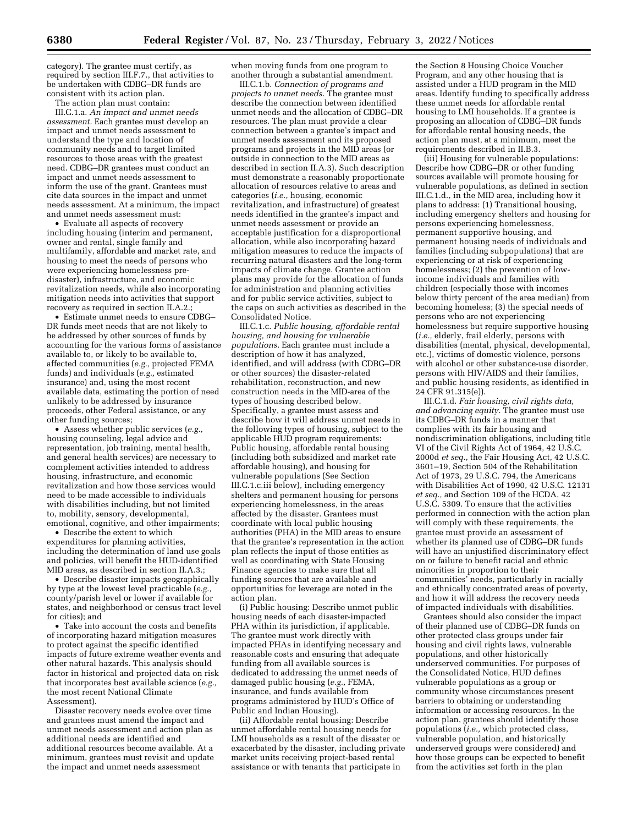category). The grantee must certify, as required by section III.F.7., that activities to be undertaken with CDBG–DR funds are consistent with its action plan.

The action plan must contain:

III.C.1.a. *An impact and unmet needs assessment.* Each grantee must develop an impact and unmet needs assessment to understand the type and location of community needs and to target limited resources to those areas with the greatest need. CDBG–DR grantees must conduct an impact and unmet needs assessment to inform the use of the grant. Grantees must cite data sources in the impact and unmet needs assessment. At a minimum, the impact and unmet needs assessment must:

• Evaluate all aspects of recovery including housing (interim and permanent, owner and rental, single family and multifamily, affordable and market rate, and housing to meet the needs of persons who were experiencing homelessness predisaster), infrastructure, and economic revitalization needs, while also incorporating mitigation needs into activities that support recovery as required in section II.A.2.;

• Estimate unmet needs to ensure CDBG– DR funds meet needs that are not likely to be addressed by other sources of funds by accounting for the various forms of assistance available to, or likely to be available to, affected communities (*e.g.,* projected FEMA funds) and individuals (*e.g.,* estimated insurance) and, using the most recent available data, estimating the portion of need unlikely to be addressed by insurance proceeds, other Federal assistance, or any other funding sources;

• Assess whether public services (*e.g.,*  housing counseling, legal advice and representation, job training, mental health, and general health services) are necessary to complement activities intended to address housing, infrastructure, and economic revitalization and how those services would need to be made accessible to individuals with disabilities including, but not limited to, mobility, sensory, developmental, emotional, cognitive, and other impairments;

• Describe the extent to which expenditures for planning activities, including the determination of land use goals and policies, will benefit the HUD-identified MID areas, as described in section II.A.3.;

• Describe disaster impacts geographically by type at the lowest level practicable (*e.g.,*  county/parish level or lower if available for states, and neighborhood or census tract level for cities); and

• Take into account the costs and benefits of incorporating hazard mitigation measures to protect against the specific identified impacts of future extreme weather events and other natural hazards. This analysis should factor in historical and projected data on risk that incorporates best available science (*e.g.,*  the most recent National Climate Assessment).

Disaster recovery needs evolve over time and grantees must amend the impact and unmet needs assessment and action plan as additional needs are identified and additional resources become available. At a minimum, grantees must revisit and update the impact and unmet needs assessment

when moving funds from one program to another through a substantial amendment.

III.C.1.b. *Connection of programs and projects to unmet needs.* The grantee must describe the connection between identified unmet needs and the allocation of CDBG–DR resources. The plan must provide a clear connection between a grantee's impact and unmet needs assessment and its proposed programs and projects in the MID areas (or outside in connection to the MID areas as described in section II.A.3). Such description must demonstrate a reasonably proportionate allocation of resources relative to areas and categories (*i.e.,* housing, economic revitalization, and infrastructure) of greatest needs identified in the grantee's impact and unmet needs assessment or provide an acceptable justification for a disproportional allocation, while also incorporating hazard mitigation measures to reduce the impacts of recurring natural disasters and the long-term impacts of climate change. Grantee action plans may provide for the allocation of funds for administration and planning activities and for public service activities, subject to the caps on such activities as described in the Consolidated Notice.

III.C.1.c. *Public housing, affordable rental housing, and housing for vulnerable populations.* Each grantee must include a description of how it has analyzed, identified, and will address (with CDBG–DR or other sources) the disaster-related rehabilitation, reconstruction, and new construction needs in the MID-area of the types of housing described below. Specifically, a grantee must assess and describe how it will address unmet needs in the following types of housing, subject to the applicable HUD program requirements: Public housing, affordable rental housing (including both subsidized and market rate affordable housing), and housing for vulnerable populations (See Section III.C.1.c.iii below), including emergency shelters and permanent housing for persons experiencing homelessness, in the areas affected by the disaster. Grantees must coordinate with local public housing authorities (PHA) in the MID areas to ensure that the grantee's representation in the action plan reflects the input of those entities as well as coordinating with State Housing Finance agencies to make sure that all funding sources that are available and opportunities for leverage are noted in the action plan.

(i) Public housing: Describe unmet public housing needs of each disaster-impacted PHA within its jurisdiction, if applicable. The grantee must work directly with impacted PHAs in identifying necessary and reasonable costs and ensuring that adequate funding from all available sources is dedicated to addressing the unmet needs of damaged public housing (*e.g.,* FEMA, insurance, and funds available from programs administered by HUD's Office of Public and Indian Housing).

(ii) Affordable rental housing: Describe unmet affordable rental housing needs for LMI households as a result of the disaster or exacerbated by the disaster, including private market units receiving project-based rental assistance or with tenants that participate in

the Section 8 Housing Choice Voucher Program, and any other housing that is assisted under a HUD program in the MID areas. Identify funding to specifically address these unmet needs for affordable rental housing to LMI households. If a grantee is proposing an allocation of CDBG–DR funds for affordable rental housing needs, the action plan must, at a minimum, meet the requirements described in II.B.3.

(iii) Housing for vulnerable populations: Describe how CDBG–DR or other funding sources available will promote housing for vulnerable populations, as defined in section III.C.1.d., in the MID area, including how it plans to address: (1) Transitional housing, including emergency shelters and housing for persons experiencing homelessness, permanent supportive housing, and permanent housing needs of individuals and families (including subpopulations) that are experiencing or at risk of experiencing homelessness; (2) the prevention of lowincome individuals and families with children (especially those with incomes below thirty percent of the area median) from becoming homeless; (3) the special needs of persons who are not experiencing homelessness but require supportive housing (*i.e.,* elderly, frail elderly, persons with disabilities (mental, physical, developmental, etc.), victims of domestic violence, persons with alcohol or other substance-use disorder, persons with HIV/AIDS and their families, and public housing residents, as identified in 24 CFR 91.315(e)).

III.C.1.d. *Fair housing, civil rights data, and advancing equity.* The grantee must use its CDBG–DR funds in a manner that complies with its fair housing and nondiscrimination obligations, including title VI of the Civil Rights Act of 1964, 42 U.S.C. 2000d *et seq.,* the Fair Housing Act, 42 U.S.C. 3601–19, Section 504 of the Rehabilitation Act of 1973, 29 U.S.C. 794, the Americans with Disabilities Act of 1990, 42 U.S.C. 12131 *et seq.,* and Section 109 of the HCDA, 42 U.S.C. 5309. To ensure that the activities performed in connection with the action plan will comply with these requirements, the grantee must provide an assessment of whether its planned use of CDBG–DR funds will have an unjustified discriminatory effect on or failure to benefit racial and ethnic minorities in proportion to their communities' needs, particularly in racially and ethnically concentrated areas of poverty, and how it will address the recovery needs of impacted individuals with disabilities.

Grantees should also consider the impact of their planned use of CDBG–DR funds on other protected class groups under fair housing and civil rights laws, vulnerable populations, and other historically underserved communities. For purposes of the Consolidated Notice, HUD defines vulnerable populations as a group or community whose circumstances present barriers to obtaining or understanding information or accessing resources. In the action plan, grantees should identify those populations (*i.e.,* which protected class, vulnerable population, and historically underserved groups were considered) and how those groups can be expected to benefit from the activities set forth in the plan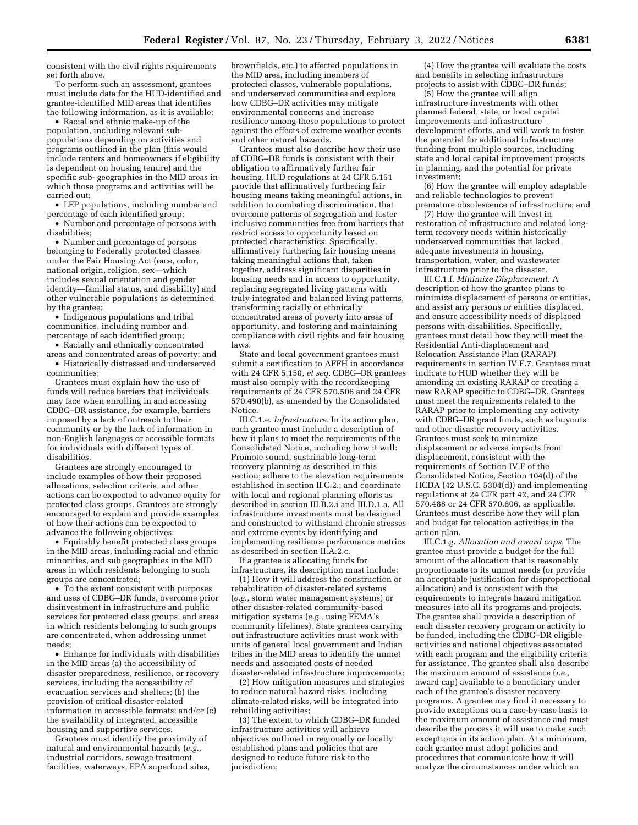consistent with the civil rights requirements set forth above.

To perform such an assessment, grantees must include data for the HUD-identified and grantee-identified MID areas that identifies the following information, as it is available:

• Racial and ethnic make-up of the population, including relevant subpopulations depending on activities and programs outlined in the plan (this would include renters and homeowners if eligibility is dependent on housing tenure) and the specific sub- geographies in the MID areas in which those programs and activities will be carried out;

• LEP populations, including number and percentage of each identified group;

• Number and percentage of persons with disabilities;

• Number and percentage of persons belonging to Federally protected classes under the Fair Housing Act (race, color, national origin, religion, sex—which includes sexual orientation and gender identity—familial status, and disability) and other vulnerable populations as determined by the grantee;

• Indigenous populations and tribal communities, including number and percentage of each identified group;

• Racially and ethnically concentrated areas and concentrated areas of poverty; and • Historically distressed and underserved communities;

Grantees must explain how the use of funds will reduce barriers that individuals may face when enrolling in and accessing CDBG–DR assistance, for example, barriers imposed by a lack of outreach to their community or by the lack of information in non-English languages or accessible formats for individuals with different types of disabilities.

Grantees are strongly encouraged to include examples of how their proposed allocations, selection criteria, and other actions can be expected to advance equity for protected class groups. Grantees are strongly encouraged to explain and provide examples of how their actions can be expected to advance the following objectives:

• Equitably benefit protected class groups in the MID areas, including racial and ethnic minorities, and sub geographies in the MID areas in which residents belonging to such groups are concentrated;

• To the extent consistent with purposes and uses of CDBG–DR funds, overcome prior disinvestment in infrastructure and public services for protected class groups, and areas in which residents belonging to such groups are concentrated, when addressing unmet needs;

• Enhance for individuals with disabilities in the MID areas (a) the accessibility of disaster preparedness, resilience, or recovery services, including the accessibility of evacuation services and shelters; (b) the provision of critical disaster-related information in accessible formats; and/or (c) the availability of integrated, accessible housing and supportive services.

Grantees must identify the proximity of natural and environmental hazards (*e.g.,*  industrial corridors, sewage treatment facilities, waterways, EPA superfund sites,

brownfields, etc.) to affected populations in the MID area, including members of protected classes, vulnerable populations, and underserved communities and explore how CDBG–DR activities may mitigate environmental concerns and increase resilience among these populations to protect against the effects of extreme weather events and other natural hazards.

Grantees must also describe how their use of CDBG–DR funds is consistent with their obligation to affirmatively further fair housing. HUD regulations at 24 CFR 5.151 provide that affirmatively furthering fair housing means taking meaningful actions, in addition to combating discrimination, that overcome patterns of segregation and foster inclusive communities free from barriers that restrict access to opportunity based on protected characteristics. Specifically, affirmatively furthering fair housing means taking meaningful actions that, taken together, address significant disparities in housing needs and in access to opportunity, replacing segregated living patterns with truly integrated and balanced living patterns, transforming racially or ethnically concentrated areas of poverty into areas of opportunity, and fostering and maintaining compliance with civil rights and fair housing laws.

State and local government grantees must submit a certification to AFFH in accordance with 24 CFR 5.150, *et seq.* CDBG–DR grantees must also comply with the recordkeeping requirements of 24 CFR 570.506 and 24 CFR 570.490(b), as amended by the Consolidated Notice.

III.C.1.e. *Infrastructure.* In its action plan, each grantee must include a description of how it plans to meet the requirements of the Consolidated Notice, including how it will: Promote sound, sustainable long-term recovery planning as described in this section; adhere to the elevation requirements established in section II.C.2.; and coordinate with local and regional planning efforts as described in section III.B.2.i and III.D.1.a. All infrastructure investments must be designed and constructed to withstand chronic stresses and extreme events by identifying and implementing resilience performance metrics as described in section II.A.2.c.

If a grantee is allocating funds for infrastructure, its description must include:

(1) How it will address the construction or rehabilitation of disaster-related systems (*e.g.,* storm water management systems) or other disaster-related community-based mitigation systems (*e.g.,* using FEMA's community lifelines). State grantees carrying out infrastructure activities must work with units of general local government and Indian tribes in the MID areas to identify the unmet needs and associated costs of needed disaster-related infrastructure improvements;

(2) How mitigation measures and strategies to reduce natural hazard risks, including climate-related risks, will be integrated into rebuilding activities;

(3) The extent to which CDBG–DR funded infrastructure activities will achieve objectives outlined in regionally or locally established plans and policies that are designed to reduce future risk to the jurisdiction;

(4) How the grantee will evaluate the costs and benefits in selecting infrastructure projects to assist with CDBG–DR funds;

(5) How the grantee will align infrastructure investments with other planned federal, state, or local capital improvements and infrastructure development efforts, and will work to foster the potential for additional infrastructure funding from multiple sources, including state and local capital improvement projects in planning, and the potential for private investment;

(6) How the grantee will employ adaptable and reliable technologies to prevent premature obsolescence of infrastructure; and

(7) How the grantee will invest in restoration of infrastructure and related longterm recovery needs within historically underserved communities that lacked adequate investments in housing, transportation, water, and wastewater infrastructure prior to the disaster.

III.C.1.f. *Minimize Displacement.* A description of how the grantee plans to minimize displacement of persons or entities, and assist any persons or entities displaced, and ensure accessibility needs of displaced persons with disabilities. Specifically, grantees must detail how they will meet the Residential Anti-displacement and Relocation Assistance Plan (RARAP) requirements in section IV.F.7. Grantees must indicate to HUD whether they will be amending an existing RARAP or creating a new RARAP specific to CDBG–DR. Grantees must meet the requirements related to the RARAP prior to implementing any activity with CDBG–DR grant funds, such as buyouts and other disaster recovery activities. Grantees must seek to minimize displacement or adverse impacts from displacement, consistent with the requirements of Section IV.F of the Consolidated Notice, Section 104(d) of the HCDA (42 U.S.C. 5304(d)) and implementing regulations at 24 CFR part 42, and 24 CFR 570.488 or 24 CFR 570.606, as applicable. Grantees must describe how they will plan and budget for relocation activities in the action plan.

III.C.1.g. *Allocation and award caps.* The grantee must provide a budget for the full amount of the allocation that is reasonably proportionate to its unmet needs (or provide an acceptable justification for disproportional allocation) and is consistent with the requirements to integrate hazard mitigation measures into all its programs and projects. The grantee shall provide a description of each disaster recovery program or activity to be funded, including the CDBG–DR eligible activities and national objectives associated with each program and the eligibility criteria for assistance. The grantee shall also describe the maximum amount of assistance (*i.e.,*  award cap) available to a beneficiary under each of the grantee's disaster recovery programs. A grantee may find it necessary to provide exceptions on a case-by-case basis to the maximum amount of assistance and must describe the process it will use to make such exceptions in its action plan. At a minimum, each grantee must adopt policies and procedures that communicate how it will analyze the circumstances under which an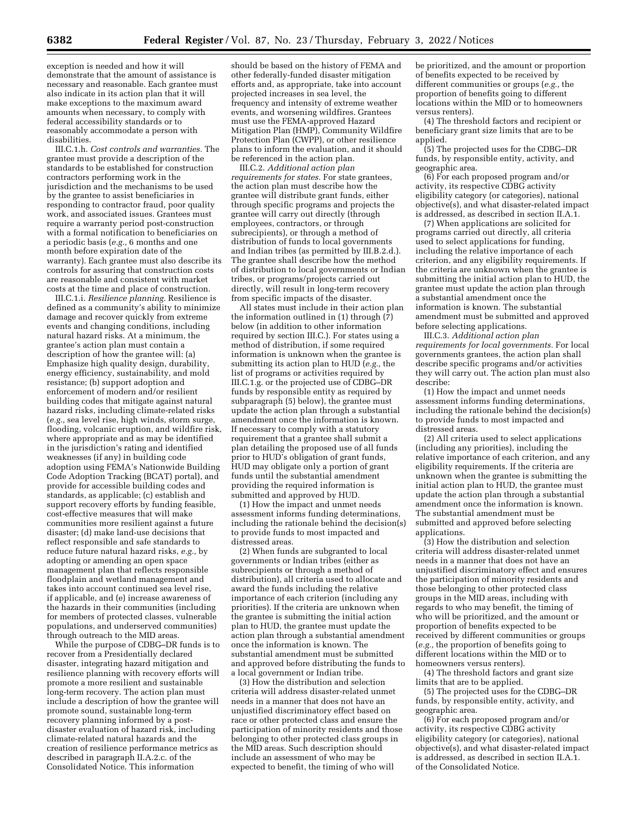exception is needed and how it will demonstrate that the amount of assistance is necessary and reasonable. Each grantee must also indicate in its action plan that it will make exceptions to the maximum award amounts when necessary, to comply with federal accessibility standards or to reasonably accommodate a person with disabilities.

III.C.1.h. *Cost controls and warranties.* The grantee must provide a description of the standards to be established for construction contractors performing work in the jurisdiction and the mechanisms to be used by the grantee to assist beneficiaries in responding to contractor fraud, poor quality work, and associated issues. Grantees must require a warranty period post-construction with a formal notification to beneficiaries on a periodic basis (*e.g.,* 6 months and one month before expiration date of the warranty). Each grantee must also describe its controls for assuring that construction costs are reasonable and consistent with market costs at the time and place of construction.

III.C.1.i. *Resilience planning.* Resilience is defined as a community's ability to minimize damage and recover quickly from extreme events and changing conditions, including natural hazard risks. At a minimum, the grantee's action plan must contain a description of how the grantee will: (a) Emphasize high quality design, durability, energy efficiency, sustainability, and mold resistance; (b) support adoption and enforcement of modern and/or resilient building codes that mitigate against natural hazard risks, including climate-related risks (*e.g.,* sea level rise, high winds, storm surge, flooding, volcanic eruption, and wildfire risk, where appropriate and as may be identified in the jurisdiction's rating and identified weaknesses (if any) in building code adoption using FEMA's Nationwide Building Code Adoption Tracking (BCAT) portal), and provide for accessible building codes and standards, as applicable; (c) establish and support recovery efforts by funding feasible, cost-effective measures that will make communities more resilient against a future disaster; (d) make land-use decisions that reflect responsible and safe standards to reduce future natural hazard risks, *e.g.,* by adopting or amending an open space management plan that reflects responsible floodplain and wetland management and takes into account continued sea level rise, if applicable, and (e) increase awareness of the hazards in their communities (including for members of protected classes, vulnerable populations, and underserved communities) through outreach to the MID areas.

While the purpose of CDBG–DR funds is to recover from a Presidentially declared disaster, integrating hazard mitigation and resilience planning with recovery efforts will promote a more resilient and sustainable long-term recovery. The action plan must include a description of how the grantee will promote sound, sustainable long-term recovery planning informed by a postdisaster evaluation of hazard risk, including climate-related natural hazards and the creation of resilience performance metrics as described in paragraph II.A.2.c. of the Consolidated Notice. This information

should be based on the history of FEMA and other federally-funded disaster mitigation efforts and, as appropriate, take into account projected increases in sea level, the frequency and intensity of extreme weather events, and worsening wildfires. Grantees must use the FEMA-approved Hazard Mitigation Plan (HMP), Community Wildfire Protection Plan (CWPP), or other resilience plans to inform the evaluation, and it should be referenced in the action plan.

III.C.2. *Additional action plan requirements for states.* For state grantees, the action plan must describe how the grantee will distribute grant funds, either through specific programs and projects the grantee will carry out directly (through employees, contractors, or through subrecipients), or through a method of distribution of funds to local governments and Indian tribes (as permitted by III.B.2.d.). The grantee shall describe how the method of distribution to local governments or Indian tribes, or programs/projects carried out directly, will result in long-term recovery from specific impacts of the disaster.

All states must include in their action plan the information outlined in (1) through  $(\bar{7})$ below (in addition to other information required by section III.C.). For states using a method of distribution, if some required information is unknown when the grantee is submitting its action plan to HUD (*e.g.,* the list of programs or activities required by III.C.1.g. or the projected use of CDBG–DR funds by responsible entity as required by subparagraph (5) below), the grantee must update the action plan through a substantial amendment once the information is known. If necessary to comply with a statutory requirement that a grantee shall submit a plan detailing the proposed use of all funds prior to HUD's obligation of grant funds, HUD may obligate only a portion of grant funds until the substantial amendment providing the required information is submitted and approved by HUD.

(1) How the impact and unmet needs assessment informs funding determinations, including the rationale behind the decision(s) to provide funds to most impacted and distressed areas.

(2) When funds are subgranted to local governments or Indian tribes (either as subrecipients or through a method of distribution), all criteria used to allocate and award the funds including the relative importance of each criterion (including any priorities). If the criteria are unknown when the grantee is submitting the initial action plan to HUD, the grantee must update the action plan through a substantial amendment once the information is known. The substantial amendment must be submitted and approved before distributing the funds to a local government or Indian tribe.

(3) How the distribution and selection criteria will address disaster-related unmet needs in a manner that does not have an unjustified discriminatory effect based on race or other protected class and ensure the participation of minority residents and those belonging to other protected class groups in the MID areas. Such description should include an assessment of who may be expected to benefit, the timing of who will

be prioritized, and the amount or proportion of benefits expected to be received by different communities or groups (*e.g.,* the proportion of benefits going to different locations within the MID or to homeowners versus renters).

(4) The threshold factors and recipient or beneficiary grant size limits that are to be applied.

(5) The projected uses for the CDBG–DR funds, by responsible entity, activity, and geographic area.

(6) For each proposed program and/or activity, its respective CDBG activity eligibility category (or categories), national objective(s), and what disaster-related impact is addressed, as described in section II.A.1.

(7) When applications are solicited for programs carried out directly, all criteria used to select applications for funding, including the relative importance of each criterion, and any eligibility requirements. If the criteria are unknown when the grantee is submitting the initial action plan to HUD, the grantee must update the action plan through a substantial amendment once the information is known. The substantial amendment must be submitted and approved before selecting applications.

III.C.3. *Additional action plan requirements for local governments.* For local governments grantees, the action plan shall describe specific programs and/or activities they will carry out. The action plan must also describe:

(1) How the impact and unmet needs assessment informs funding determinations, including the rationale behind the decision(s) to provide funds to most impacted and distressed areas.

(2) All criteria used to select applications (including any priorities), including the relative importance of each criterion, and any eligibility requirements. If the criteria are unknown when the grantee is submitting the initial action plan to HUD, the grantee must update the action plan through a substantial amendment once the information is known. The substantial amendment must be submitted and approved before selecting applications.

(3) How the distribution and selection criteria will address disaster-related unmet needs in a manner that does not have an unjustified discriminatory effect and ensures the participation of minority residents and those belonging to other protected class groups in the MID areas, including with regards to who may benefit, the timing of who will be prioritized, and the amount or proportion of benefits expected to be received by different communities or groups (*e.g.,* the proportion of benefits going to different locations within the MID or to homeowners versus renters).

(4) The threshold factors and grant size limits that are to be applied.

(5) The projected uses for the CDBG–DR funds, by responsible entity, activity, and geographic area.

(6) For each proposed program and/or activity, its respective CDBG activity eligibility category (or categories), national objective(s), and what disaster-related impact is addressed, as described in section II.A.1. of the Consolidated Notice.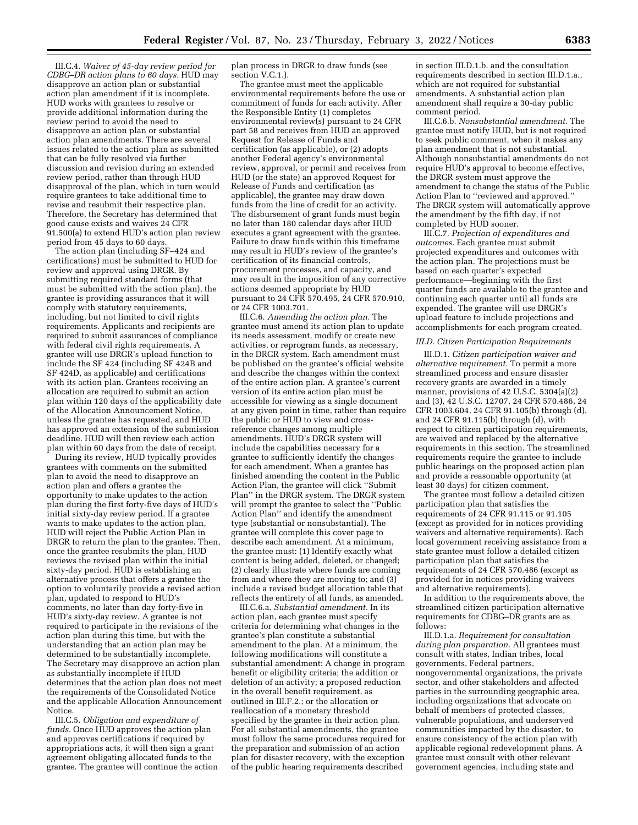III.C.4. *Waiver of 45-day review period for CDBG–DR action plans to 60 days.* HUD may disapprove an action plan or substantial action plan amendment if it is incomplete. HUD works with grantees to resolve or provide additional information during the review period to avoid the need to disapprove an action plan or substantial action plan amendments. There are several issues related to the action plan as submitted that can be fully resolved via further discussion and revision during an extended review period, rather than through HUD disapproval of the plan, which in turn would require grantees to take additional time to revise and resubmit their respective plan. Therefore, the Secretary has determined that good cause exists and waives 24 CFR 91.500(a) to extend HUD's action plan review period from 45 days to 60 days.

The action plan (including SF–424 and certifications) must be submitted to HUD for review and approval using DRGR. By submitting required standard forms (that must be submitted with the action plan), the grantee is providing assurances that it will comply with statutory requirements, including, but not limited to civil rights requirements. Applicants and recipients are required to submit assurances of compliance with federal civil rights requirements. A grantee will use DRGR's upload function to include the SF 424 (including SF 424B and SF 424D, as applicable) and certifications with its action plan. Grantees receiving an allocation are required to submit an action plan within 120 days of the applicability date of the Allocation Announcement Notice, unless the grantee has requested, and HUD has approved an extension of the submission deadline. HUD will then review each action plan within 60 days from the date of receipt.

During its review, HUD typically provides grantees with comments on the submitted plan to avoid the need to disapprove an action plan and offers a grantee the opportunity to make updates to the action plan during the first forty-five days of HUD's initial sixty-day review period. If a grantee wants to make updates to the action plan, HUD will reject the Public Action Plan in DRGR to return the plan to the grantee. Then, once the grantee resubmits the plan, HUD reviews the revised plan within the initial sixty-day period. HUD is establishing an alternative process that offers a grantee the option to voluntarily provide a revised action plan, updated to respond to HUD's comments, no later than day forty-five in HUD's sixty-day review. A grantee is not required to participate in the revisions of the action plan during this time, but with the understanding that an action plan may be determined to be substantially incomplete. The Secretary may disapprove an action plan as substantially incomplete if HUD determines that the action plan does not meet the requirements of the Consolidated Notice and the applicable Allocation Announcement Notice.

III.C.5. *Obligation and expenditure of funds.* Once HUD approves the action plan and approves certifications if required by appropriations acts, it will then sign a grant agreement obligating allocated funds to the grantee. The grantee will continue the action plan process in DRGR to draw funds (see section V.C.1.).

The grantee must meet the applicable environmental requirements before the use or commitment of funds for each activity. After the Responsible Entity (1) completes environmental review(s) pursuant to 24 CFR part 58 and receives from HUD an approved Request for Release of Funds and certification (as applicable), or (2) adopts another Federal agency's environmental review, approval, or permit and receives from HUD (or the state) an approved Request for Release of Funds and certification (as applicable), the grantee may draw down funds from the line of credit for an activity. The disbursement of grant funds must begin no later than 180 calendar days after HUD executes a grant agreement with the grantee. Failure to draw funds within this timeframe may result in HUD's review of the grantee's certification of its financial controls, procurement processes, and capacity, and may result in the imposition of any corrective actions deemed appropriate by HUD pursuant to 24 CFR 570.495, 24 CFR 570.910, or 24 CFR 1003.701.

III.C.6. *Amending the action plan.* The grantee must amend its action plan to update its needs assessment, modify or create new activities, or reprogram funds, as necessary, in the DRGR system. Each amendment must be published on the grantee's official website and describe the changes within the context of the entire action plan. A grantee's current version of its entire action plan must be accessible for viewing as a single document at any given point in time, rather than require the public or HUD to view and crossreference changes among multiple amendments. HUD's DRGR system will include the capabilities necessary for a grantee to sufficiently identify the changes for each amendment. When a grantee has finished amending the content in the Public Action Plan, the grantee will click ''Submit Plan'' in the DRGR system. The DRGR system will prompt the grantee to select the ''Public Action Plan'' and identify the amendment type (substantial or nonsubstantial). The grantee will complete this cover page to describe each amendment. At a minimum, the grantee must: (1) Identify exactly what content is being added, deleted, or changed; (2) clearly illustrate where funds are coming from and where they are moving to; and (3) include a revised budget allocation table that reflects the entirety of all funds, as amended.

III.C.6.a. *Substantial amendment.* In its action plan, each grantee must specify criteria for determining what changes in the grantee's plan constitute a substantial amendment to the plan. At a minimum, the following modifications will constitute a substantial amendment: A change in program benefit or eligibility criteria; the addition or deletion of an activity; a proposed reduction in the overall benefit requirement, as outlined in III.F.2.; or the allocation or reallocation of a monetary threshold specified by the grantee in their action plan. For all substantial amendments, the grantee must follow the same procedures required for the preparation and submission of an action plan for disaster recovery, with the exception of the public hearing requirements described

in section III.D.1.b. and the consultation requirements described in section III.D.1.a., which are not required for substantial amendments. A substantial action plan amendment shall require a 30-day public comment period.

III.C.6.b. *Nonsubstantial amendment.* The grantee must notify HUD, but is not required to seek public comment, when it makes any plan amendment that is not substantial. Although nonsubstantial amendments do not require HUD's approval to become effective, the DRGR system must approve the amendment to change the status of the Public Action Plan to ''reviewed and approved.'' The DRGR system will automatically approve the amendment by the fifth day, if not completed by HUD sooner.

III.C.7. *Projection of expenditures and outcomes.* Each grantee must submit projected expenditures and outcomes with the action plan. The projections must be based on each quarter's expected performance—beginning with the first quarter funds are available to the grantee and continuing each quarter until all funds are expended. The grantee will use DRGR's upload feature to include projections and accomplishments for each program created.

## *III.D. Citizen Participation Requirements*

III.D.1. *Citizen participation waiver and alternative requirement.* To permit a more streamlined process and ensure disaster recovery grants are awarded in a timely manner, provisions of 42 U.S.C. 5304(a)(2) and (3), 42 U.S.C. 12707, 24 CFR 570.486, 24 CFR 1003.604, 24 CFR 91.105(b) through (d), and 24 CFR 91.115(b) through (d), with respect to citizen participation requirements, are waived and replaced by the alternative requirements in this section. The streamlined requirements require the grantee to include public hearings on the proposed action plan and provide a reasonable opportunity (at least 30 days) for citizen comment.

The grantee must follow a detailed citizen participation plan that satisfies the requirements of 24 CFR 91.115 or 91.105 (except as provided for in notices providing waivers and alternative requirements). Each local government receiving assistance from a state grantee must follow a detailed citizen participation plan that satisfies the requirements of 24 CFR 570.486 (except as provided for in notices providing waivers and alternative requirements).

In addition to the requirements above, the streamlined citizen participation alternative requirements for CDBG–DR grants are as follows:

III.D.1.a. *Requirement for consultation during plan preparation.* All grantees must consult with states, Indian tribes, local governments, Federal partners, nongovernmental organizations, the private sector, and other stakeholders and affected parties in the surrounding geographic area, including organizations that advocate on behalf of members of protected classes, vulnerable populations, and underserved communities impacted by the disaster, to ensure consistency of the action plan with applicable regional redevelopment plans. A grantee must consult with other relevant government agencies, including state and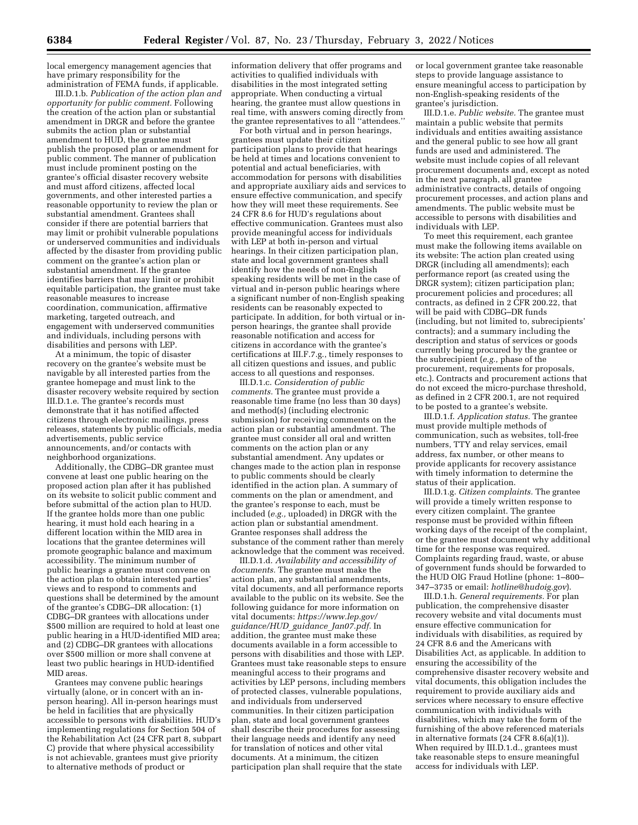local emergency management agencies that have primary responsibility for the administration of FEMA funds, if applicable.

III.D.1.b. *Publication of the action plan and opportunity for public comment.* Following the creation of the action plan or substantial amendment in DRGR and before the grantee submits the action plan or substantial amendment to HUD, the grantee must publish the proposed plan or amendment for public comment. The manner of publication must include prominent posting on the grantee's official disaster recovery website and must afford citizens, affected local governments, and other interested parties a reasonable opportunity to review the plan or substantial amendment. Grantees shall consider if there are potential barriers that may limit or prohibit vulnerable populations or underserved communities and individuals affected by the disaster from providing public comment on the grantee's action plan or substantial amendment. If the grantee identifies barriers that may limit or prohibit equitable participation, the grantee must take reasonable measures to increase coordination, communication, affirmative marketing, targeted outreach, and engagement with underserved communities and individuals, including persons with disabilities and persons with LEP.

At a minimum, the topic of disaster recovery on the grantee's website must be navigable by all interested parties from the grantee homepage and must link to the disaster recovery website required by section III.D.1.e. The grantee's records must demonstrate that it has notified affected citizens through electronic mailings, press releases, statements by public officials, media advertisements, public service announcements, and/or contacts with neighborhood organizations.

Additionally, the CDBG–DR grantee must convene at least one public hearing on the proposed action plan after it has published on its website to solicit public comment and before submittal of the action plan to HUD. If the grantee holds more than one public hearing, it must hold each hearing in a different location within the MID area in locations that the grantee determines will promote geographic balance and maximum accessibility. The minimum number of public hearings a grantee must convene on the action plan to obtain interested parties' views and to respond to comments and questions shall be determined by the amount of the grantee's CDBG–DR allocation: (1) CDBG–DR grantees with allocations under \$500 million are required to hold at least one public hearing in a HUD-identified MID area; and (2) CDBG–DR grantees with allocations over \$500 million or more shall convene at least two public hearings in HUD-identified MID areas.

Grantees may convene public hearings virtually (alone, or in concert with an inperson hearing). All in-person hearings must be held in facilities that are physically accessible to persons with disabilities. HUD's implementing regulations for Section 504 of the Rehabilitation Act (24 CFR part 8, subpart C) provide that where physical accessibility is not achievable, grantees must give priority to alternative methods of product or

information delivery that offer programs and activities to qualified individuals with disabilities in the most integrated setting appropriate. When conducting a virtual hearing, the grantee must allow questions in real time, with answers coming directly from the grantee representatives to all ''attendees.''

For both virtual and in person hearings, grantees must update their citizen participation plans to provide that hearings be held at times and locations convenient to potential and actual beneficiaries, with accommodation for persons with disabilities and appropriate auxiliary aids and services to ensure effective communication, and specify how they will meet these requirements. See 24 CFR 8.6 for HUD's regulations about effective communication. Grantees must also provide meaningful access for individuals with LEP at both in-person and virtual hearings. In their citizen participation plan, state and local government grantees shall identify how the needs of non-English speaking residents will be met in the case of virtual and in-person public hearings where a significant number of non-English speaking residents can be reasonably expected to participate. In addition, for both virtual or inperson hearings, the grantee shall provide reasonable notification and access for citizens in accordance with the grantee's certifications at III.F.7.g., timely responses to all citizen questions and issues, and public access to all questions and responses.

III.D.1.c. *Consideration of public comments.* The grantee must provide a reasonable time frame (no less than 30 days) and method(s) (including electronic submission) for receiving comments on the action plan or substantial amendment. The grantee must consider all oral and written comments on the action plan or any substantial amendment. Any updates or changes made to the action plan in response to public comments should be clearly identified in the action plan. A summary of comments on the plan or amendment, and the grantee's response to each, must be included (*e.g.,* uploaded) in DRGR with the action plan or substantial amendment. Grantee responses shall address the substance of the comment rather than merely acknowledge that the comment was received.

III.D.1.d. *Availability and accessibility of documents.* The grantee must make the action plan, any substantial amendments, vital documents, and all performance reports available to the public on its website. See the following guidance for more information on vital documents: *[https://www.lep.gov/](https://www.lep.gov/guidance/HUD_guidance_Jan07.pdf) [guidance/HUD](https://www.lep.gov/guidance/HUD_guidance_Jan07.pdf)*\_*guidance*\_*Jan07.pdf.* In addition, the grantee must make these documents available in a form accessible to persons with disabilities and those with LEP. Grantees must take reasonable steps to ensure meaningful access to their programs and activities by LEP persons, including members of protected classes, vulnerable populations, and individuals from underserved communities. In their citizen participation plan, state and local government grantees shall describe their procedures for assessing their language needs and identify any need for translation of notices and other vital documents. At a minimum, the citizen participation plan shall require that the state

or local government grantee take reasonable steps to provide language assistance to ensure meaningful access to participation by non-English-speaking residents of the grantee's jurisdiction.

III.D.1.e. *Public website.* The grantee must maintain a public website that permits individuals and entities awaiting assistance and the general public to see how all grant funds are used and administered. The website must include copies of all relevant procurement documents and, except as noted in the next paragraph, all grantee administrative contracts, details of ongoing procurement processes, and action plans and amendments. The public website must be accessible to persons with disabilities and individuals with LEP.

To meet this requirement, each grantee must make the following items available on its website: The action plan created using DRGR (including all amendments); each performance report (as created using the DRGR system); citizen participation plan; procurement policies and procedures; all contracts, as defined in 2 CFR 200.22, that will be paid with CDBG–DR funds (including, but not limited to, subrecipients' contracts); and a summary including the description and status of services or goods currently being procured by the grantee or the subrecipient (*e.g.,* phase of the procurement, requirements for proposals, etc.). Contracts and procurement actions that do not exceed the micro-purchase threshold, as defined in 2 CFR 200.1, are not required to be posted to a grantee's website.

III.D.1.f. *Application status.* The grantee must provide multiple methods of communication, such as websites, toll-free numbers, TTY and relay services, email address, fax number, or other means to provide applicants for recovery assistance with timely information to determine the status of their application.

III.D.1.g. *Citizen complaints.* The grantee will provide a timely written response to every citizen complaint. The grantee response must be provided within fifteen working days of the receipt of the complaint, or the grantee must document why additional time for the response was required. Complaints regarding fraud, waste, or abuse of government funds should be forwarded to the HUD OIG Fraud Hotline (phone: 1–800– 347–3735 or email: *[hotline@hudoig.gov](mailto:hotline@hudoig.gov)*).

III.D.1.h. *General requirements.* For plan publication, the comprehensive disaster recovery website and vital documents must ensure effective communication for individuals with disabilities, as required by 24 CFR 8.6 and the Americans with Disabilities Act, as applicable. In addition to ensuring the accessibility of the comprehensive disaster recovery website and vital documents, this obligation includes the requirement to provide auxiliary aids and services where necessary to ensure effective communication with individuals with disabilities, which may take the form of the furnishing of the above referenced materials in alternative formats (24 CFR 8.6(a)(1)). When required by III.D.1.d., grantees must take reasonable steps to ensure meaningful access for individuals with LEP.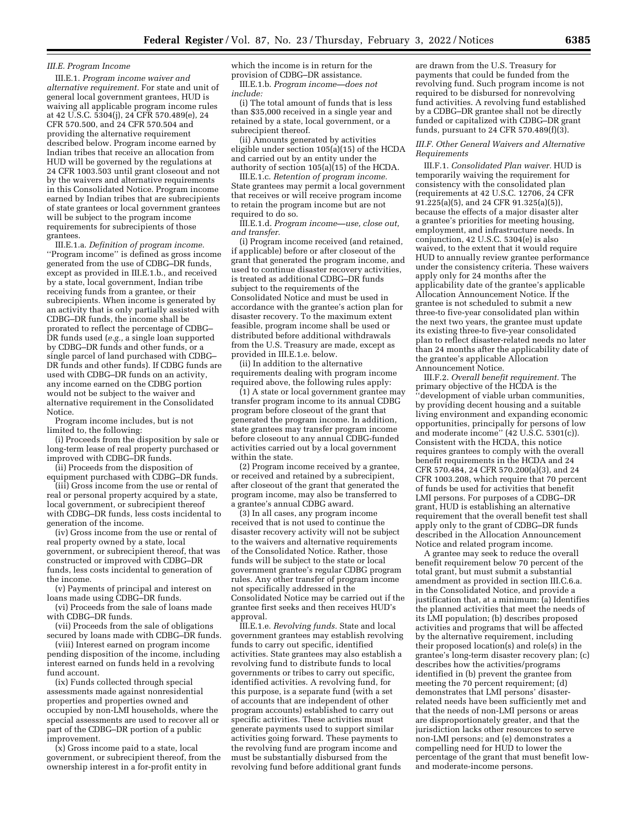#### *III.E. Program Income*

III.E.1. *Program income waiver and alternative requirement.* For state and unit of general local government grantees, HUD is waiving all applicable program income rules at 42 U.S.C. 5304(j), 24 CFR 570.489(e), 24 CFR 570.500, and 24 CFR 570.504 and providing the alternative requirement described below. Program income earned by Indian tribes that receive an allocation from HUD will be governed by the regulations at 24 CFR 1003.503 until grant closeout and not by the waivers and alternative requirements in this Consolidated Notice. Program income earned by Indian tribes that are subrecipients of state grantees or local government grantees will be subject to the program income requirements for subrecipients of those grantees.

III.E.1.a. *Definition of program income.*  ''Program income'' is defined as gross income generated from the use of CDBG–DR funds, except as provided in III.E.1.b., and received by a state, local government, Indian tribe receiving funds from a grantee, or their subrecipients. When income is generated by an activity that is only partially assisted with CDBG–DR funds, the income shall be prorated to reflect the percentage of CDBG– DR funds used (*e.g.,* a single loan supported by CDBG–DR funds and other funds, or a single parcel of land purchased with CDBG– DR funds and other funds). If CDBG funds are used with CDBG–DR funds on an activity, any income earned on the CDBG portion would not be subject to the waiver and alternative requirement in the Consolidated Notice.

Program income includes, but is not limited to, the following:

(i) Proceeds from the disposition by sale or long-term lease of real property purchased or improved with CDBG–DR funds.

(ii) Proceeds from the disposition of equipment purchased with CDBG–DR funds.

(iii) Gross income from the use or rental of real or personal property acquired by a state, local government, or subrecipient thereof with CDBG–DR funds, less costs incidental to generation of the income.

(iv) Gross income from the use or rental of real property owned by a state, local government, or subrecipient thereof, that was constructed or improved with CDBG–DR funds, less costs incidental to generation of the income.

(v) Payments of principal and interest on loans made using CDBG–DR funds.

(vi) Proceeds from the sale of loans made with CDBG–DR funds.

(vii) Proceeds from the sale of obligations secured by loans made with CDBG–DR funds.

(viii) Interest earned on program income pending disposition of the income, including interest earned on funds held in a revolving fund account.

(ix) Funds collected through special assessments made against nonresidential properties and properties owned and occupied by non-LMI households, where the special assessments are used to recover all or part of the CDBG–DR portion of a public improvement.

(x) Gross income paid to a state, local government, or subrecipient thereof, from the ownership interest in a for-profit entity in

which the income is in return for the provision of CDBG–DR assistance. III.E.1.b. *Program income—does not include:* 

(i) The total amount of funds that is less than \$35,000 received in a single year and retained by a state, local government, or a subrecipient thereof.

(ii) Amounts generated by activities eligible under section 105(a)(15) of the HCDA and carried out by an entity under the authority of section  $105(a)(15)$  of the HCDA.

III.E.1.c. *Retention of program income.*  State grantees may permit a local government that receives or will receive program income to retain the program income but are not required to do so.

III.E.1.d. *Program income—use, close out, and transfer.* 

(i) Program income received (and retained, if applicable) before or after closeout of the grant that generated the program income, and used to continue disaster recovery activities, is treated as additional CDBG–DR funds subject to the requirements of the Consolidated Notice and must be used in accordance with the grantee's action plan for disaster recovery. To the maximum extent feasible, program income shall be used or distributed before additional withdrawals from the U.S. Treasury are made, except as provided in III.E.1.e. below.

(ii) In addition to the alternative requirements dealing with program income required above, the following rules apply:

(1) A state or local government grantee may transfer program income to its annual CDBG program before closeout of the grant that generated the program income. In addition, state grantees may transfer program income before closeout to any annual CDBG-funded activities carried out by a local government within the state.

(2) Program income received by a grantee, or received and retained by a subrecipient, after closeout of the grant that generated the program income, may also be transferred to a grantee's annual CDBG award.

(3) In all cases, any program income received that is not used to continue the disaster recovery activity will not be subject to the waivers and alternative requirements of the Consolidated Notice. Rather, those funds will be subject to the state or local government grantee's regular CDBG program rules. Any other transfer of program income not specifically addressed in the Consolidated Notice may be carried out if the grantee first seeks and then receives HUD's approval.

III.E.1.e. *Revolving funds.* State and local government grantees may establish revolving funds to carry out specific, identified activities. State grantees may also establish a revolving fund to distribute funds to local governments or tribes to carry out specific, identified activities. A revolving fund, for this purpose, is a separate fund (with a set of accounts that are independent of other program accounts) established to carry out specific activities. These activities must generate payments used to support similar activities going forward. These payments to the revolving fund are program income and must be substantially disbursed from the revolving fund before additional grant funds

are drawn from the U.S. Treasury for payments that could be funded from the revolving fund. Such program income is not required to be disbursed for nonrevolving fund activities. A revolving fund established by a CDBG–DR grantee shall not be directly funded or capitalized with CDBG–DR grant funds, pursuant to 24 CFR 570.489(f)(3).

## *III.F. Other General Waivers and Alternative Requirements*

III.F.1. *Consolidated Plan waiver.* HUD is temporarily waiving the requirement for consistency with the consolidated plan (requirements at 42 U.S.C. 12706, 24 CFR 91.225(a)(5), and 24 CFR 91.325(a)(5)), because the effects of a major disaster alter a grantee's priorities for meeting housing, employment, and infrastructure needs. In conjunction, 42 U.S.C. 5304(e) is also waived, to the extent that it would require HUD to annually review grantee performance under the consistency criteria. These waivers apply only for 24 months after the applicability date of the grantee's applicable Allocation Announcement Notice. If the grantee is not scheduled to submit a new three-to five-year consolidated plan within the next two years, the grantee must update its existing three-to five-year consolidated plan to reflect disaster-related needs no later than 24 months after the applicability date of the grantee's applicable Allocation Announcement Notice.

III.F.2. *Overall benefit requirement.* The primary objective of the HCDA is the ''development of viable urban communities, by providing decent housing and a suitable living environment and expanding economic opportunities, principally for persons of low and moderate income'' (42 U.S.C. 5301(c)). Consistent with the HCDA, this notice requires grantees to comply with the overall benefit requirements in the HCDA and 24 CFR 570.484, 24 CFR 570.200(a)(3), and 24 CFR 1003.208, which require that 70 percent of funds be used for activities that benefit LMI persons. For purposes of a CDBG–DR grant, HUD is establishing an alternative requirement that the overall benefit test shall apply only to the grant of CDBG–DR funds described in the Allocation Announcement Notice and related program income.

A grantee may seek to reduce the overall benefit requirement below 70 percent of the total grant, but must submit a substantial amendment as provided in section III.C.6.a. in the Consolidated Notice, and provide a justification that, at a minimum: (a) Identifies the planned activities that meet the needs of its LMI population; (b) describes proposed activities and programs that will be affected by the alternative requirement, including their proposed location(s) and role(s) in the grantee's long-term disaster recovery plan; (c) describes how the activities/programs identified in (b) prevent the grantee from meeting the 70 percent requirement; (d) demonstrates that LMI persons' disasterrelated needs have been sufficiently met and that the needs of non-LMI persons or areas are disproportionately greater, and that the jurisdiction lacks other resources to serve non-LMI persons; and (e) demonstrates a compelling need for HUD to lower the percentage of the grant that must benefit lowand moderate-income persons.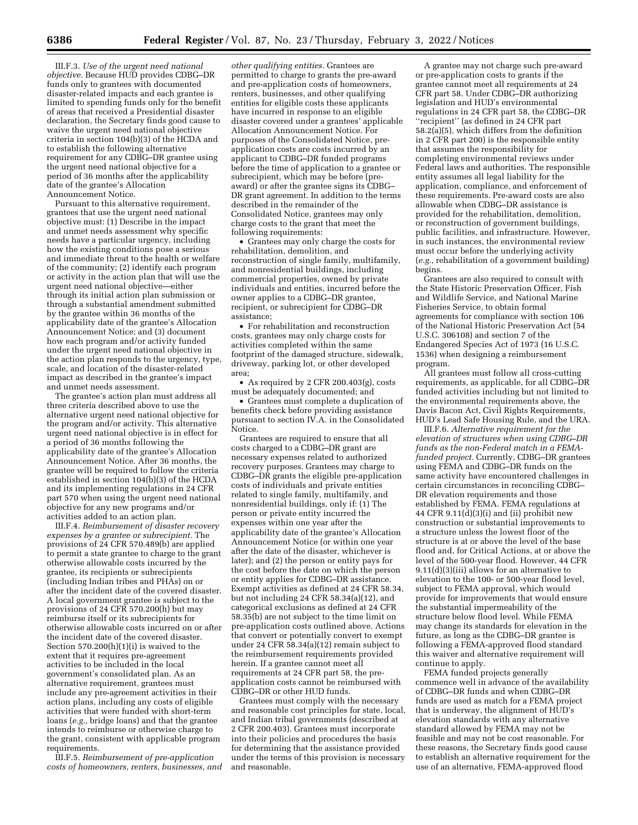III.F.3. *Use of the urgent need national objective.* Because HUD provides CDBG–DR funds only to grantees with documented disaster-related impacts and each grantee is limited to spending funds only for the benefit of areas that received a Presidential disaster declaration, the Secretary finds good cause to waive the urgent need national objective criteria in section 104(b)(3) of the HCDA and to establish the following alternative requirement for any CDBG–DR grantee using the urgent need national objective for a period of 36 months after the applicability date of the grantee's Allocation Announcement Notice.

Pursuant to this alternative requirement, grantees that use the urgent need national objective must: (1) Describe in the impact and unmet needs assessment why specific needs have a particular urgency, including how the existing conditions pose a serious and immediate threat to the health or welfare of the community; (2) identify each program or activity in the action plan that will use the urgent need national objective—either through its initial action plan submission or through a substantial amendment submitted by the grantee within 36 months of the applicability date of the grantee's Allocation Announcement Notice; and (3) document how each program and/or activity funded under the urgent need national objective in the action plan responds to the urgency, type, scale, and location of the disaster-related impact as described in the grantee's impact and unmet needs assessment.

The grantee's action plan must address all three criteria described above to use the alternative urgent need national objective for the program and/or activity. This alternative urgent need national objective is in effect for a period of 36 months following the applicability date of the grantee's Allocation Announcement Notice. After 36 months, the grantee will be required to follow the criteria established in section 104(b)(3) of the HCDA and its implementing regulations in 24 CFR part 570 when using the urgent need national objective for any new programs and/or activities added to an action plan.

III.F.4. *Reimbursement of disaster recovery expenses by a grantee or subrecipient.* The provisions of 24 CFR 570.489(b) are applied to permit a state grantee to charge to the grant otherwise allowable costs incurred by the grantee, its recipients or subrecipients (including Indian tribes and PHAs) on or after the incident date of the covered disaster. A local government grantee is subject to the provisions of 24 CFR 570.200(h) but may reimburse itself or its subrecipients for otherwise allowable costs incurred on or after the incident date of the covered disaster. Section  $570.200(h)(1)(i)$  is waived to the extent that it requires pre-agreement activities to be included in the local government's consolidated plan. As an alternative requirement, grantees must include any pre-agreement activities in their action plans, including any costs of eligible activities that were funded with short-term loans (*e.g.,* bridge loans) and that the grantee intends to reimburse or otherwise charge to the grant, consistent with applicable program requirements.

III.F.5. *Reimbursement of pre-application costs of homeowners, renters, businesses, and* 

*other qualifying entities.* Grantees are permitted to charge to grants the pre-award and pre-application costs of homeowners, renters, businesses, and other qualifying entities for eligible costs these applicants have incurred in response to an eligible disaster covered under a grantees' applicable Allocation Announcement Notice. For purposes of the Consolidated Notice, preapplication costs are costs incurred by an applicant to CDBG–DR funded programs before the time of application to a grantee or subrecipient, which may be before (preaward) or after the grantee signs its CDBG– DR grant agreement. In addition to the terms described in the remainder of the Consolidated Notice, grantees may only charge costs to the grant that meet the following requirements:

• Grantees may only charge the costs for rehabilitation, demolition, and reconstruction of single family, multifamily, and nonresidential buildings, including commercial properties, owned by private individuals and entities, incurred before the owner applies to a CDBG–DR grantee, recipient, or subrecipient for CDBG–DR assistance;

• For rehabilitation and reconstruction costs, grantees may only charge costs for activities completed within the same footprint of the damaged structure, sidewalk, driveway, parking lot, or other developed area;

• As required by 2 CFR 200.403(g), costs must be adequately documented; and

• Grantees must complete a duplication of benefits check before providing assistance pursuant to section IV.A. in the Consolidated Notice.

Grantees are required to ensure that all costs charged to a CDBG–DR grant are necessary expenses related to authorized recovery purposes. Grantees may charge to CDBG–DR grants the eligible pre-application costs of individuals and private entities related to single family, multifamily, and nonresidential buildings, only if: (1) The person or private entity incurred the expenses within one year after the applicability date of the grantee's Allocation Announcement Notice (or within one year after the date of the disaster, whichever is later); and (2) the person or entity pays for the cost before the date on which the person or entity applies for CDBG–DR assistance. Exempt activities as defined at 24 CFR 58.34, but not including 24 CFR 58.34(a)(12), and categorical exclusions as defined at 24 CFR 58.35(b) are not subject to the time limit on pre-application costs outlined above. Actions that convert or potentially convert to exempt under 24 CFR 58.34(a)(12) remain subject to the reimbursement requirements provided herein. If a grantee cannot meet all requirements at 24 CFR part 58, the preapplication costs cannot be reimbursed with CDBG–DR or other HUD funds.

Grantees must comply with the necessary and reasonable cost principles for state, local, and Indian tribal governments (described at 2 CFR 200.403). Grantees must incorporate into their policies and procedures the basis for determining that the assistance provided under the terms of this provision is necessary and reasonable.

A grantee may not charge such pre-award or pre-application costs to grants if the grantee cannot meet all requirements at 24 CFR part 58. Under CDBG–DR authorizing legislation and HUD's environmental regulations in 24 CFR part 58, the CDBG–DR ''recipient'' (as defined in 24 CFR part 58.2(a)(5), which differs from the definition in 2 CFR part 200) is the responsible entity that assumes the responsibility for completing environmental reviews under Federal laws and authorities. The responsible entity assumes all legal liability for the application, compliance, and enforcement of these requirements. Pre-award costs are also allowable when CDBG–DR assistance is provided for the rehabilitation, demolition, or reconstruction of government buildings, public facilities, and infrastructure. However, in such instances, the environmental review must occur before the underlying activity (*e.g.,* rehabilitation of a government building) begins.

Grantees are also required to consult with the State Historic Preservation Officer, Fish and Wildlife Service, and National Marine Fisheries Service, to obtain formal agreements for compliance with section 106 of the National Historic Preservation Act (54 U.S.C. 306108) and section 7 of the Endangered Species Act of 1973 (16 U.S.C. 1536) when designing a reimbursement program.

All grantees must follow all cross-cutting requirements, as applicable, for all CDBG–DR funded activities including but not limited to the environmental requirements above, the Davis Bacon Act, Civil Rights Requirements, HUD's Lead Safe Housing Rule, and the URA.

III.F.6. *Alternative requirement for the elevation of structures when using CDBG–DR funds as the non-Federal match in a FEMAfunded project.* Currently, CDBG–DR grantees using FEMA and CDBG–DR funds on the same activity have encountered challenges in certain circumstances in reconciling CDBG– DR elevation requirements and those established by FEMA. FEMA regulations at 44 CFR  $9.11\text{d}$  $(3)(i)$  and (ii) prohibit new construction or substantial improvements to a structure unless the lowest floor of the structure is at or above the level of the base flood and, for Critical Actions, at or above the level of the 500-year flood. However, 44 CFR 9.11(d)(3)(iii) allows for an alternative to elevation to the 100- or 500-year flood level, subject to FEMA approval, which would provide for improvements that would ensure the substantial impermeability of the structure below flood level. While FEMA may change its standards for elevation in the future, as long as the CDBG–DR grantee is following a FEMA-approved flood standard this waiver and alternative requirement will continue to apply.

FEMA funded projects generally commence well in advance of the availability of CDBG–DR funds and when CDBG–DR funds are used as match for a FEMA project that is underway, the alignment of HUD's elevation standards with any alternative standard allowed by FEMA may not be feasible and may not be cost reasonable. For these reasons, the Secretary finds good cause to establish an alternative requirement for the use of an alternative, FEMA-approved flood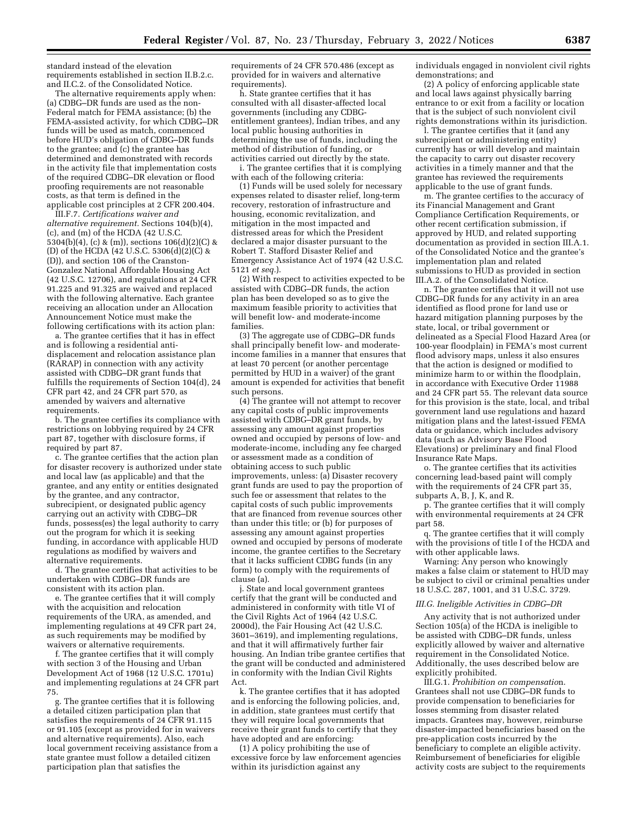standard instead of the elevation requirements established in section II.B.2.c. and II.C.2. of the Consolidated Notice.

The alternative requirements apply when: (a) CDBG–DR funds are used as the non-Federal match for FEMA assistance; (b) the FEMA-assisted activity, for which CDBG–DR funds will be used as match, commenced before HUD's obligation of CDBG–DR funds to the grantee; and (c) the grantee has determined and demonstrated with records in the activity file that implementation costs of the required CDBG–DR elevation or flood proofing requirements are not reasonable costs, as that term is defined in the applicable cost principles at 2 CFR 200.404.

III.F.7. *Certifications waiver and alternative requirement.* Sections 104(b)(4), (c), and (m) of the HCDA (42 U.S.C. 5304(b)(4), (c) & (m)), sections 106(d)(2)(C) & (D) of the HCDA (42 U.S.C. 5306(d)(2)(C) & (D)), and section 106 of the Cranston-Gonzalez National Affordable Housing Act (42 U.S.C. 12706), and regulations at 24 CFR 91.225 and 91.325 are waived and replaced with the following alternative. Each grantee receiving an allocation under an Allocation Announcement Notice must make the following certifications with its action plan:

a. The grantee certifies that it has in effect and is following a residential antidisplacement and relocation assistance plan (RARAP) in connection with any activity assisted with CDBG–DR grant funds that fulfills the requirements of Section 104(d), 24 CFR part 42, and 24 CFR part 570, as amended by waivers and alternative requirements.

b. The grantee certifies its compliance with restrictions on lobbying required by 24 CFR part 87, together with disclosure forms, if required by part 87.

c. The grantee certifies that the action plan for disaster recovery is authorized under state and local law (as applicable) and that the grantee, and any entity or entities designated by the grantee, and any contractor, subrecipient, or designated public agency carrying out an activity with CDBG–DR funds, possess(es) the legal authority to carry out the program for which it is seeking funding, in accordance with applicable HUD regulations as modified by waivers and alternative requirements.

d. The grantee certifies that activities to be undertaken with CDBG–DR funds are consistent with its action plan.

e. The grantee certifies that it will comply with the acquisition and relocation requirements of the URA, as amended, and implementing regulations at 49 CFR part 24, as such requirements may be modified by waivers or alternative requirements.

f. The grantee certifies that it will comply with section 3 of the Housing and Urban Development Act of 1968 (12 U.S.C. 1701u) and implementing regulations at 24 CFR part 75.

g. The grantee certifies that it is following a detailed citizen participation plan that satisfies the requirements of 24 CFR 91.115 or 91.105 (except as provided for in waivers and alternative requirements). Also, each local government receiving assistance from a state grantee must follow a detailed citizen participation plan that satisfies the

requirements of 24 CFR 570.486 (except as provided for in waivers and alternative requirements).

h. State grantee certifies that it has consulted with all disaster-affected local governments (including any CDBGentitlement grantees), Indian tribes, and any local public housing authorities in determining the use of funds, including the method of distribution of funding, or activities carried out directly by the state.

i. The grantee certifies that it is complying with each of the following criteria:

(1) Funds will be used solely for necessary expenses related to disaster relief, long-term recovery, restoration of infrastructure and housing, economic revitalization, and mitigation in the most impacted and distressed areas for which the President declared a major disaster pursuant to the Robert T. Stafford Disaster Relief and Emergency Assistance Act of 1974 (42 U.S.C. 5121 *et seq.*).

(2) With respect to activities expected to be assisted with CDBG–DR funds, the action plan has been developed so as to give the maximum feasible priority to activities that will benefit low- and moderate-income families.

(3) The aggregate use of CDBG–DR funds shall principally benefit low- and moderateincome families in a manner that ensures that at least 70 percent (or another percentage permitted by HUD in a waiver) of the grant amount is expended for activities that benefit such persons.

(4) The grantee will not attempt to recover any capital costs of public improvements assisted with CDBG–DR grant funds, by assessing any amount against properties owned and occupied by persons of low- and moderate-income, including any fee charged or assessment made as a condition of obtaining access to such public improvements, unless: (a) Disaster recovery grant funds are used to pay the proportion of such fee or assessment that relates to the capital costs of such public improvements that are financed from revenue sources other than under this title; or (b) for purposes of assessing any amount against properties owned and occupied by persons of moderate income, the grantee certifies to the Secretary that it lacks sufficient CDBG funds (in any form) to comply with the requirements of clause (a).

j. State and local government grantees certify that the grant will be conducted and administered in conformity with title VI of the Civil Rights Act of 1964 (42 U.S.C. 2000d), the Fair Housing Act (42 U.S.C. 3601–3619), and implementing regulations, and that it will affirmatively further fair housing. An Indian tribe grantee certifies that the grant will be conducted and administered in conformity with the Indian Civil Rights Act.

k. The grantee certifies that it has adopted and is enforcing the following policies, and, in addition, state grantees must certify that they will require local governments that receive their grant funds to certify that they have adopted and are enforcing:

(1) A policy prohibiting the use of excessive force by law enforcement agencies within its jurisdiction against any

individuals engaged in nonviolent civil rights demonstrations; and

(2) A policy of enforcing applicable state and local laws against physically barring entrance to or exit from a facility or location that is the subject of such nonviolent civil rights demonstrations within its jurisdiction.

l. The grantee certifies that it (and any subrecipient or administering entity) currently has or will develop and maintain the capacity to carry out disaster recovery activities in a timely manner and that the grantee has reviewed the requirements applicable to the use of grant funds.

m. The grantee certifies to the accuracy of its Financial Management and Grant Compliance Certification Requirements, or other recent certification submission, if approved by HUD, and related supporting documentation as provided in section III.A.1. of the Consolidated Notice and the grantee's implementation plan and related submissions to HUD as provided in section III.A.2. of the Consolidated Notice.

n. The grantee certifies that it will not use CDBG–DR funds for any activity in an area identified as flood prone for land use or hazard mitigation planning purposes by the state, local, or tribal government or delineated as a Special Flood Hazard Area (or 100-year floodplain) in FEMA's most current flood advisory maps, unless it also ensures that the action is designed or modified to minimize harm to or within the floodplain, in accordance with Executive Order 11988 and 24 CFR part 55. The relevant data source for this provision is the state, local, and tribal government land use regulations and hazard mitigation plans and the latest-issued FEMA data or guidance, which includes advisory data (such as Advisory Base Flood Elevations) or preliminary and final Flood Insurance Rate Maps.

o. The grantee certifies that its activities concerning lead-based paint will comply with the requirements of 24 CFR part 35, subparts A, B, J, K, and R.

p. The grantee certifies that it will comply with environmental requirements at 24 CFR part 58.

q. The grantee certifies that it will comply with the provisions of title I of the HCDA and with other applicable laws.

Warning: Any person who knowingly makes a false claim or statement to HUD may be subject to civil or criminal penalties under 18 U.S.C. 287, 1001, and 31 U.S.C. 3729.

#### *III.G. Ineligible Activities in CDBG–DR*

Any activity that is not authorized under Section 105(a) of the HCDA is ineligible to be assisted with CDBG–DR funds, unless explicitly allowed by waiver and alternative requirement in the Consolidated Notice. Additionally, the uses described below are explicitly prohibited.

III.G.1. *Prohibition on compensatio*n. Grantees shall not use CDBG–DR funds to provide compensation to beneficiaries for losses stemming from disaster related impacts. Grantees may, however, reimburse disaster-impacted beneficiaries based on the pre-application costs incurred by the beneficiary to complete an eligible activity. Reimbursement of beneficiaries for eligible activity costs are subject to the requirements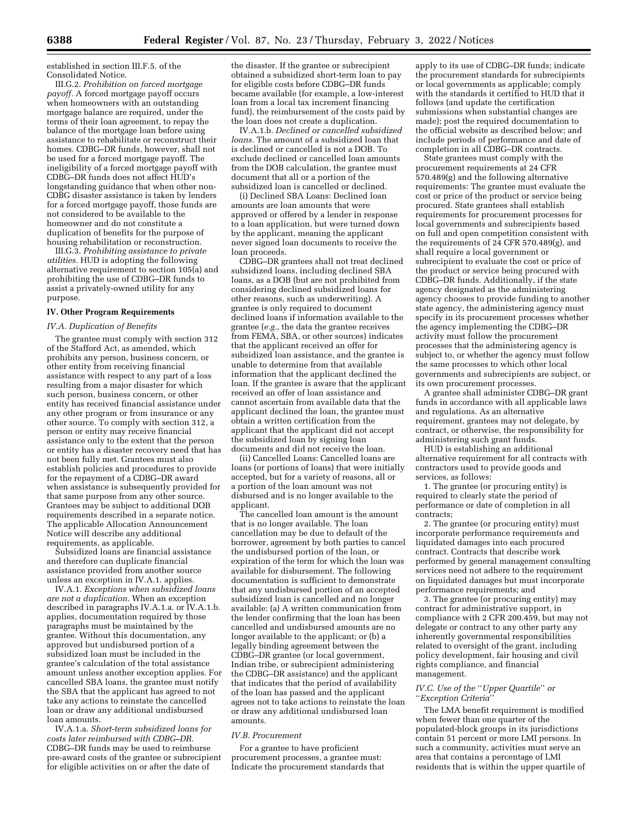established in section III.F.5. of the Consolidated Notice.

III.G.2. *Prohibition on forced mortgage payoff.* A forced mortgage payoff occurs when homeowners with an outstanding mortgage balance are required, under the terms of their loan agreement, to repay the balance of the mortgage loan before using assistance to rehabilitate or reconstruct their homes. CDBG–DR funds, however, shall not be used for a forced mortgage payoff. The ineligibility of a forced mortgage payoff with CDBG–DR funds does not affect HUD's longstanding guidance that when other non-CDBG disaster assistance is taken by lenders for a forced mortgage payoff, those funds are not considered to be available to the homeowner and do not constitute a duplication of benefits for the purpose of housing rehabilitation or reconstruction.

III.G.3. *Prohibiting assistance to private utilities.* HUD is adopting the following alternative requirement to section 105(a) and prohibiting the use of CDBG–DR funds to assist a privately-owned utility for any purpose.

## **IV. Other Program Requirements**

#### *IV.A. Duplication of Benefits*

The grantee must comply with section 312 of the Stafford Act, as amended, which prohibits any person, business concern, or other entity from receiving financial assistance with respect to any part of a loss resulting from a major disaster for which such person, business concern, or other entity has received financial assistance under any other program or from insurance or any other source. To comply with section 312, a person or entity may receive financial assistance only to the extent that the person or entity has a disaster recovery need that has not been fully met. Grantees must also establish policies and procedures to provide for the repayment of a CDBG–DR award when assistance is subsequently provided for that same purpose from any other source. Grantees may be subject to additional DOB requirements described in a separate notice. The applicable Allocation Announcement Notice will describe any additional requirements, as applicable.

Subsidized loans are financial assistance and therefore can duplicate financial assistance provided from another source unless an exception in IV.A.1. applies.

IV.A.1. *Exceptions when subsidized loans are not a duplication.* When an exception described in paragraphs IV.A.1.a. or IV.A.1.b. applies, documentation required by those paragraphs must be maintained by the grantee. Without this documentation, any approved but undisbursed portion of a subsidized loan must be included in the grantee's calculation of the total assistance amount unless another exception applies. For cancelled SBA loans, the grantee must notify the SBA that the applicant has agreed to not take any actions to reinstate the cancelled loan or draw any additional undisbursed loan amounts.

IV.A.1.a. *Short-term subsidized loans for costs later reimbursed with CDBG–DR.*  CDBG–DR funds may be used to reimburse pre-award costs of the grantee or subrecipient for eligible activities on or after the date of

the disaster. If the grantee or subrecipient obtained a subsidized short-term loan to pay for eligible costs before CDBG–DR funds became available (for example, a low-interest loan from a local tax increment financing fund), the reimbursement of the costs paid by the loan does not create a duplication.

IV.A.1.b. *Declined or cancelled subsidized loans.* The amount of a subsidized loan that is declined or cancelled is not a DOB. To exclude declined or cancelled loan amounts from the DOB calculation, the grantee must document that all or a portion of the subsidized loan is cancelled or declined.

(i) Declined SBA Loans: Declined loan amounts are loan amounts that were approved or offered by a lender in response to a loan application, but were turned down by the applicant, meaning the applicant never signed loan documents to receive the loan proceeds.

CDBG–DR grantees shall not treat declined subsidized loans, including declined SBA loans, as a DOB (but are not prohibited from considering declined subsidized loans for other reasons, such as underwriting). A grantee is only required to document declined loans if information available to the grantee (*e.g.,* the data the grantee receives from FEMA, SBA, or other sources) indicates that the applicant received an offer for subsidized loan assistance, and the grantee is unable to determine from that available information that the applicant declined the loan. If the grantee is aware that the applicant received an offer of loan assistance and cannot ascertain from available data that the applicant declined the loan, the grantee must obtain a written certification from the applicant that the applicant did not accept the subsidized loan by signing loan documents and did not receive the loan.

(ii) Cancelled Loans: Cancelled loans are loans (or portions of loans) that were initially accepted, but for a variety of reasons, all or a portion of the loan amount was not disbursed and is no longer available to the applicant.

The cancelled loan amount is the amount that is no longer available. The loan cancellation may be due to default of the borrower, agreement by both parties to cancel the undisbursed portion of the loan, or expiration of the term for which the loan was available for disbursement. The following documentation is sufficient to demonstrate that any undisbursed portion of an accepted subsidized loan is cancelled and no longer available: (a) A written communication from the lender confirming that the loan has been cancelled and undisbursed amounts are no longer available to the applicant; or (b) a legally binding agreement between the CDBG-DR grantee (or local government, Indian tribe, or subrecipient administering the CDBG–DR assistance) and the applicant that indicates that the period of availability of the loan has passed and the applicant agrees not to take actions to reinstate the loan or draw any additional undisbursed loan amounts.

#### *IV.B. Procurement*

For a grantee to have proficient procurement processes, a grantee must: Indicate the procurement standards that

apply to its use of CDBG–DR funds; indicate the procurement standards for subrecipients or local governments as applicable; comply with the standards it certified to HUD that it follows (and update the certification submissions when substantial changes are made); post the required documentation to the official website as described below; and include periods of performance and date of completion in all CDBG–DR contracts.

State grantees must comply with the procurement requirements at 24 CFR 570.489(g) and the following alternative requirements: The grantee must evaluate the cost or price of the product or service being procured. State grantees shall establish requirements for procurement processes for local governments and subrecipients based on full and open competition consistent with the requirements of  $24$  CFR 570.489(g), and shall require a local government or subrecipient to evaluate the cost or price of the product or service being procured with CDBG–DR funds. Additionally, if the state agency designated as the administering agency chooses to provide funding to another state agency, the administering agency must specify in its procurement processes whether the agency implementing the CDBG–DR activity must follow the procurement processes that the administering agency is subject to, or whether the agency must follow the same processes to which other local governments and subrecipients are subject, or its own procurement processes.

A grantee shall administer CDBG–DR grant funds in accordance with all applicable laws and regulations. As an alternative requirement, grantees may not delegate, by contract, or otherwise, the responsibility for administering such grant funds.

HUD is establishing an additional alternative requirement for all contracts with contractors used to provide goods and services, as follows:

1. The grantee (or procuring entity) is required to clearly state the period of performance or date of completion in all contracts;

2. The grantee (or procuring entity) must incorporate performance requirements and liquidated damages into each procured contract. Contracts that describe work performed by general management consulting services need not adhere to the requirement on liquidated damages but must incorporate performance requirements; and

3. The grantee (or procuring entity) may contract for administrative support, in compliance with 2 CFR 200.459, but may not delegate or contract to any other party any inherently governmental responsibilities related to oversight of the grant, including policy development, fair housing and civil rights compliance, and financial management.

## *IV.C. Use of the* ''*Upper Quartile*'' *or*  ''*Exception Criteria*''

The LMA benefit requirement is modified when fewer than one quarter of the populated-block groups in its jurisdictions contain 51 percent or more LMI persons. In such a community, activities must serve an area that contains a percentage of LMI residents that is within the upper quartile of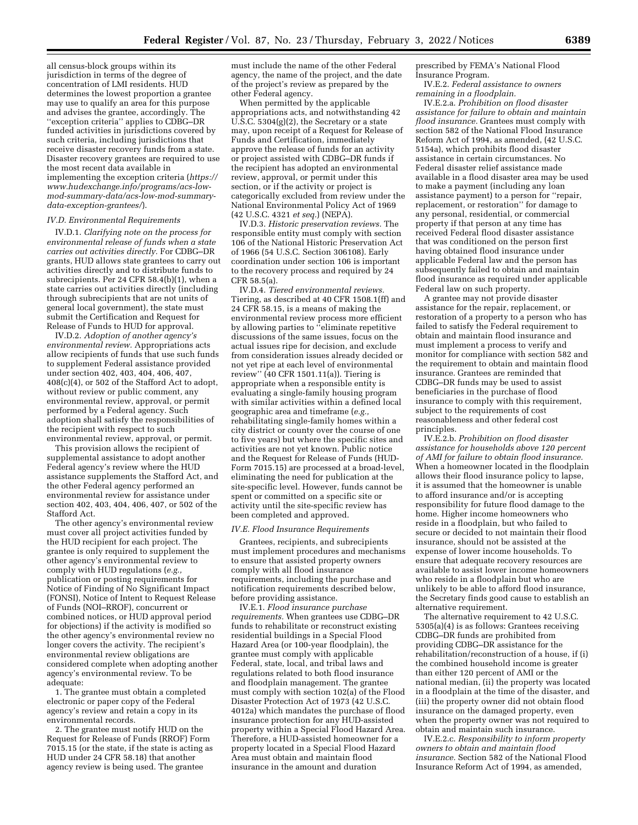all census-block groups within its jurisdiction in terms of the degree of concentration of LMI residents. HUD determines the lowest proportion a grantee may use to qualify an area for this purpose and advises the grantee, accordingly. The ''exception criteria'' applies to CDBG–DR funded activities in jurisdictions covered by such criteria, including jurisdictions that receive disaster recovery funds from a state. Disaster recovery grantees are required to use the most recent data available in implementing the exception criteria (*[https://](https://www.hudexchange.info/programs/acs-low-mod-summary-data/acs-low-mod-summary-data-exception-grantees/)  www.hudexchange.info/programs/acs-low[mod-summary-data/acs-low-mod-summary](https://www.hudexchange.info/programs/acs-low-mod-summary-data/acs-low-mod-summary-data-exception-grantees/)[data-exception-grantees/](https://www.hudexchange.info/programs/acs-low-mod-summary-data/acs-low-mod-summary-data-exception-grantees/)*).

## *IV.D. Environmental Requirements*

IV.D.1. *Clarifying note on the process for environmental release of funds when a state carries out activities directly.* For CDBG–DR grants, HUD allows state grantees to carry out activities directly and to distribute funds to subrecipients. Per 24 CFR 58.4(b)(1), when a state carries out activities directly (including through subrecipients that are not units of general local government), the state must submit the Certification and Request for Release of Funds to HUD for approval.

IV.D.2. *Adoption of another agency's environmental review.* Appropriations acts allow recipients of funds that use such funds to supplement Federal assistance provided under section 402, 403, 404, 406, 407, 408(c)(4), or 502 of the Stafford Act to adopt, without review or public comment, any environmental review, approval, or permit performed by a Federal agency. Such adoption shall satisfy the responsibilities of the recipient with respect to such environmental review, approval, or permit.

This provision allows the recipient of supplemental assistance to adopt another Federal agency's review where the HUD assistance supplements the Stafford Act, and the other Federal agency performed an environmental review for assistance under section 402, 403, 404, 406, 407, or 502 of the Stafford Act.

The other agency's environmental review must cover all project activities funded by the HUD recipient for each project. The grantee is only required to supplement the other agency's environmental review to comply with HUD regulations (*e.g.,*  publication or posting requirements for Notice of Finding of No Significant Impact (FONSI), Notice of Intent to Request Release of Funds (NOI–RROF), concurrent or combined notices, or HUD approval period for objections) if the activity is modified so the other agency's environmental review no longer covers the activity. The recipient's environmental review obligations are considered complete when adopting another agency's environmental review. To be adequate:

1. The grantee must obtain a completed electronic or paper copy of the Federal agency's review and retain a copy in its environmental records.

2. The grantee must notify HUD on the Request for Release of Funds (RROF) Form 7015.15 (or the state, if the state is acting as HUD under 24 CFR 58.18) that another agency review is being used. The grantee

must include the name of the other Federal agency, the name of the project, and the date of the project's review as prepared by the other Federal agency.

When permitted by the applicable appropriations acts, and notwithstanding 42 U.S.C. 5304(g)(2), the Secretary or a state may, upon receipt of a Request for Release of Funds and Certification, immediately approve the release of funds for an activity or project assisted with CDBG–DR funds if the recipient has adopted an environmental review, approval, or permit under this section, or if the activity or project is categorically excluded from review under the National Environmental Policy Act of 1969 (42 U.S.C. 4321 *et seq.*) (NEPA).

IV.D.3. *Historic preservation reviews.* The responsible entity must comply with section 106 of the National Historic Preservation Act of 1966 (54 U.S.C. Section 306108). Early coordination under section 106 is important to the recovery process and required by 24 CFR 58.5(a).

IV.D.4. *Tiered environmental reviews.*  Tiering, as described at 40 CFR 1508.1(ff) and 24 CFR 58.15, is a means of making the environmental review process more efficient by allowing parties to "eliminate repetitive discussions of the same issues, focus on the actual issues ripe for decision, and exclude from consideration issues already decided or not yet ripe at each level of environmental review'' (40 CFR 1501.11(a)). Tiering is appropriate when a responsible entity is evaluating a single-family housing program with similar activities within a defined local geographic area and timeframe (*e.g.,*  rehabilitating single-family homes within a city district or county over the course of one to five years) but where the specific sites and activities are not yet known. Public notice and the Request for Release of Funds (HUD-Form 7015.15) are processed at a broad-level, eliminating the need for publication at the site-specific level. However, funds cannot be spent or committed on a specific site or activity until the site-specific review has been completed and approved.

#### *IV.E. Flood Insurance Requirements*

Grantees, recipients, and subrecipients must implement procedures and mechanisms to ensure that assisted property owners comply with all flood insurance requirements, including the purchase and notification requirements described below, before providing assistance.

IV.E.1. *Flood insurance purchase requirements.* When grantees use CDBG–DR funds to rehabilitate or reconstruct existing residential buildings in a Special Flood Hazard Area (or 100-year floodplain), the grantee must comply with applicable Federal, state, local, and tribal laws and regulations related to both flood insurance and floodplain management. The grantee must comply with section 102(a) of the Flood Disaster Protection Act of 1973 (42 U.S.C. 4012a) which mandates the purchase of flood insurance protection for any HUD-assisted property within a Special Flood Hazard Area. Therefore, a HUD-assisted homeowner for a property located in a Special Flood Hazard Area must obtain and maintain flood insurance in the amount and duration

prescribed by FEMA's National Flood Insurance Program.

IV.E.2. *Federal assistance to owners remaining in a floodplain.* 

IV.E.2.a. *Prohibition on flood disaster assistance for failure to obtain and maintain flood insurance.* Grantees must comply with section 582 of the National Flood Insurance Reform Act of 1994, as amended, (42 U.S.C. 5154a), which prohibits flood disaster assistance in certain circumstances. No Federal disaster relief assistance made available in a flood disaster area may be used to make a payment (including any loan assistance payment) to a person for ''repair, replacement, or restoration'' for damage to any personal, residential, or commercial property if that person at any time has received Federal flood disaster assistance that was conditioned on the person first having obtained flood insurance under applicable Federal law and the person has subsequently failed to obtain and maintain flood insurance as required under applicable Federal law on such property.

A grantee may not provide disaster assistance for the repair, replacement, or restoration of a property to a person who has failed to satisfy the Federal requirement to obtain and maintain flood insurance and must implement a process to verify and monitor for compliance with section 582 and the requirement to obtain and maintain flood insurance. Grantees are reminded that CDBG–DR funds may be used to assist beneficiaries in the purchase of flood insurance to comply with this requirement, subject to the requirements of cost reasonableness and other federal cost principles.

IV.E.2.b. *Prohibition on flood disaster assistance for households above 120 percent of AMI for failure to obtain flood insurance.*  When a homeowner located in the floodplain allows their flood insurance policy to lapse, it is assumed that the homeowner is unable to afford insurance and/or is accepting responsibility for future flood damage to the home. Higher income homeowners who reside in a floodplain, but who failed to secure or decided to not maintain their flood insurance, should not be assisted at the expense of lower income households. To ensure that adequate recovery resources are available to assist lower income homeowners who reside in a floodplain but who are unlikely to be able to afford flood insurance, the Secretary finds good cause to establish an alternative requirement.

The alternative requirement to 42 U.S.C. 5305(a)(4) is as follows: Grantees receiving CDBG–DR funds are prohibited from providing CDBG–DR assistance for the rehabilitation/reconstruction of a house, if (i) the combined household income is greater than either 120 percent of AMI or the national median, (ii) the property was located in a floodplain at the time of the disaster, and (iii) the property owner did not obtain flood insurance on the damaged property, even when the property owner was not required to obtain and maintain such insurance.

IV.E.2.c. *Responsibility to inform property owners to obtain and maintain flood insurance.* Section 582 of the National Flood Insurance Reform Act of 1994, as amended,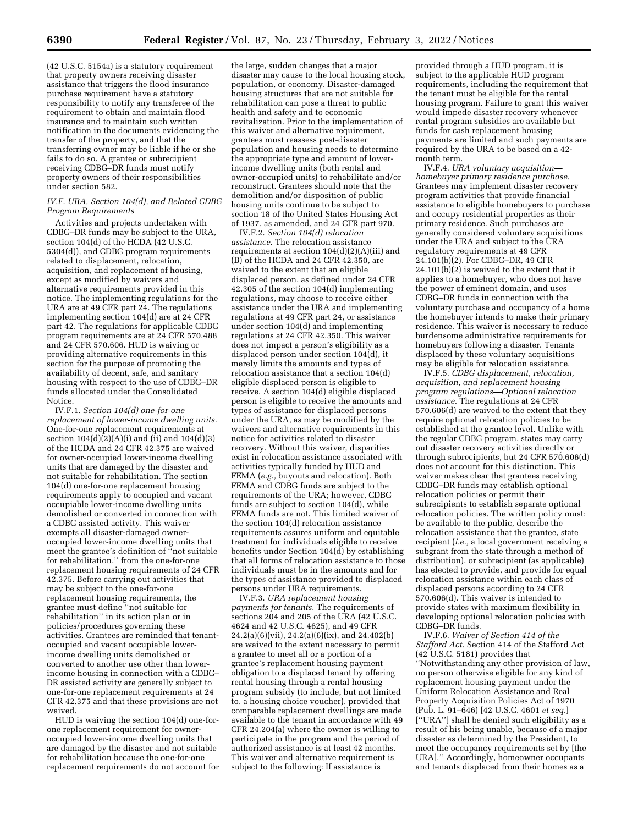(42 U.S.C. 5154a) is a statutory requirement that property owners receiving disaster assistance that triggers the flood insurance purchase requirement have a statutory responsibility to notify any transferee of the requirement to obtain and maintain flood insurance and to maintain such written notification in the documents evidencing the transfer of the property, and that the transferring owner may be liable if he or she fails to do so. A grantee or subrecipient receiving CDBG–DR funds must notify property owners of their responsibilities under section 582.

## *IV.F. URA, Section 104(d), and Related CDBG Program Requirements*

Activities and projects undertaken with CDBG–DR funds may be subject to the URA, section 104(d) of the HCDA (42 U.S.C. 5304(d)), and CDBG program requirements related to displacement, relocation, acquisition, and replacement of housing, except as modified by waivers and alternative requirements provided in this notice. The implementing regulations for the URA are at 49 CFR part 24. The regulations implementing section 104(d) are at 24 CFR part 42. The regulations for applicable CDBG program requirements are at 24 CFR 570.488 and 24 CFR 570.606. HUD is waiving or providing alternative requirements in this section for the purpose of promoting the availability of decent, safe, and sanitary housing with respect to the use of CDBG–DR funds allocated under the Consolidated Notice.

IV.F.1. *Section 104(d) one-for-one replacement of lower-income dwelling units.*  One-for-one replacement requirements at section  $104(d)(2)(A)(i)$  and  $(ii)$  and  $104(d)(3)$ of the HCDA and 24 CFR 42.375 are waived for owner-occupied lower-income dwelling units that are damaged by the disaster and not suitable for rehabilitation. The section 104(d) one-for-one replacement housing requirements apply to occupied and vacant occupiable lower-income dwelling units demolished or converted in connection with a CDBG assisted activity. This waiver exempts all disaster-damaged owneroccupied lower-income dwelling units that meet the grantee's definition of ''not suitable for rehabilitation,'' from the one-for-one replacement housing requirements of 24 CFR 42.375. Before carrying out activities that may be subject to the one-for-one replacement housing requirements, the grantee must define ''not suitable for rehabilitation'' in its action plan or in policies/procedures governing these activities. Grantees are reminded that tenantoccupied and vacant occupiable lowerincome dwelling units demolished or converted to another use other than lowerincome housing in connection with a CDBG– DR assisted activity are generally subject to one-for-one replacement requirements at 24 CFR 42.375 and that these provisions are not waived.

HUD is waiving the section 104(d) one-forone replacement requirement for owneroccupied lower-income dwelling units that are damaged by the disaster and not suitable for rehabilitation because the one-for-one replacement requirements do not account for

the large, sudden changes that a major disaster may cause to the local housing stock, population, or economy. Disaster-damaged housing structures that are not suitable for rehabilitation can pose a threat to public health and safety and to economic revitalization. Prior to the implementation of this waiver and alternative requirement, grantees must reassess post-disaster population and housing needs to determine the appropriate type and amount of lowerincome dwelling units (both rental and owner-occupied units) to rehabilitate and/or reconstruct. Grantees should note that the demolition and/or disposition of public housing units continue to be subject to section 18 of the United States Housing Act of 1937, as amended, and 24 CFR part 970.

IV.F.2. *Section 104(d) relocation assistance.* The relocation assistance requirements at section 104(d)(2)(A)(iii) and (B) of the HCDA and 24 CFR 42.350, are waived to the extent that an eligible displaced person, as defined under 24 CFR 42.305 of the section 104(d) implementing regulations, may choose to receive either assistance under the URA and implementing regulations at 49 CFR part 24, or assistance under section 104(d) and implementing regulations at 24 CFR 42.350. This waiver does not impact a person's eligibility as a displaced person under section 104(d), it merely limits the amounts and types of relocation assistance that a section 104(d) eligible displaced person is eligible to receive. A section 104(d) eligible displaced person is eligible to receive the amounts and types of assistance for displaced persons under the URA, as may be modified by the waivers and alternative requirements in this notice for activities related to disaster recovery. Without this waiver, disparities exist in relocation assistance associated with activities typically funded by HUD and FEMA (*e.g.,* buyouts and relocation). Both FEMA and CDBG funds are subject to the requirements of the URA; however, CDBG funds are subject to section 104(d), while FEMA funds are not. This limited waiver of the section 104(d) relocation assistance requirements assures uniform and equitable treatment for individuals eligible to receive benefits under Section 104(d) by establishing that all forms of relocation assistance to those individuals must be in the amounts and for the types of assistance provided to displaced persons under URA requirements.

IV.F.3. *URA replacement housing payments for tenants.* The requirements of sections 204 and 205 of the URA (42 U.S.C. 4624 and 42 U.S.C. 4625), and 49 CFR 24.2(a)(6)(vii), 24.2(a)(6)(ix), and 24.402(b) are waived to the extent necessary to permit a grantee to meet all or a portion of a grantee's replacement housing payment obligation to a displaced tenant by offering rental housing through a rental housing program subsidy (to include, but not limited to, a housing choice voucher), provided that comparable replacement dwellings are made available to the tenant in accordance with 49 CFR 24.204(a) where the owner is willing to participate in the program and the period of authorized assistance is at least 42 months. This waiver and alternative requirement is subject to the following: If assistance is

provided through a HUD program, it is subject to the applicable HUD program requirements, including the requirement that the tenant must be eligible for the rental housing program. Failure to grant this waiver would impede disaster recovery whenever rental program subsidies are available but funds for cash replacement housing payments are limited and such payments are required by the URA to be based on a 42 month term.

IV.F.4. *URA voluntary acquisition homebuyer primary residence purchase.*  Grantees may implement disaster recovery program activities that provide financial assistance to eligible homebuyers to purchase and occupy residential properties as their primary residence. Such purchases are generally considered voluntary acquisitions under the URA and subject to the URA regulatory requirements at 49 CFR 24.101(b)(2). For CDBG–DR, 49 CFR 24.101(b)(2) is waived to the extent that it applies to a homebuyer, who does not have the power of eminent domain, and uses CDBG–DR funds in connection with the voluntary purchase and occupancy of a home the homebuyer intends to make their primary residence. This waiver is necessary to reduce burdensome administrative requirements for homebuyers following a disaster. Tenants displaced by these voluntary acquisitions may be eligible for relocation assistance.

IV.F.5. *CDBG displacement, relocation, acquisition, and replacement housing program regulations—Optional relocation assistance.* The regulations at 24 CFR 570.606(d) are waived to the extent that they require optional relocation policies to be established at the grantee level. Unlike with the regular CDBG program, states may carry out disaster recovery activities directly or through subrecipients, but 24 CFR 570.606(d) does not account for this distinction. This waiver makes clear that grantees receiving CDBG–DR funds may establish optional relocation policies or permit their subrecipients to establish separate optional relocation policies. The written policy must: be available to the public, describe the relocation assistance that the grantee, state recipient (*i.e.,* a local government receiving a subgrant from the state through a method of distribution), or subrecipient (as applicable) has elected to provide, and provide for equal relocation assistance within each class of displaced persons according to 24 CFR 570.606(d). This waiver is intended to provide states with maximum flexibility in developing optional relocation policies with CDBG–DR funds.

IV.F.6. *Waiver of Section 414 of the Stafford Act.* Section 414 of the Stafford Act (42 U.S.C. 5181) provides that ''Notwithstanding any other provision of law, no person otherwise eligible for any kind of replacement housing payment under the Uniform Relocation Assistance and Real Property Acquisition Policies Act of 1970 (Pub. L. 91–646) [42 U.S.C. 4601 *et seq.*] [''URA''] shall be denied such eligibility as a result of his being unable, because of a major disaster as determined by the President, to meet the occupancy requirements set by [the URA].'' Accordingly, homeowner occupants and tenants displaced from their homes as a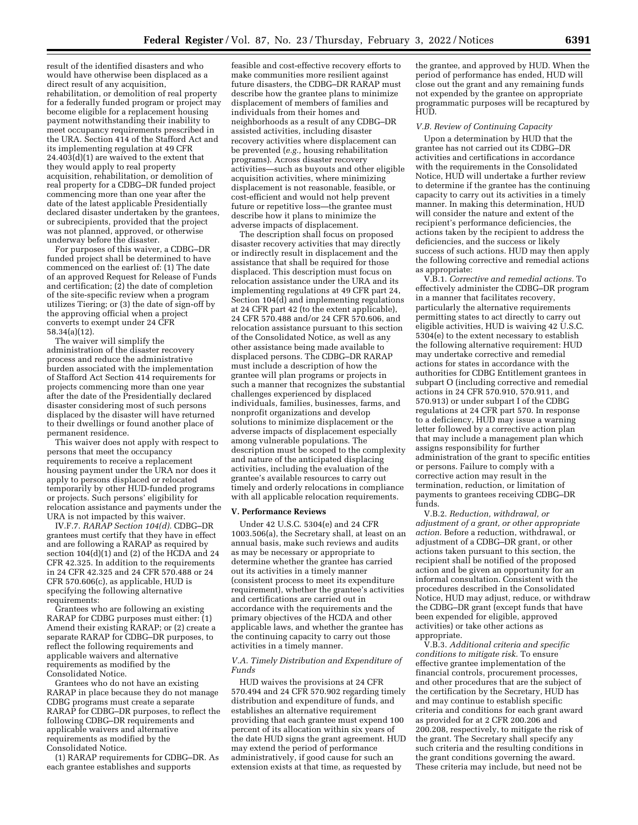result of the identified disasters and who would have otherwise been displaced as a direct result of any acquisition, rehabilitation, or demolition of real property for a federally funded program or project may become eligible for a replacement housing payment notwithstanding their inability to meet occupancy requirements prescribed in the URA. Section 414 of the Stafford Act and its implementing regulation at 49 CFR 24.403(d)(1) are waived to the extent that they would apply to real property acquisition, rehabilitation, or demolition of real property for a CDBG–DR funded project commencing more than one year after the date of the latest applicable Presidentially declared disaster undertaken by the grantees, or subrecipients, provided that the project was not planned, approved, or otherwise underway before the disaster.

For purposes of this waiver, a CDBG–DR funded project shall be determined to have commenced on the earliest of: (1) The date of an approved Request for Release of Funds and certification;  $(2)$  the date of completion of the site-specific review when a program utilizes Tiering; or (3) the date of sign-off by the approving official when a project converts to exempt under 24 CFR 58.34(a)(12).

The waiver will simplify the administration of the disaster recovery process and reduce the administrative burden associated with the implementation of Stafford Act Section 414 requirements for projects commencing more than one year after the date of the Presidentially declared disaster considering most of such persons displaced by the disaster will have returned to their dwellings or found another place of permanent residence.

This waiver does not apply with respect to persons that meet the occupancy requirements to receive a replacement housing payment under the URA nor does it apply to persons displaced or relocated temporarily by other HUD-funded programs or projects. Such persons' eligibility for relocation assistance and payments under the URA is not impacted by this waiver.

IV.F.7. *RARAP Section 104(d).* CDBG–DR grantees must certify that they have in effect and are following a RARAP as required by section 104(d)(1) and (2) of the HCDA and 24 CFR 42.325. In addition to the requirements in 24 CFR 42.325 and 24 CFR 570.488 or 24 CFR 570.606(c), as applicable, HUD is specifying the following alternative requirements:

Grantees who are following an existing RARAP for CDBG purposes must either: (1) Amend their existing RARAP; or (2) create a separate RARAP for CDBG–DR purposes, to reflect the following requirements and applicable waivers and alternative requirements as modified by the Consolidated Notice.

Grantees who do not have an existing RARAP in place because they do not manage CDBG programs must create a separate RARAP for CDBG–DR purposes, to reflect the following CDBG–DR requirements and applicable waivers and alternative requirements as modified by the Consolidated Notice.

(1) RARAP requirements for CDBG–DR. As each grantee establishes and supports

feasible and cost-effective recovery efforts to make communities more resilient against future disasters, the CDBG–DR RARAP must describe how the grantee plans to minimize displacement of members of families and individuals from their homes and neighborhoods as a result of any CDBG–DR assisted activities, including disaster recovery activities where displacement can be prevented (*e.g.,* housing rehabilitation programs). Across disaster recovery activities—such as buyouts and other eligible acquisition activities, where minimizing displacement is not reasonable, feasible, or cost-efficient and would not help prevent future or repetitive loss—the grantee must describe how it plans to minimize the adverse impacts of displacement.

The description shall focus on proposed disaster recovery activities that may directly or indirectly result in displacement and the assistance that shall be required for those displaced. This description must focus on relocation assistance under the URA and its implementing regulations at 49 CFR part 24, Section 104(d) and implementing regulations at 24 CFR part 42 (to the extent applicable), 24 CFR 570.488 and/or 24 CFR 570.606, and relocation assistance pursuant to this section of the Consolidated Notice, as well as any other assistance being made available to displaced persons. The CDBG–DR RARAP must include a description of how the grantee will plan programs or projects in such a manner that recognizes the substantial challenges experienced by displaced individuals, families, businesses, farms, and nonprofit organizations and develop solutions to minimize displacement or the adverse impacts of displacement especially among vulnerable populations. The description must be scoped to the complexity and nature of the anticipated displacing activities, including the evaluation of the grantee's available resources to carry out timely and orderly relocations in compliance with all applicable relocation requirements.

#### **V. Performance Reviews**

Under 42 U.S.C. 5304(e) and 24 CFR 1003.506(a), the Secretary shall, at least on an annual basis, make such reviews and audits as may be necessary or appropriate to determine whether the grantee has carried out its activities in a timely manner (consistent process to meet its expenditure requirement), whether the grantee's activities and certifications are carried out in accordance with the requirements and the primary objectives of the HCDA and other applicable laws, and whether the grantee has the continuing capacity to carry out those activities in a timely manner.

#### *V.A. Timely Distribution and Expenditure of Funds*

HUD waives the provisions at 24 CFR 570.494 and 24 CFR 570.902 regarding timely distribution and expenditure of funds, and establishes an alternative requirement providing that each grantee must expend 100 percent of its allocation within six years of the date HUD signs the grant agreement. HUD may extend the period of performance administratively, if good cause for such an extension exists at that time, as requested by

the grantee, and approved by HUD. When the period of performance has ended, HUD will close out the grant and any remaining funds not expended by the grantee on appropriate programmatic purposes will be recaptured by HUD.

#### *V.B. Review of Continuing Capacity*

Upon a determination by HUD that the grantee has not carried out its CDBG–DR activities and certifications in accordance with the requirements in the Consolidated Notice, HUD will undertake a further review to determine if the grantee has the continuing capacity to carry out its activities in a timely manner. In making this determination, HUD will consider the nature and extent of the recipient's performance deficiencies, the actions taken by the recipient to address the deficiencies, and the success or likely success of such actions. HUD may then apply the following corrective and remedial actions as appropriate:

V.B.1. *Corrective and remedial actions.* To effectively administer the CDBG–DR program in a manner that facilitates recovery, particularly the alternative requirements permitting states to act directly to carry out eligible activities, HUD is waiving 42 U.S.C. 5304(e) to the extent necessary to establish the following alternative requirement: HUD may undertake corrective and remedial actions for states in accordance with the authorities for CDBG Entitlement grantees in subpart O (including corrective and remedial actions in 24 CFR 570.910, 570.911, and 570.913) or under subpart I of the CDBG regulations at 24 CFR part 570. In response to a deficiency, HUD may issue a warning letter followed by a corrective action plan that may include a management plan which assigns responsibility for further administration of the grant to specific entities or persons. Failure to comply with a corrective action may result in the termination, reduction, or limitation of payments to grantees receiving CDBG–DR funds.

V.B.2. *Reduction, withdrawal, or adjustment of a grant, or other appropriate action.* Before a reduction, withdrawal, or adjustment of a CDBG–DR grant, or other actions taken pursuant to this section, the recipient shall be notified of the proposed action and be given an opportunity for an informal consultation. Consistent with the procedures described in the Consolidated Notice, HUD may adjust, reduce, or withdraw the CDBG–DR grant (except funds that have been expended for eligible, approved activities) or take other actions as appropriate.

V.B.3. *Additional criteria and specific conditions to mitigate risk.* To ensure effective grantee implementation of the financial controls, procurement processes, and other procedures that are the subject of the certification by the Secretary, HUD has and may continue to establish specific criteria and conditions for each grant award as provided for at 2 CFR 200.206 and 200.208, respectively, to mitigate the risk of the grant. The Secretary shall specify any such criteria and the resulting conditions in the grant conditions governing the award. These criteria may include, but need not be